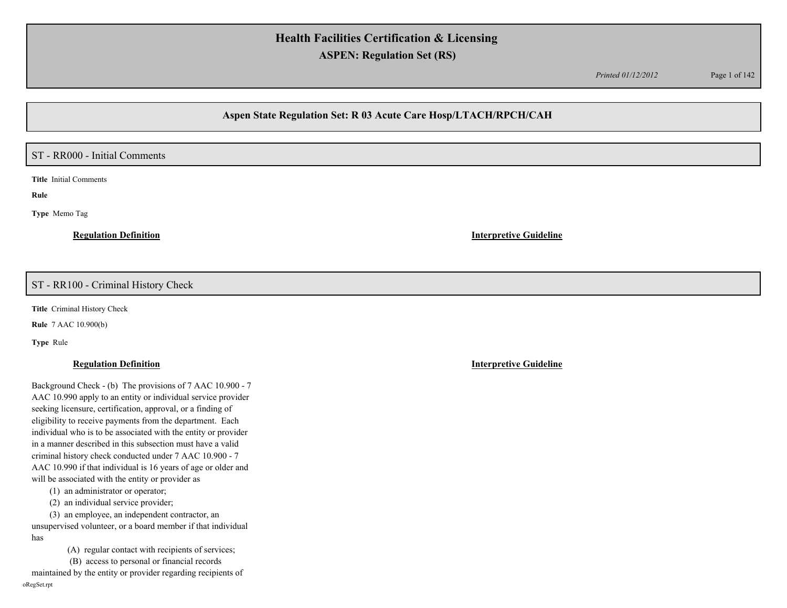*Printed 01/12/2012* Page 1 of 142

## **Aspen State Regulation Set: R 03 Acute Care Hosp/LTACH/RPCH/CAH**

## ST - RR000 - Initial Comments

**Title** Initial Comments

**Rule** 

**Type** Memo Tag

**Regulation Definition Interpretive Guideline**

### ST - RR100 - Criminal History Check

**Title** Criminal History Check

**Rule** 7 AAC 10.900(b)

**Type** Rule

### **Regulation Definition Interpretive Guideline**

Background Check - (b) The provisions of 7 AAC 10.900 - 7 AAC 10.990 apply to an entity or individual service provider seeking licensure, certification, approval, or a finding of eligibility to receive payments from the department. Each individual who is to be associated with the entity or provider in a manner described in this subsection must have a valid criminal history check conducted under 7 AAC 10.900 - 7 AAC 10.990 if that individual is 16 years of age or older and will be associated with the entity or provider as

(1) an administrator or operator;

(2) an individual service provider;

(3) an employee, an independent contractor, an unsupervised volunteer, or a board member if that individual has

(A) regular contact with recipients of services;

 (B) access to personal or financial records maintained by the entity or provider regarding recipients of oRegSet.rpt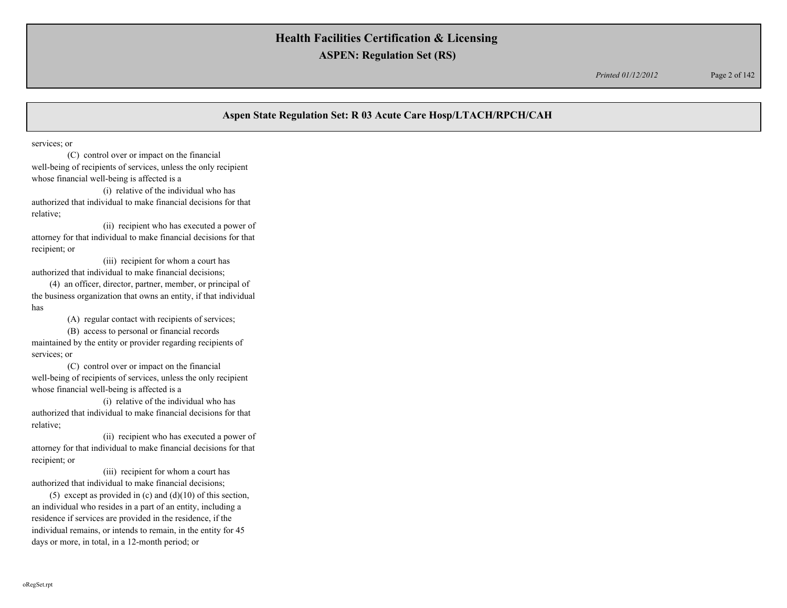*Printed 01/12/2012* Page 2 of 142

## **Aspen State Regulation Set: R 03 Acute Care Hosp/LTACH/RPCH/CAH**

services; or

 (C) control over or impact on the financial well-being of recipients of services, unless the only recipient whose financial well-being is affected is a

 (i) relative of the individual who has authorized that individual to make financial decisions for that relative;

 (ii) recipient who has executed a power of attorney for that individual to make financial decisions for that recipient; or

 (iii) recipient for whom a court has authorized that individual to make financial decisions;

(4) an officer, director, partner, member, or principal of the business organization that owns an entity, if that individual has

(A) regular contact with recipients of services;

 (B) access to personal or financial records maintained by the entity or provider regarding recipients of services; or

 (C) control over or impact on the financial well-being of recipients of services, unless the only recipient whose financial well-being is affected is a

 (i) relative of the individual who has authorized that individual to make financial decisions for that relative;

 (ii) recipient who has executed a power of attorney for that individual to make financial decisions for that recipient; or

 (iii) recipient for whom a court has authorized that individual to make financial decisions;

(5) except as provided in  $(c)$  and  $(d)(10)$  of this section, an individual who resides in a part of an entity, including a residence if services are provided in the residence, if the individual remains, or intends to remain, in the entity for 45 days or more, in total, in a 12-month period; or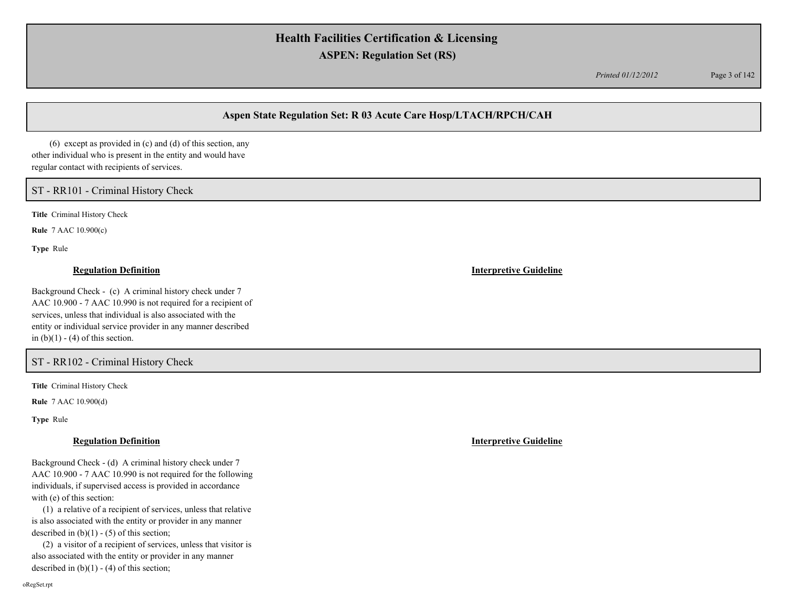*Printed 01/12/2012* Page 3 of 142

## **Aspen State Regulation Set: R 03 Acute Care Hosp/LTACH/RPCH/CAH**

(6) except as provided in (c) and (d) of this section, any other individual who is present in the entity and would have regular contact with recipients of services.

### ST - RR101 - Criminal History Check

**Title** Criminal History Check

**Rule** 7 AAC 10.900(c)

**Type** Rule

### **Regulation Definition Interpretive Guideline**

Background Check - (c) A criminal history check under 7 AAC 10.900 - 7 AAC 10.990 is not required for a recipient of services, unless that individual is also associated with the entity or individual service provider in any manner described in  $(b)(1) - (4)$  of this section.

### ST - RR102 - Criminal History Check

**Title** Criminal History Check

**Rule** 7 AAC 10.900(d)

**Type** Rule

### **Regulation Definition Interpretive Guideline**

Background Check - (d) A criminal history check under 7 AAC 10.900 - 7 AAC 10.990 is not required for the following individuals, if supervised access is provided in accordance with (e) of this section:

 (1) a relative of a recipient of services, unless that relative is also associated with the entity or provider in any manner described in  $(b)(1) - (5)$  of this section;

 (2) a visitor of a recipient of services, unless that visitor is also associated with the entity or provider in any manner described in  $(b)(1) - (4)$  of this section;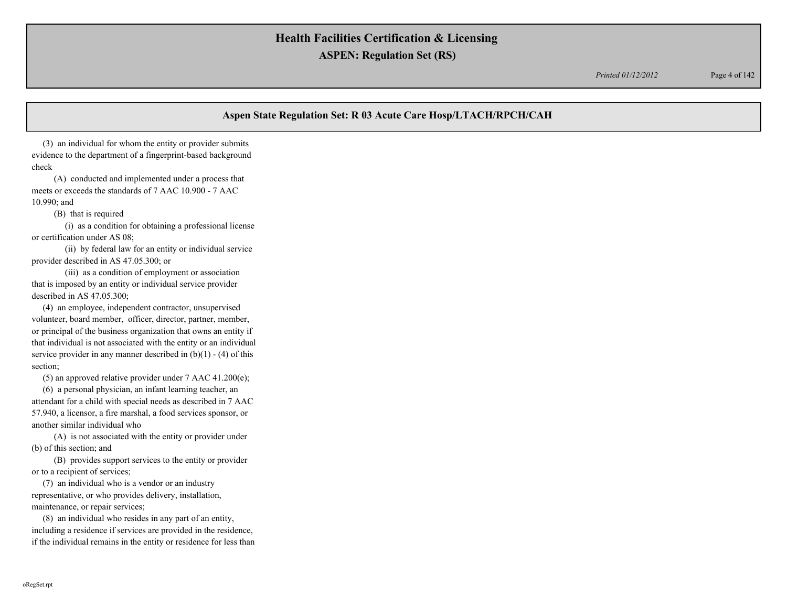*Printed 01/12/2012* Page 4 of 142

## **Aspen State Regulation Set: R 03 Acute Care Hosp/LTACH/RPCH/CAH**

 (3) an individual for whom the entity or provider submits evidence to the department of a fingerprint-based background check

 (A) conducted and implemented under a process that meets or exceeds the standards of 7 AAC 10.900 - 7 AAC 10.990; and

(B) that is required

 (i) as a condition for obtaining a professional license or certification under AS 08;

 (ii) by federal law for an entity or individual service provider described in AS 47.05.300; or

 (iii) as a condition of employment or association that is imposed by an entity or individual service provider described in AS 47.05.300;

 (4) an employee, independent contractor, unsupervised volunteer, board member, officer, director, partner, member, or principal of the business organization that owns an entity if that individual is not associated with the entity or an individual service provider in any manner described in  $(b)(1) - (4)$  of this section;

(5) an approved relative provider under 7 AAC 41.200(e);

 (6) a personal physician, an infant learning teacher, an attendant for a child with special needs as described in 7 AAC 57.940, a licensor, a fire marshal, a food services sponsor, or another similar individual who

 (A) is not associated with the entity or provider under (b) of this section; and

 (B) provides support services to the entity or provider or to a recipient of services;

 (7) an individual who is a vendor or an industry representative, or who provides delivery, installation, maintenance, or repair services;

 (8) an individual who resides in any part of an entity, including a residence if services are provided in the residence, if the individual remains in the entity or residence for less than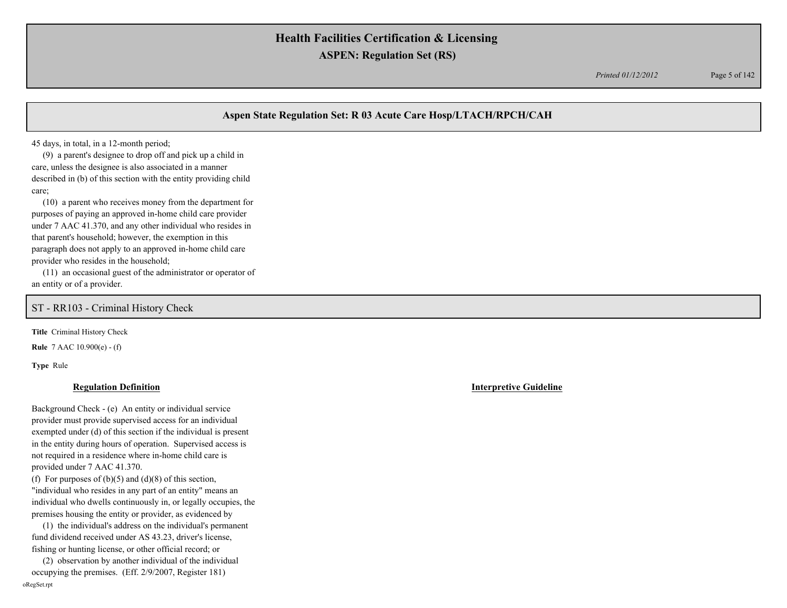*Printed 01/12/2012* Page 5 of 142

## **Aspen State Regulation Set: R 03 Acute Care Hosp/LTACH/RPCH/CAH**

45 days, in total, in a 12-month period;

 (9) a parent's designee to drop off and pick up a child in care, unless the designee is also associated in a manner described in (b) of this section with the entity providing child care;

 (10) a parent who receives money from the department for purposes of paying an approved in-home child care provider under 7 AAC 41.370, and any other individual who resides in that parent's household; however, the exemption in this paragraph does not apply to an approved in-home child care provider who resides in the household;

 (11) an occasional guest of the administrator or operator of an entity or of a provider.

ST - RR103 - Criminal History Check

**Title** Criminal History Check

**Rule** 7 AAC 10.900(e) - (f)

**Type** Rule

### **Regulation Definition Interpretive Guideline**

Background Check - (e) An entity or individual service provider must provide supervised access for an individual exempted under (d) of this section if the individual is present in the entity during hours of operation. Supervised access is not required in a residence where in-home child care is provided under 7 AAC 41.370.

(f) For purposes of  $(b)(5)$  and  $(d)(8)$  of this section, "individual who resides in any part of an entity" means an individual who dwells continuously in, or legally occupies, the premises housing the entity or provider, as evidenced by

 (1) the individual's address on the individual's permanent fund dividend received under AS 43.23, driver's license, fishing or hunting license, or other official record; or

 (2) observation by another individual of the individual occupying the premises. (Eff. 2/9/2007, Register 181) oRegSet.rpt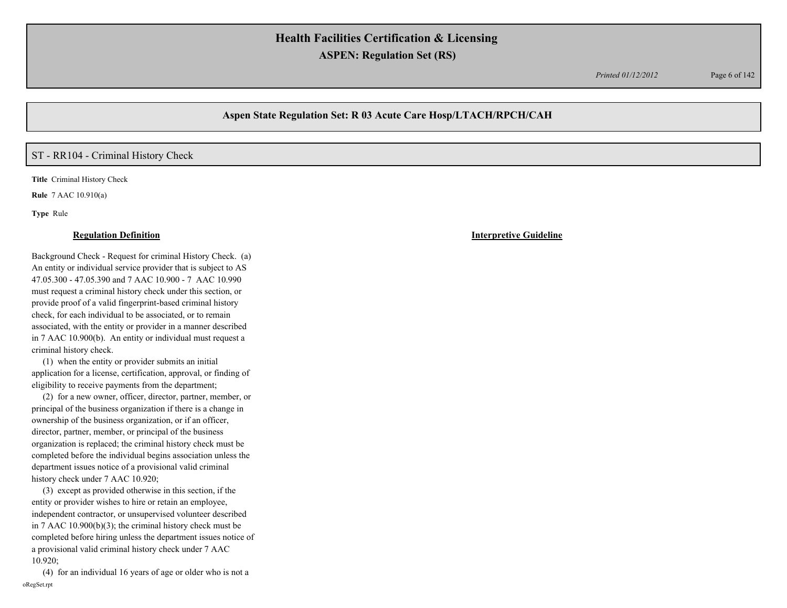*Printed 01/12/2012* Page 6 of 142

## **Aspen State Regulation Set: R 03 Acute Care Hosp/LTACH/RPCH/CAH**

### ST - RR104 - Criminal History Check

**Title** Criminal History Check

**Rule** 7 AAC 10.910(a)

**Type** Rule

Background Check - Request for criminal History Check. (a) An entity or individual service provider that is subject to AS 47.05.300 - 47.05.390 and 7 AAC 10.900 - 7 AAC 10.990 must request a criminal history check under this section, or provide proof of a valid fingerprint-based criminal history check, for each individual to be associated, or to remain associated, with the entity or provider in a manner described in 7 AAC 10.900(b). An entity or individual must request a criminal history check.

 (1) when the entity or provider submits an initial application for a license, certification, approval, or finding of eligibility to receive payments from the department;

 (2) for a new owner, officer, director, partner, member, or principal of the business organization if there is a change in ownership of the business organization, or if an officer, director, partner, member, or principal of the business organization is replaced; the criminal history check must be completed before the individual begins association unless the department issues notice of a provisional valid criminal history check under 7 AAC 10.920;

 (3) except as provided otherwise in this section, if the entity or provider wishes to hire or retain an employee, independent contractor, or unsupervised volunteer described in 7 AAC 10.900(b)(3); the criminal history check must be completed before hiring unless the department issues notice of a provisional valid criminal history check under 7 AAC 10.920;

 (4) for an individual 16 years of age or older who is not a oRegSet.rpt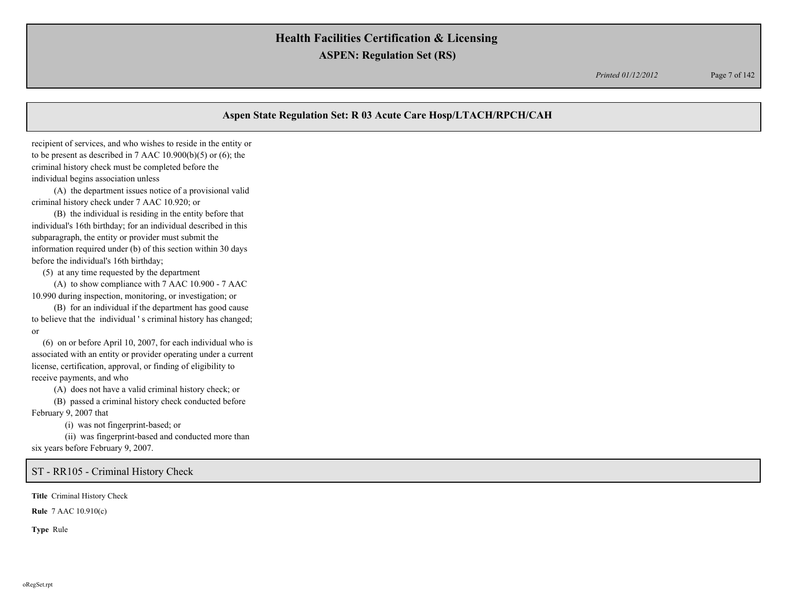*Printed 01/12/2012* Page 7 of 142

## **Aspen State Regulation Set: R 03 Acute Care Hosp/LTACH/RPCH/CAH** recipient of services, and who wishes to reside in the entity or to be present as described in 7 AAC 10.900(b)(5) or (6); the criminal history check must be completed before the individual begins association unless (A) the department issues notice of a provisional valid criminal history check under 7 AAC 10.920; or (B) the individual is residing in the entity before that individual's 16th birthday; for an individual described in this subparagraph, the entity or provider must submit the information required under (b) of this section within 30 days before the individual's 16th birthday; (5) at any time requested by the department (A) to show compliance with 7 AAC 10.900 - 7 AAC 10.990 during inspection, monitoring, or investigation; or (B) for an individual if the department has good cause to believe that the individual ' s criminal history has changed; or (6) on or before April 10, 2007, for each individual who is associated with an entity or provider operating under a current license, certification, approval, or finding of eligibility to receive payments, and who (A) does not have a valid criminal history check; or (B) passed a criminal history check conducted before February 9, 2007 that (i) was not fingerprint-based; or (ii) was fingerprint-based and conducted more than

six years before February 9, 2007.

ST - RR105 - Criminal History Check

**Title** Criminal History Check

**Rule** 7 AAC 10.910(c)

**Type** Rule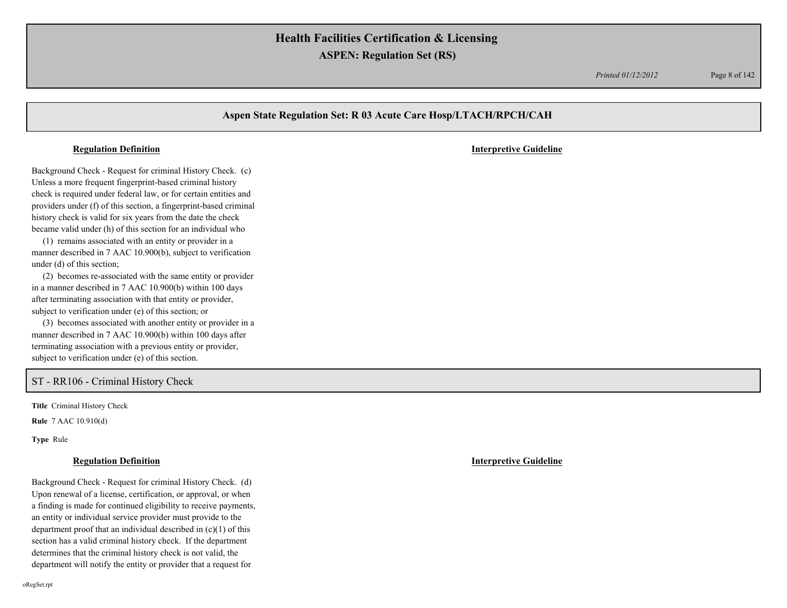*Printed 01/12/2012* Page 8 of 142

### **Aspen State Regulation Set: R 03 Acute Care Hosp/LTACH/RPCH/CAH**

### **Regulation Definition Interpretive Guideline**

Background Check - Request for criminal History Check. (c) Unless a more frequent fingerprint-based criminal history check is required under federal law, or for certain entities and providers under (f) of this section, a fingerprint-based criminal history check is valid for six years from the date the check became valid under (h) of this section for an individual who

 (1) remains associated with an entity or provider in a manner described in 7 AAC 10.900(b), subject to verification under (d) of this section;

 (2) becomes re-associated with the same entity or provider in a manner described in 7 AAC 10.900(b) within 100 days after terminating association with that entity or provider, subject to verification under (e) of this section; or

 (3) becomes associated with another entity or provider in a manner described in 7 AAC 10.900(b) within 100 days after terminating association with a previous entity or provider, subject to verification under (e) of this section.

ST - RR106 - Criminal History Check

**Title** Criminal History Check

**Rule** 7 AAC 10.910(d)

**Type** Rule

### **Regulation Definition Interpretive Guideline**

Background Check - Request for criminal History Check. (d) Upon renewal of a license, certification, or approval, or when a finding is made for continued eligibility to receive payments, an entity or individual service provider must provide to the department proof that an individual described in  $(c)(1)$  of this section has a valid criminal history check. If the department determines that the criminal history check is not valid, the department will notify the entity or provider that a request for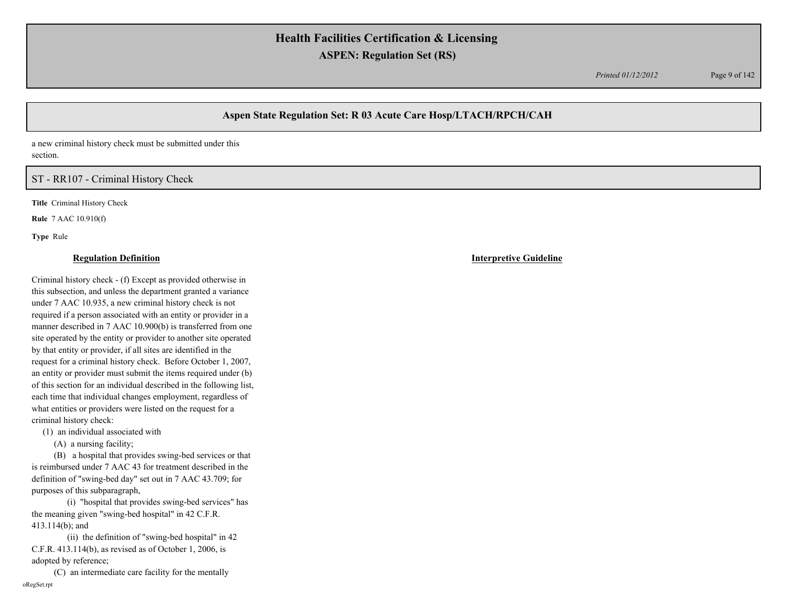*Printed 01/12/2012* Page 9 of 142

## **Aspen State Regulation Set: R 03 Acute Care Hosp/LTACH/RPCH/CAH**

a new criminal history check must be submitted under this section.

## ST - RR107 - Criminal History Check

**Title** Criminal History Check

**Rule** 7 AAC 10.910(f)

**Type** Rule

### **Regulation Definition Interpretive Guideline**

Criminal history check - (f) Except as provided otherwise in this subsection, and unless the department granted a variance under 7 AAC 10.935, a new criminal history check is not required if a person associated with an entity or provider in a manner described in 7 AAC 10.900(b) is transferred from one site operated by the entity or provider to another site operated by that entity or provider, if all sites are identified in the request for a criminal history check. Before October 1, 2007, an entity or provider must submit the items required under (b) of this section for an individual described in the following list, each time that individual changes employment, regardless of what entities or providers were listed on the request for a criminal history check:

(1) an individual associated with

(A) a nursing facility;

 (B) a hospital that provides swing-bed services or that is reimbursed under 7 AAC 43 for treatment described in the definition of "swing-bed day" set out in 7 AAC 43.709; for purposes of this subparagraph,

 (i) "hospital that provides swing-bed services" has the meaning given "swing-bed hospital" in 42 C.F.R. 413.114(b); and

 (ii) the definition of "swing-bed hospital" in 42 C.F.R. 413.114(b), as revised as of October 1, 2006, is adopted by reference;

 (C) an intermediate care facility for the mentally oRegSet.rpt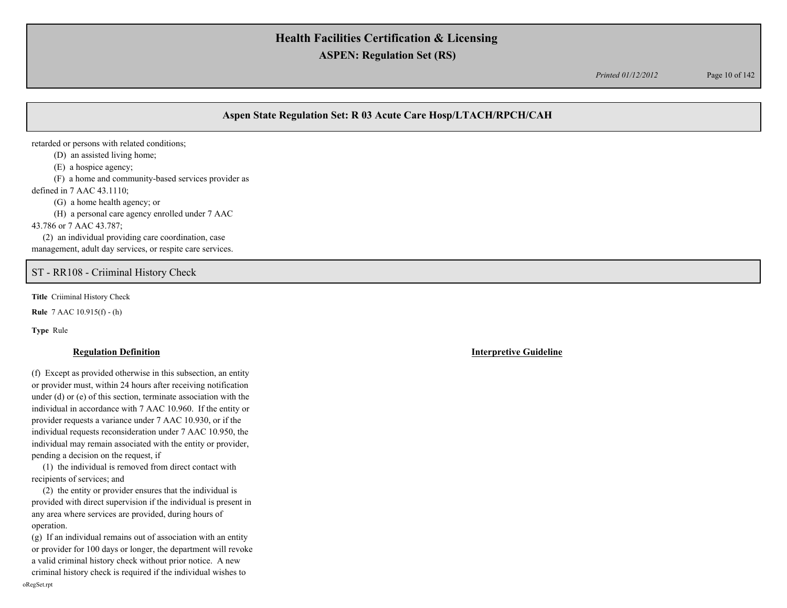*Printed 01/12/2012* Page 10 of 142

## **Aspen State Regulation Set: R 03 Acute Care Hosp/LTACH/RPCH/CAH**

retarded or persons with related conditions;

(D) an assisted living home;

(E) a hospice agency;

(F) a home and community-based services provider as

defined in 7 AAC 43.1110;

(G) a home health agency; or

(H) a personal care agency enrolled under 7 AAC

43.786 or 7 AAC 43.787;

 (2) an individual providing care coordination, case management, adult day services, or respite care services.

### ST - RR108 - Criiminal History Check

**Title** Criiminal History Check

**Rule** 7 AAC 10.915(f) - (h)

**Type** Rule

(f) Except as provided otherwise in this subsection, an entity or provider must, within 24 hours after receiving notification under (d) or (e) of this section, terminate association with the individual in accordance with 7 AAC 10.960. If the entity or provider requests a variance under 7 AAC 10.930, or if the individual requests reconsideration under 7 AAC 10.950, the individual may remain associated with the entity or provider, pending a decision on the request, if

 (1) the individual is removed from direct contact with recipients of services; and

 (2) the entity or provider ensures that the individual is provided with direct supervision if the individual is present in any area where services are provided, during hours of operation.

(g) If an individual remains out of association with an entity or provider for 100 days or longer, the department will revoke a valid criminal history check without prior notice. A new criminal history check is required if the individual wishes to oRegSet.rpt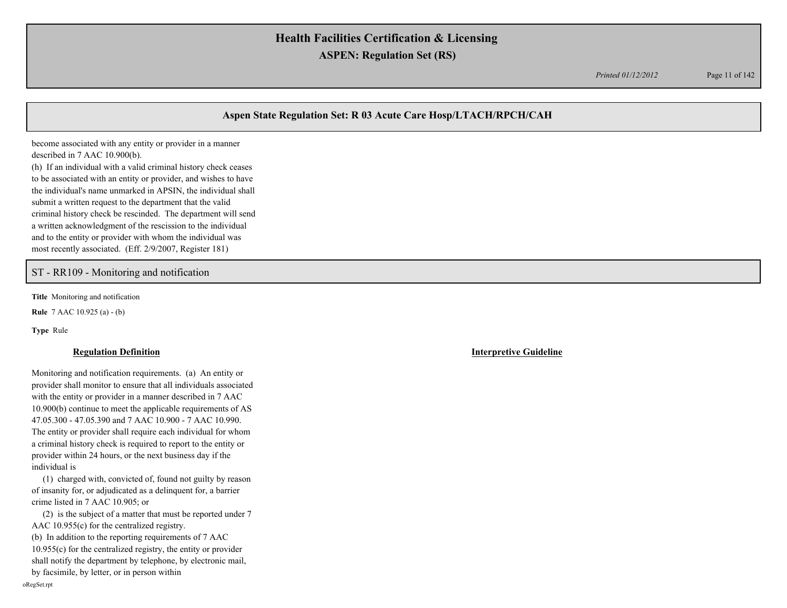*Printed 01/12/2012* Page 11 of 142

## **Aspen State Regulation Set: R 03 Acute Care Hosp/LTACH/RPCH/CAH**

become associated with any entity or provider in a manner described in 7 AAC 10.900(b).

(h) If an individual with a valid criminal history check ceases to be associated with an entity or provider, and wishes to have the individual's name unmarked in APSIN, the individual shall submit a written request to the department that the valid criminal history check be rescinded. The department will send a written acknowledgment of the rescission to the individual and to the entity or provider with whom the individual was most recently associated. (Eff. 2/9/2007, Register 181)

### ST - RR109 - Monitoring and notification

**Title** Monitoring and notification

**Rule** 7 AAC 10.925 (a) - (b)

**Type** Rule

### **Regulation Definition Interpretive Guideline**

Monitoring and notification requirements. (a) An entity or provider shall monitor to ensure that all individuals associated with the entity or provider in a manner described in 7 AAC 10.900(b) continue to meet the applicable requirements of AS 47.05.300 - 47.05.390 and 7 AAC 10.900 - 7 AAC 10.990. The entity or provider shall require each individual for whom a criminal history check is required to report to the entity or provider within 24 hours, or the next business day if the individual is

 (1) charged with, convicted of, found not guilty by reason of insanity for, or adjudicated as a delinquent for, a barrier crime listed in 7 AAC 10.905; or

 (2) is the subject of a matter that must be reported under 7 AAC 10.955(c) for the centralized registry.

(b) In addition to the reporting requirements of 7 AAC 10.955(c) for the centralized registry, the entity or provider shall notify the department by telephone, by electronic mail, by facsimile, by letter, or in person within

oRegSet.rpt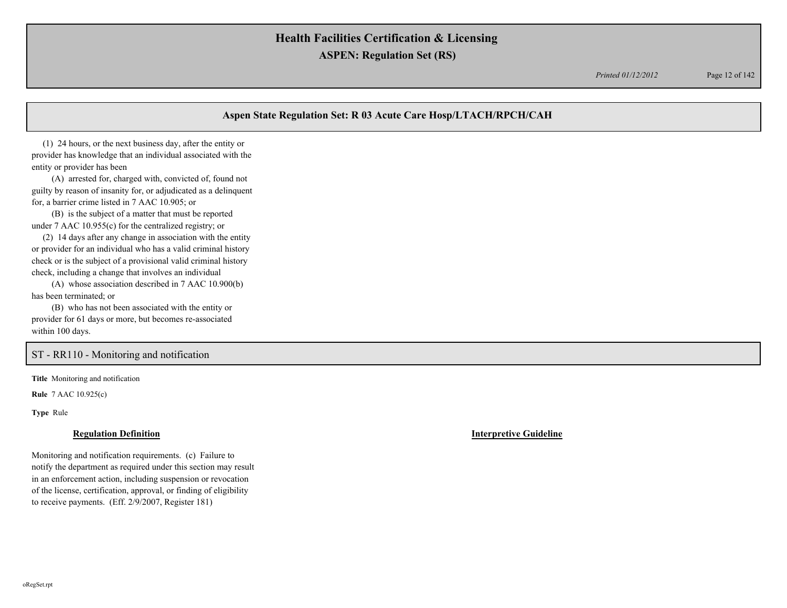*Printed 01/12/2012* Page 12 of 142

## **Aspen State Regulation Set: R 03 Acute Care Hosp/LTACH/RPCH/CAH**

 (1) 24 hours, or the next business day, after the entity or provider has knowledge that an individual associated with the entity or provider has been

 (A) arrested for, charged with, convicted of, found not guilty by reason of insanity for, or adjudicated as a delinquent for, a barrier crime listed in 7 AAC 10.905; or

 (B) is the subject of a matter that must be reported under 7 AAC 10.955(c) for the centralized registry; or

 (2) 14 days after any change in association with the entity or provider for an individual who has a valid criminal history check or is the subject of a provisional valid criminal history check, including a change that involves an individual

 (A) whose association described in 7 AAC 10.900(b) has been terminated; or

 (B) who has not been associated with the entity or provider for 61 days or more, but becomes re-associated within 100 days.

ST - RR110 - Monitoring and notification

**Title** Monitoring and notification

**Rule** 7 AAC 10.925(c)

**Type** Rule

### **Regulation Definition Interpretive Guideline**

Monitoring and notification requirements. (c) Failure to notify the department as required under this section may result in an enforcement action, including suspension or revocation of the license, certification, approval, or finding of eligibility to receive payments. (Eff. 2/9/2007, Register 181)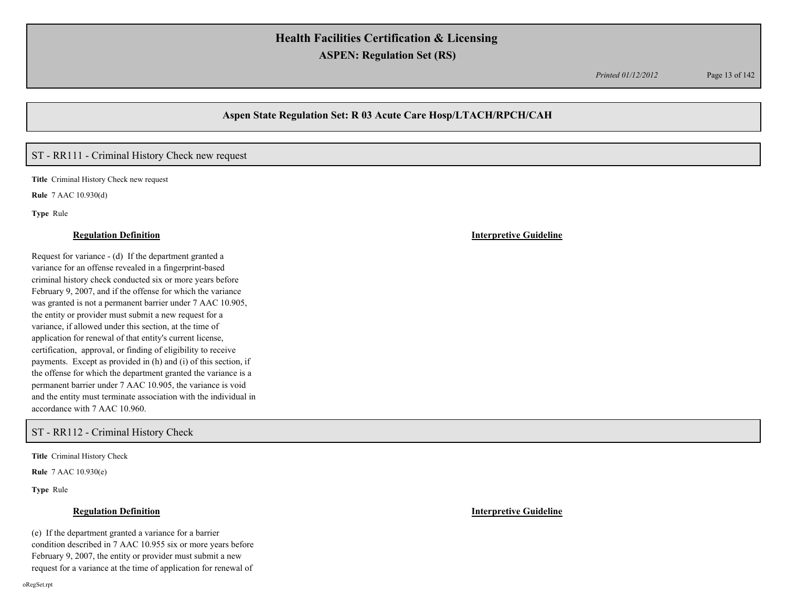*Printed 01/12/2012* Page 13 of 142

## **Aspen State Regulation Set: R 03 Acute Care Hosp/LTACH/RPCH/CAH**

## ST - RR111 - Criminal History Check new request

**Title** Criminal History Check new request

**Rule** 7 AAC 10.930(d)

**Type** Rule

Request for variance - (d) If the department granted a variance for an offense revealed in a fingerprint-based criminal history check conducted six or more years before February 9, 2007, and if the offense for which the variance was granted is not a permanent barrier under 7 AAC 10.905, the entity or provider must submit a new request for a variance, if allowed under this section, at the time of application for renewal of that entity's current license, certification, approval, or finding of eligibility to receive payments. Except as provided in (h) and (i) of this section, if the offense for which the department granted the variance is a permanent barrier under 7 AAC 10.905, the variance is void and the entity must terminate association with the individual in accordance with 7 AAC 10.960.

ST - RR112 - Criminal History Check

**Title** Criminal History Check

**Rule** 7 AAC 10.930(e)

**Type** Rule

### **Regulation Definition Interpretive Guideline**

(e) If the department granted a variance for a barrier condition described in 7 AAC 10.955 six or more years before February 9, 2007, the entity or provider must submit a new request for a variance at the time of application for renewal of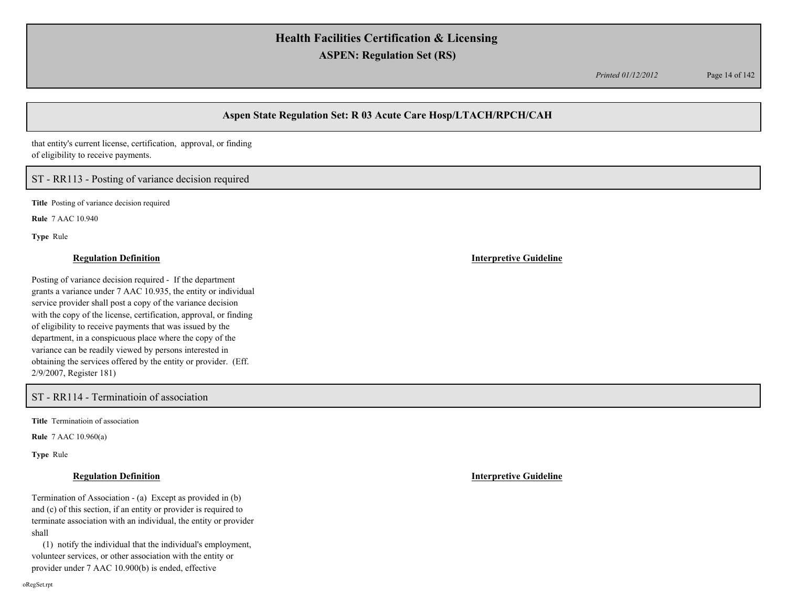*Printed 01/12/2012* Page 14 of 142

## **Aspen State Regulation Set: R 03 Acute Care Hosp/LTACH/RPCH/CAH**

that entity's current license, certification, approval, or finding of eligibility to receive payments.

## ST - RR113 - Posting of variance decision required

**Title** Posting of variance decision required

**Rule** 7 AAC 10.940

**Type** Rule

### **Regulation Definition Interpretive Guideline**

Posting of variance decision required - If the department grants a variance under 7 AAC 10.935, the entity or individual service provider shall post a copy of the variance decision with the copy of the license, certification, approval, or finding of eligibility to receive payments that was issued by the department, in a conspicuous place where the copy of the variance can be readily viewed by persons interested in obtaining the services offered by the entity or provider. (Eff. 2/9/2007, Register 181)

### ST - RR114 - Terminatioin of association

**Title** Terminatioin of association

**Rule** 7 AAC 10.960(a)

**Type** Rule

oRegSet.rpt

### **Regulation Definition Interpretive Guideline**

Termination of Association - (a) Except as provided in (b) and (c) of this section, if an entity or provider is required to terminate association with an individual, the entity or provider shall

 (1) notify the individual that the individual's employment, volunteer services, or other association with the entity or provider under 7 AAC 10.900(b) is ended, effective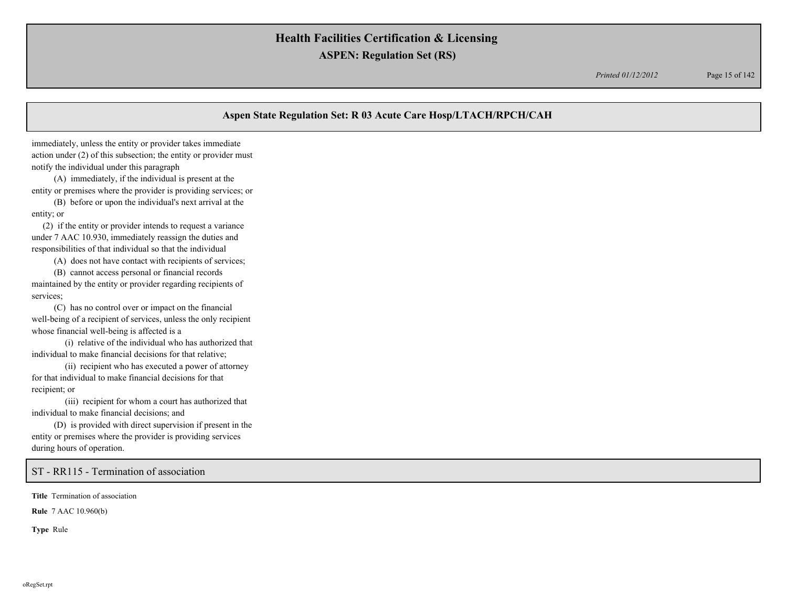*Printed 01/12/2012* Page 15 of 142

## **Aspen State Regulation Set: R 03 Acute Care Hosp/LTACH/RPCH/CAH**

immediately, unless the entity or provider takes immediate action under (2) of this subsection; the entity or provider must notify the individual under this paragraph

 (A) immediately, if the individual is present at the entity or premises where the provider is providing services; or

 (B) before or upon the individual's next arrival at the entity; or

 (2) if the entity or provider intends to request a variance under 7 AAC 10.930, immediately reassign the duties and responsibilities of that individual so that the individual

(A) does not have contact with recipients of services;

 (B) cannot access personal or financial records maintained by the entity or provider regarding recipients of services;

 (C) has no control over or impact on the financial well-being of a recipient of services, unless the only recipient whose financial well-being is affected is a

 (i) relative of the individual who has authorized that individual to make financial decisions for that relative;

 (ii) recipient who has executed a power of attorney for that individual to make financial decisions for that recipient; or

 (iii) recipient for whom a court has authorized that individual to make financial decisions; and

 (D) is provided with direct supervision if present in the entity or premises where the provider is providing services during hours of operation.

ST - RR115 - Termination of association

**Title** Termination of association

**Rule** 7 AAC 10.960(b)

**Type** Rule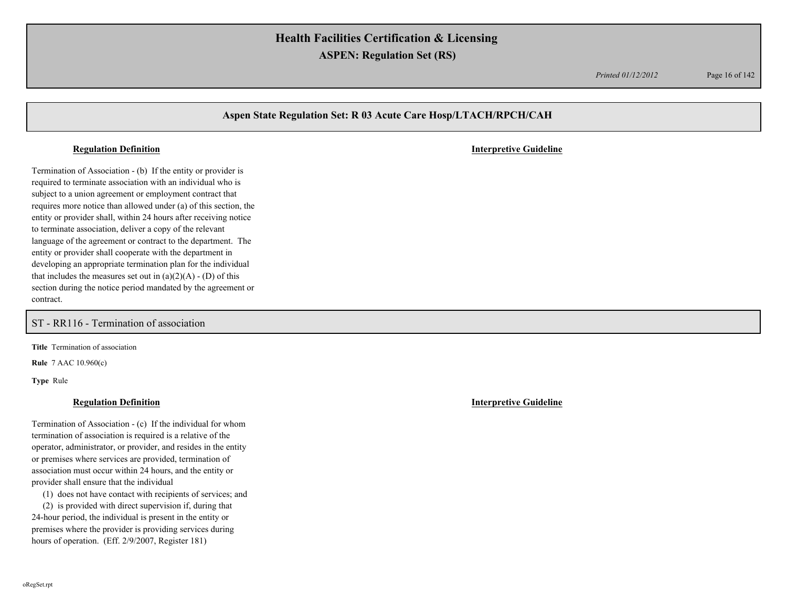*Printed 01/12/2012* Page 16 of 142

## **Aspen State Regulation Set: R 03 Acute Care Hosp/LTACH/RPCH/CAH**

### **Regulation Definition Interpretive Guideline**

Termination of Association - (b) If the entity or provider is required to terminate association with an individual who is subject to a union agreement or employment contract that requires more notice than allowed under (a) of this section, the entity or provider shall, within 24 hours after receiving notice to terminate association, deliver a copy of the relevant language of the agreement or contract to the department. The entity or provider shall cooperate with the department in developing an appropriate termination plan for the individual that includes the measures set out in  $(a)(2)(A) - (D)$  of this section during the notice period mandated by the agreement or contract.

ST - RR116 - Termination of association

**Title** Termination of association

**Rule** 7 AAC 10.960(c)

**Type** Rule

Termination of Association - (c) If the individual for whom termination of association is required is a relative of the operator, administrator, or provider, and resides in the entity or premises where services are provided, termination of association must occur within 24 hours, and the entity or provider shall ensure that the individual

(1) does not have contact with recipients of services; and

 (2) is provided with direct supervision if, during that 24-hour period, the individual is present in the entity or premises where the provider is providing services during hours of operation. (Eff. 2/9/2007, Register 181)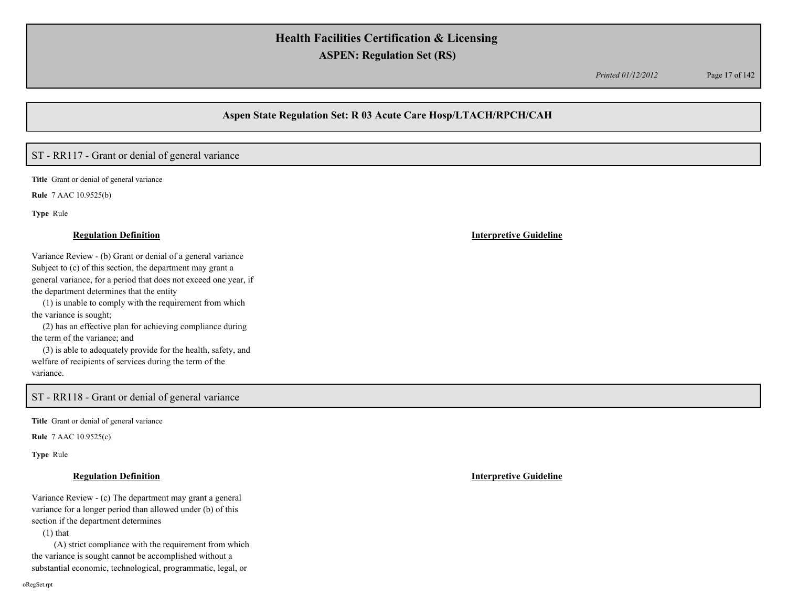*Printed 01/12/2012* Page 17 of 142

## **Aspen State Regulation Set: R 03 Acute Care Hosp/LTACH/RPCH/CAH**

## ST - RR117 - Grant or denial of general variance

**Title** Grant or denial of general variance

**Rule** 7 AAC 10.9525(b)

**Type** Rule

### **Regulation Definition Interpretive Guideline**

Variance Review - (b) Grant or denial of a general variance Subject to (c) of this section, the department may grant a general variance, for a period that does not exceed one year, if the department determines that the entity

 (1) is unable to comply with the requirement from which the variance is sought;

 (2) has an effective plan for achieving compliance during the term of the variance; and

 (3) is able to adequately provide for the health, safety, and welfare of recipients of services during the term of the variance.

### ST - RR118 - Grant or denial of general variance

**Title** Grant or denial of general variance

**Rule** 7 AAC 10.9525(c)

**Type** Rule

### **Regulation Definition Interpretive Guideline**

Variance Review - (c) The department may grant a general variance for a longer period than allowed under (b) of this section if the department determines

(1) that

 (A) strict compliance with the requirement from which the variance is sought cannot be accomplished without a substantial economic, technological, programmatic, legal, or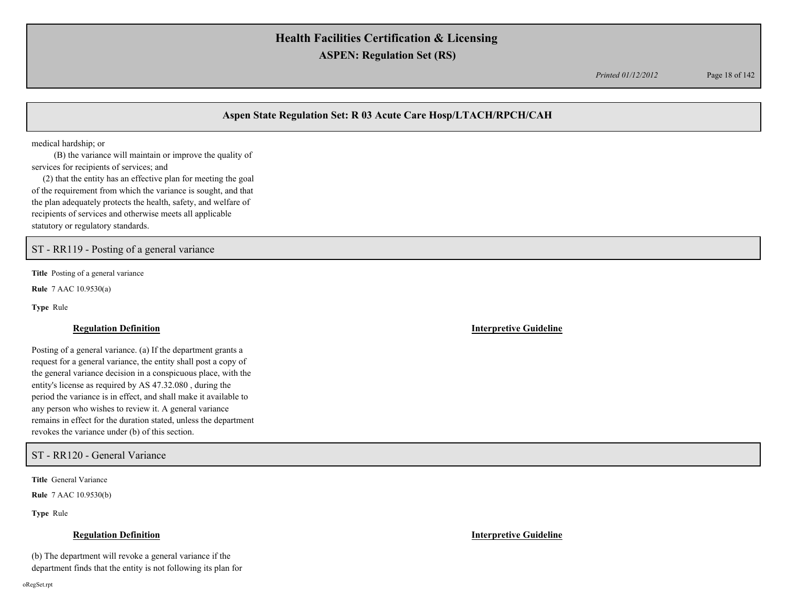*Printed 01/12/2012* Page 18 of 142

## **Aspen State Regulation Set: R 03 Acute Care Hosp/LTACH/RPCH/CAH**

medical hardship; or

 (B) the variance will maintain or improve the quality of services for recipients of services; and

 (2) that the entity has an effective plan for meeting the goal of the requirement from which the variance is sought, and that the plan adequately protects the health, safety, and welfare of recipients of services and otherwise meets all applicable statutory or regulatory standards.

ST - RR119 - Posting of a general variance

**Title** Posting of a general variance

**Rule** 7 AAC 10.9530(a)

**Type** Rule

### **Regulation Definition Interpretive Guideline**

Posting of a general variance. (a) If the department grants a request for a general variance, the entity shall post a copy of the general variance decision in a conspicuous place, with the entity's license as required by AS 47.32.080 , during the period the variance is in effect, and shall make it available to any person who wishes to review it. A general variance remains in effect for the duration stated, unless the department revokes the variance under (b) of this section.

ST - RR120 - General Variance

**Title** General Variance

**Rule** 7 AAC 10.9530(b)

**Type** Rule

### **Regulation Definition Interpretive Guideline**

(b) The department will revoke a general variance if the department finds that the entity is not following its plan for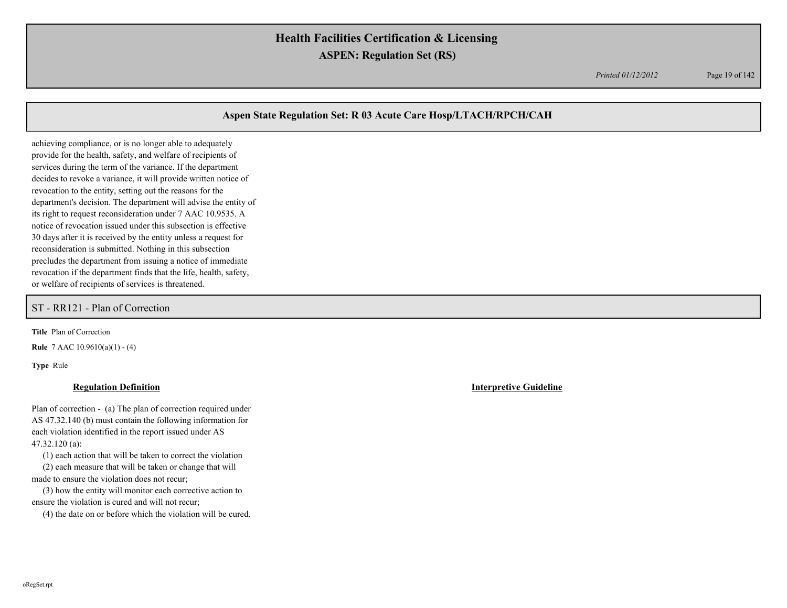*Printed 01/12/2012* Page 19 of 142

## **Aspen State Regulation Set: R 03 Acute Care Hosp/LTACH/RPCH/CAH**

achieving compliance, or is no longer able to adequately provide for the health, safety, and welfare of recipients of services during the term of the variance. If the department decides to revoke a variance, it will provide written notice of revocation to the entity, setting out the reasons for the department's decision. The department will advise the entity of its right to request reconsideration under 7 AAC 10.9535. A notice of revocation issued under this subsection is effective 30 days after it is received by the entity unless a request for reconsideration is submitted. Nothing in this subsection precludes the department from issuing a notice of immediate revocation if the department finds that the life, health, safety, or welfare of recipients of services is threatened.

## ST - RR121 - Plan of Correction

**Title** Plan of Correction

**Rule** 7 AAC 10.9610(a)(1) - (4)

**Type** Rule

Plan of correction - (a) The plan of correction required under AS 47.32.140 (b) must contain the following information for each violation identified in the report issued under AS 47.32.120 (a):

(1) each action that will be taken to correct the violation

 (2) each measure that will be taken or change that will made to ensure the violation does not recur;

 (3) how the entity will monitor each corrective action to ensure the violation is cured and will not recur;

(4) the date on or before which the violation will be cured.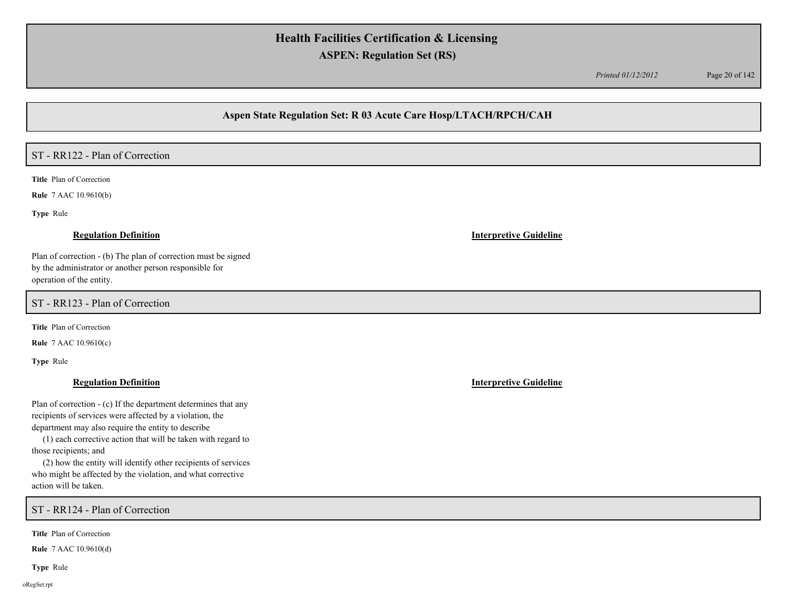*Printed 01/12/2012* Page 20 of 142

## **Aspen State Regulation Set: R 03 Acute Care Hosp/LTACH/RPCH/CAH**

## ST - RR122 - Plan of Correction

**Title** Plan of Correction

**Rule** 7 AAC 10.9610(b)

**Type** Rule

### **Regulation Definition Interpretive Guideline**

Plan of correction - (b) The plan of correction must be signed by the administrator or another person responsible for operation of the entity.

ST - RR123 - Plan of Correction

**Title** Plan of Correction

**Rule** 7 AAC 10.9610(c)

**Type** Rule

Plan of correction - (c) If the department determines that any recipients of services were affected by a violation, the department may also require the entity to describe

 (1) each corrective action that will be taken with regard to those recipients; and

 (2) how the entity will identify other recipients of services who might be affected by the violation, and what corrective action will be taken.

ST - RR124 - Plan of Correction

**Title** Plan of Correction

**Rule** 7 AAC 10.9610(d)

**Type** Rule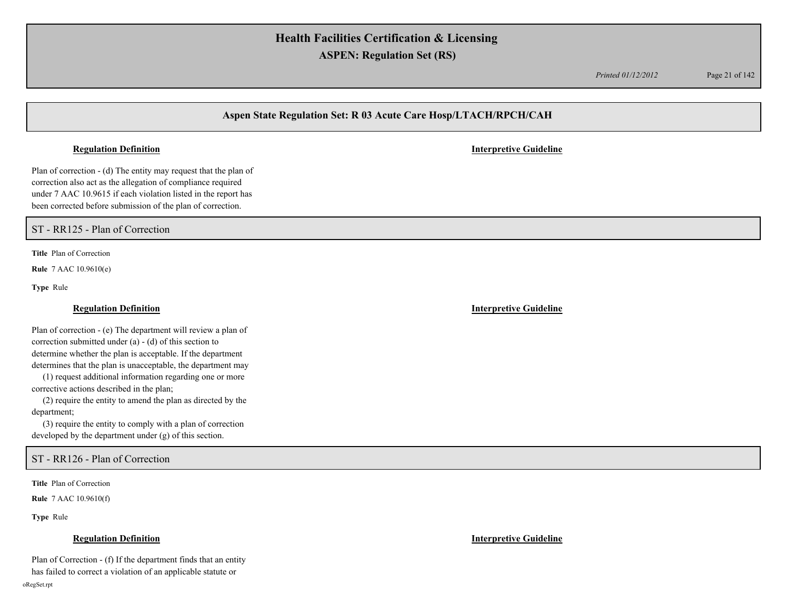*Printed 01/12/2012* Page 21 of 142

## **Aspen State Regulation Set: R 03 Acute Care Hosp/LTACH/RPCH/CAH**

### **Regulation Definition Interpretive Guideline**

Plan of correction - (d) The entity may request that the plan of correction also act as the allegation of compliance required under 7 AAC 10.9615 if each violation listed in the report has been corrected before submission of the plan of correction.

ST - RR125 - Plan of Correction

**Title** Plan of Correction

**Rule** 7 AAC 10.9610(e)

**Type** Rule

Plan of correction - (e) The department will review a plan of correction submitted under (a) - (d) of this section to determine whether the plan is acceptable. If the department determines that the plan is unacceptable, the department may

 (1) request additional information regarding one or more corrective actions described in the plan;

 (2) require the entity to amend the plan as directed by the department;

 (3) require the entity to comply with a plan of correction developed by the department under (g) of this section.

ST - RR126 - Plan of Correction

**Title** Plan of Correction

**Rule** 7 AAC 10.9610(f)

**Type** Rule

Plan of Correction - (f) If the department finds that an entity has failed to correct a violation of an applicable statute or

oRegSet.rpt

**Regulation Definition Interpretive Guideline**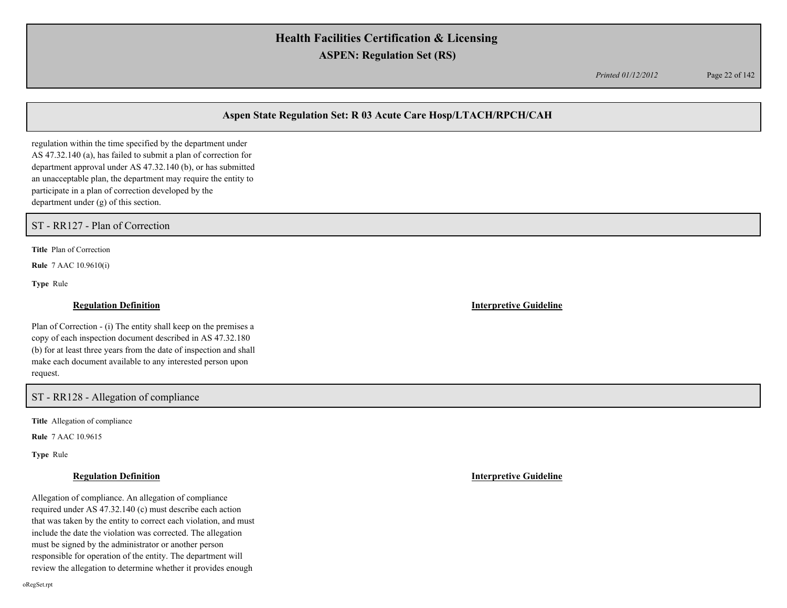*Printed 01/12/2012* Page 22 of 142

## **Aspen State Regulation Set: R 03 Acute Care Hosp/LTACH/RPCH/CAH**

regulation within the time specified by the department under AS 47.32.140 (a), has failed to submit a plan of correction for department approval under AS 47.32.140 (b), or has submitted an unacceptable plan, the department may require the entity to participate in a plan of correction developed by the department under (g) of this section.

ST - RR127 - Plan of Correction

**Title** Plan of Correction

**Rule** 7 AAC 10.9610(i)

**Type** Rule

Plan of Correction - (i) The entity shall keep on the premises a copy of each inspection document described in AS 47.32.180 (b) for at least three years from the date of inspection and shall make each document available to any interested person upon request.

### ST - RR128 - Allegation of compliance

**Title** Allegation of compliance

**Rule** 7 AAC 10.9615

**Type** Rule

Allegation of compliance. An allegation of compliance required under AS 47.32.140 (c) must describe each action that was taken by the entity to correct each violation, and must include the date the violation was corrected. The allegation must be signed by the administrator or another person responsible for operation of the entity. The department will review the allegation to determine whether it provides enough

**Regulation Definition Interpretive Guideline**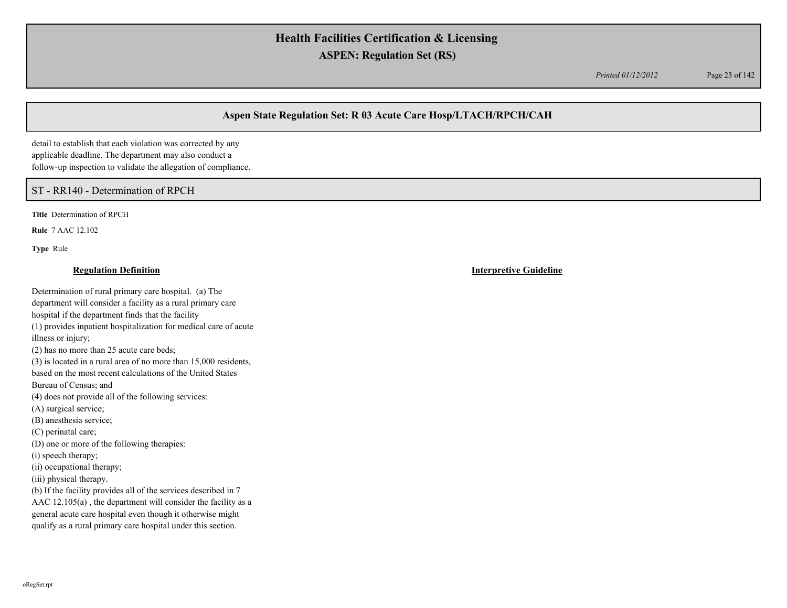*Printed 01/12/2012* Page 23 of 142

## **Aspen State Regulation Set: R 03 Acute Care Hosp/LTACH/RPCH/CAH**

detail to establish that each violation was corrected by any applicable deadline. The department may also conduct a follow-up inspection to validate the allegation of compliance.

### ST - RR140 - Determination of RPCH

**Title** Determination of RPCH

**Rule** 7 AAC 12.102

**Type** Rule

### **Regulation Definition Interpretive Guideline**

Determination of rural primary care hospital. (a) The department will consider a facility as a rural primary care hospital if the department finds that the facility (1) provides inpatient hospitalization for medical care of acute illness or injury; (2) has no more than 25 acute care beds; (3) is located in a rural area of no more than 15,000 residents, based on the most recent calculations of the United States Bureau of Census; and (4) does not provide all of the following services: (A) surgical service; (B) anesthesia service; (C) perinatal care; (D) one or more of the following therapies: (i) speech therapy; (ii) occupational therapy; (iii) physical therapy. (b) If the facility provides all of the services described in 7 AAC 12.105(a) , the department will consider the facility as a general acute care hospital even though it otherwise might qualify as a rural primary care hospital under this section.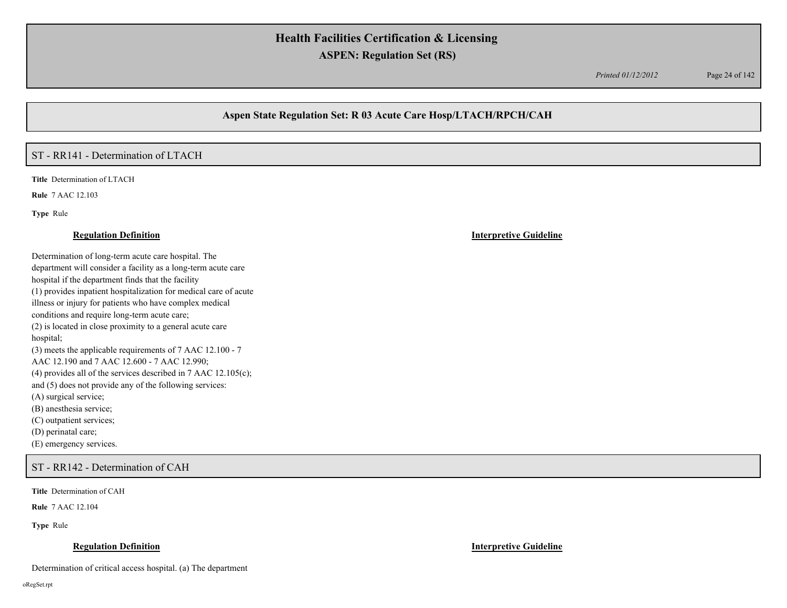*Printed 01/12/2012* Page 24 of 142

## **Aspen State Regulation Set: R 03 Acute Care Hosp/LTACH/RPCH/CAH**

### ST - RR141 - Determination of LTACH

**Title** Determination of LTACH

**Rule** 7 AAC 12.103

**Type** Rule

### **Regulation Definition Interpretive Guideline**

Determination of long-term acute care hospital. The department will consider a facility as a long-term acute care hospital if the department finds that the facility (1) provides inpatient hospitalization for medical care of acute illness or injury for patients who have complex medical conditions and require long-term acute care; (2) is located in close proximity to a general acute care hospital; (3) meets the applicable requirements of 7 AAC 12.100 - 7 AAC 12.190 and 7 AAC 12.600 - 7 AAC 12.990; (4) provides all of the services described in 7 AAC 12.105(c); and (5) does not provide any of the following services: (A) surgical service; (B) anesthesia service; (C) outpatient services; (D) perinatal care; (E) emergency services.

ST - RR142 - Determination of CAH

**Title** Determination of CAH

**Rule** 7 AAC 12.104

**Type** Rule

### **Regulation Definition Interpretive Guideline**

Determination of critical access hospital. (a) The department

oRegSet.rpt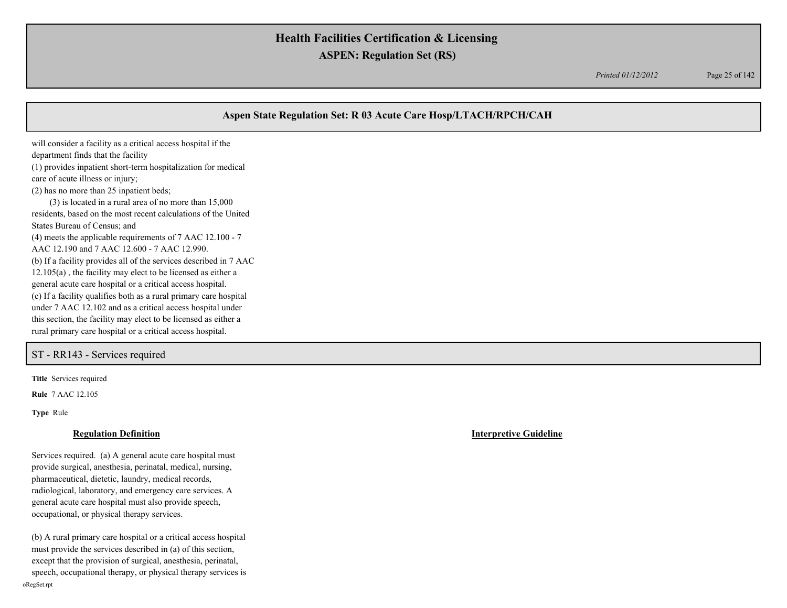*Printed 01/12/2012* Page 25 of 142

## **Aspen State Regulation Set: R 03 Acute Care Hosp/LTACH/RPCH/CAH** will consider a facility as a critical access hospital if the department finds that the facility (1) provides inpatient short-term hospitalization for medical care of acute illness or injury; (2) has no more than 25 inpatient beds; (3) is located in a rural area of no more than 15,000 residents, based on the most recent calculations of the United States Bureau of Census; and (4) meets the applicable requirements of 7 AAC 12.100 - 7 AAC 12.190 and 7 AAC 12.600 - 7 AAC 12.990. (b) If a facility provides all of the services described in 7 AAC 12.105(a) , the facility may elect to be licensed as either a general acute care hospital or a critical access hospital.

(c) If a facility qualifies both as a rural primary care hospital under 7 AAC 12.102 and as a critical access hospital under this section, the facility may elect to be licensed as either a rural primary care hospital or a critical access hospital.

ST - RR143 - Services required

**Title** Services required

**Rule** 7 AAC 12.105

**Type** Rule

Services required. (a) A general acute care hospital must provide surgical, anesthesia, perinatal, medical, nursing, pharmaceutical, dietetic, laundry, medical records, radiological, laboratory, and emergency care services. A general acute care hospital must also provide speech, occupational, or physical therapy services.

(b) A rural primary care hospital or a critical access hospital must provide the services described in (a) of this section, except that the provision of surgical, anesthesia, perinatal, speech, occupational therapy, or physical therapy services is oRegSet.rpt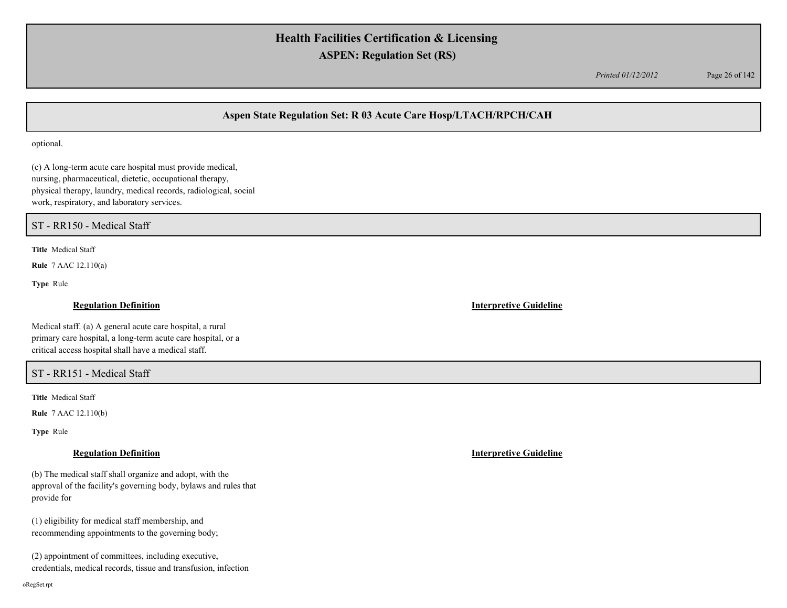*Printed 01/12/2012* Page 26 of 142

## **Aspen State Regulation Set: R 03 Acute Care Hosp/LTACH/RPCH/CAH**

optional.

(c) A long-term acute care hospital must provide medical, nursing, pharmaceutical, dietetic, occupational therapy, physical therapy, laundry, medical records, radiological, social work, respiratory, and laboratory services.

ST - RR150 - Medical Staff

**Title** Medical Staff

**Rule** 7 AAC 12.110(a)

**Type** Rule

Medical staff. (a) A general acute care hospital, a rural primary care hospital, a long-term acute care hospital, or a critical access hospital shall have a medical staff.

ST - RR151 - Medical Staff

**Title** Medical Staff

**Rule** 7 AAC 12.110(b)

**Type** Rule

(b) The medical staff shall organize and adopt, with the approval of the facility's governing body, bylaws and rules that provide for

(1) eligibility for medical staff membership, and recommending appointments to the governing body;

(2) appointment of committees, including executive, credentials, medical records, tissue and transfusion, infection

**Regulation Definition Interpretive Guideline**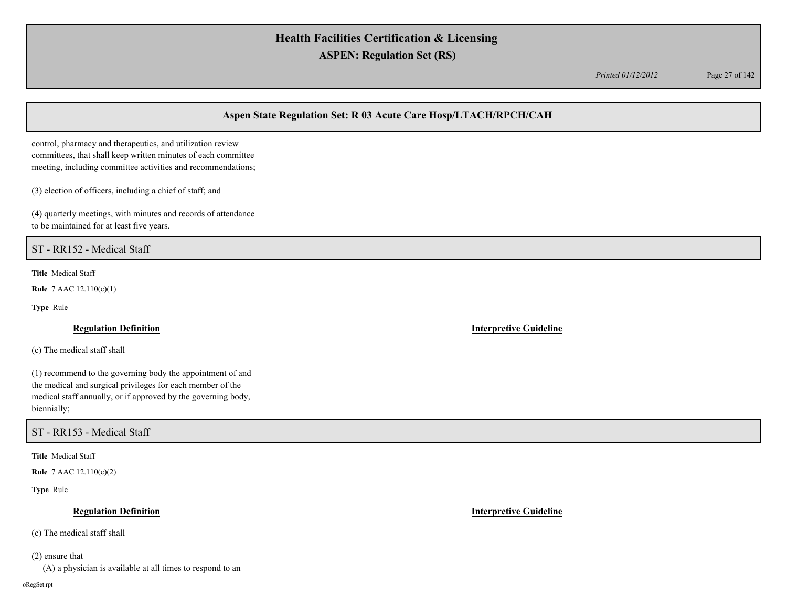*Printed 01/12/2012* Page 27 of 142

## **Aspen State Regulation Set: R 03 Acute Care Hosp/LTACH/RPCH/CAH**

control, pharmacy and therapeutics, and utilization review committees, that shall keep written minutes of each committee meeting, including committee activities and recommendations;

(3) election of officers, including a chief of staff; and

(4) quarterly meetings, with minutes and records of attendance to be maintained for at least five years.

ST - RR152 - Medical Staff

**Title** Medical Staff

**Rule** 7 AAC 12.110(c)(1)

**Type** Rule

### **Regulation Definition Interpretive Guideline**

(c) The medical staff shall

(1) recommend to the governing body the appointment of and the medical and surgical privileges for each member of the medical staff annually, or if approved by the governing body, biennially;

ST - RR153 - Medical Staff

**Title** Medical Staff

**Rule** 7 AAC 12.110(c)(2)

**Type** Rule

(c) The medical staff shall

(2) ensure that

(A) a physician is available at all times to respond to an

oRegSet.rpt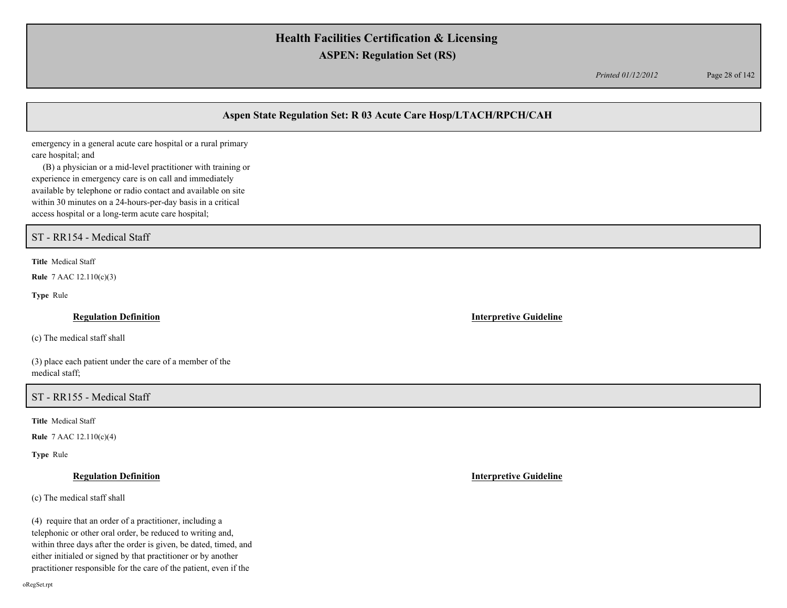*Printed 01/12/2012* Page 28 of 142

## **Aspen State Regulation Set: R 03 Acute Care Hosp/LTACH/RPCH/CAH**

emergency in a general acute care hospital or a rural primary care hospital; and

 (B) a physician or a mid-level practitioner with training or experience in emergency care is on call and immediately available by telephone or radio contact and available on site within 30 minutes on a 24-hours-per-day basis in a critical access hospital or a long-term acute care hospital;

ST - RR154 - Medical Staff

**Title** Medical Staff

**Rule** 7 AAC 12.110(c)(3)

**Type** Rule

(c) The medical staff shall

(3) place each patient under the care of a member of the medical staff;

### ST - RR155 - Medical Staff

**Title** Medical Staff

**Rule** 7 AAC 12.110(c)(4)

**Type** Rule

(c) The medical staff shall

(4) require that an order of a practitioner, including a telephonic or other oral order, be reduced to writing and, within three days after the order is given, be dated, timed, and either initialed or signed by that practitioner or by another practitioner responsible for the care of the patient, even if the

**Regulation Definition Interpretive Guideline**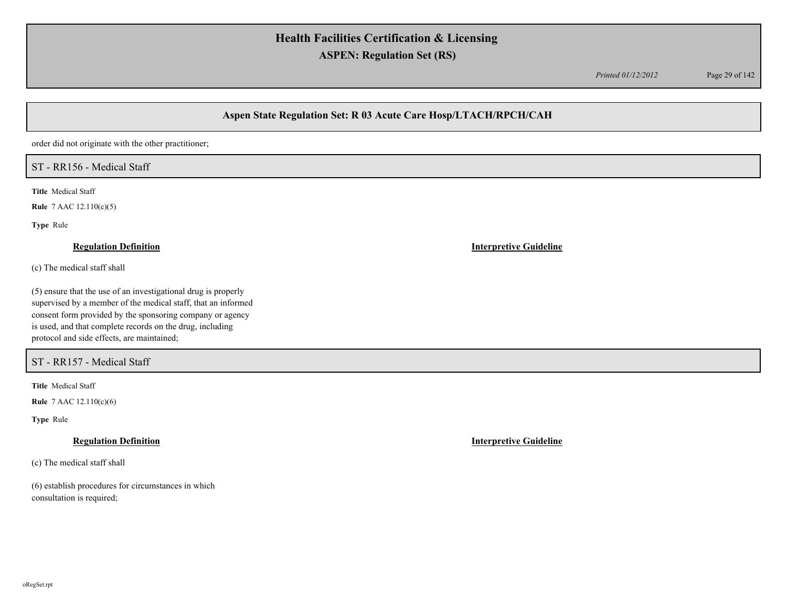*Printed 01/12/2012* Page 29 of 142

## **Aspen State Regulation Set: R 03 Acute Care Hosp/LTACH/RPCH/CAH**

order did not originate with the other practitioner;

## ST - RR156 - Medical Staff

**Title** Medical Staff

**Rule** 7 AAC 12.110(c)(5)

**Type** Rule

### **Regulation Definition Interpretive Guideline**

(c) The medical staff shall

(5) ensure that the use of an investigational drug is properly supervised by a member of the medical staff, that an informed consent form provided by the sponsoring company or agency is used, and that complete records on the drug, including protocol and side effects, are maintained;

ST - RR157 - Medical Staff

**Title** Medical Staff

**Rule** 7 AAC 12.110(c)(6)

**Type** Rule

### **Regulation Definition Interpretive Guideline**

(c) The medical staff shall

(6) establish procedures for circumstances in which consultation is required;

oRegSet.rpt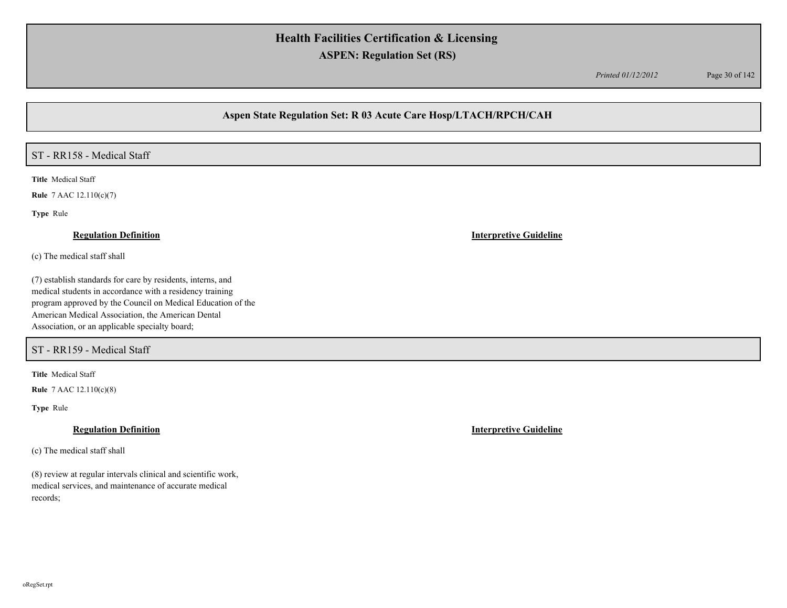*Printed 01/12/2012* Page 30 of 142

## **Aspen State Regulation Set: R 03 Acute Care Hosp/LTACH/RPCH/CAH**

## ST - RR158 - Medical Staff

**Title** Medical Staff

**Rule** 7 AAC 12.110(c)(7)

**Type** Rule

### **Regulation Definition Interpretive Guideline**

(c) The medical staff shall

(7) establish standards for care by residents, interns, and medical students in accordance with a residency training program approved by the Council on Medical Education of the American Medical Association, the American Dental Association, or an applicable specialty board;

ST - RR159 - Medical Staff

**Title** Medical Staff

**Rule** 7 AAC 12.110(c)(8)

**Type** Rule

(c) The medical staff shall

(8) review at regular intervals clinical and scientific work, medical services, and maintenance of accurate medical records;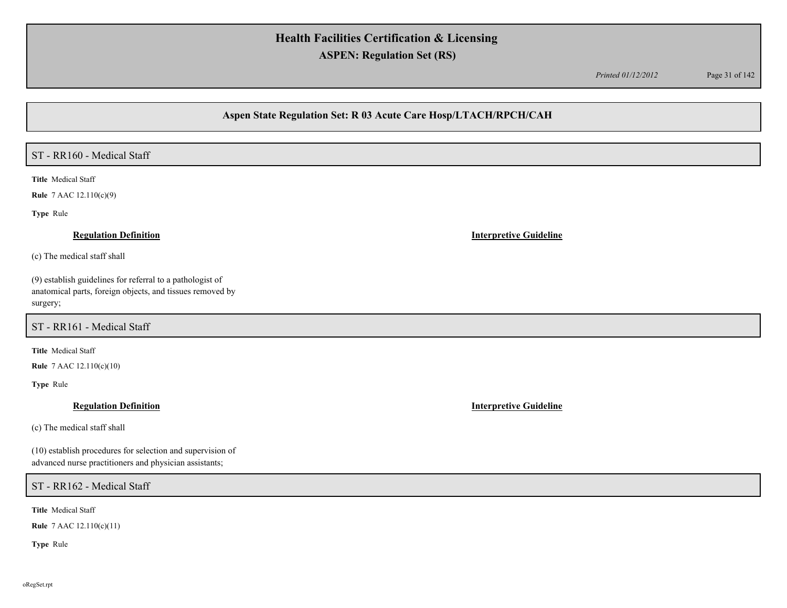*Printed 01/12/2012* Page 31 of 142

## **Aspen State Regulation Set: R 03 Acute Care Hosp/LTACH/RPCH/CAH**

## ST - RR160 - Medical Staff

**Title** Medical Staff

**Rule** 7 AAC 12.110(c)(9)

**Type** Rule

(c) The medical staff shall

(9) establish guidelines for referral to a pathologist of anatomical parts, foreign objects, and tissues removed by surgery;

ST - RR161 - Medical Staff

**Title** Medical Staff

**Rule** 7 AAC 12.110(c)(10)

**Type** Rule

(c) The medical staff shall

(10) establish procedures for selection and supervision of advanced nurse practitioners and physician assistants;

ST - RR162 - Medical Staff

**Title** Medical Staff

**Rule** 7 AAC 12.110(c)(11)

**Type** Rule

### **Regulation Definition Interpretive Guideline**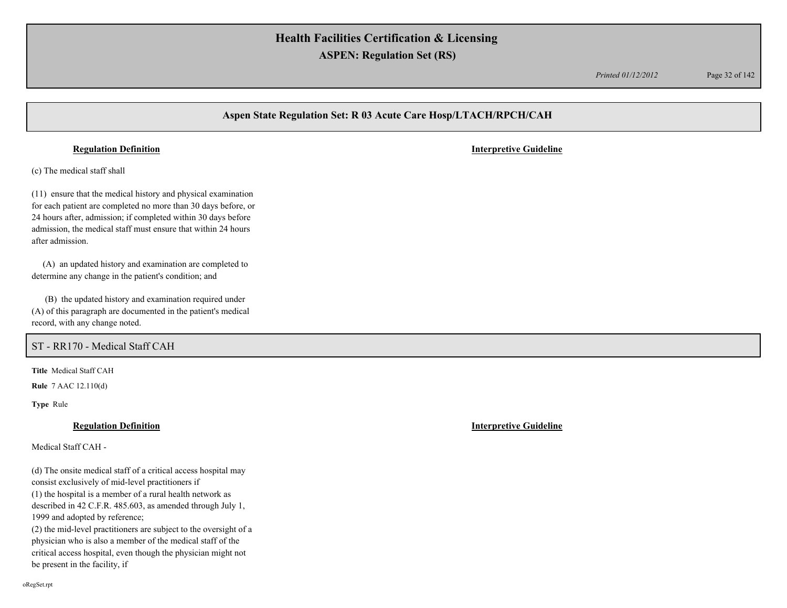*Printed 01/12/2012* Page 32 of 142

## **Aspen State Regulation Set: R 03 Acute Care Hosp/LTACH/RPCH/CAH**

(c) The medical staff shall

(11) ensure that the medical history and physical examination for each patient are completed no more than 30 days before, or 24 hours after, admission; if completed within 30 days before admission, the medical staff must ensure that within 24 hours after admission.

 (A) an updated history and examination are completed to determine any change in the patient's condition; and

 (B) the updated history and examination required under (A) of this paragraph are documented in the patient's medical record, with any change noted.

## ST - RR170 - Medical Staff CAH

**Title** Medical Staff CAH

**Rule** 7 AAC 12.110(d)

**Type** Rule

### **Regulation Definition Interpretive Guideline**

Medical Staff CAH -

(d) The onsite medical staff of a critical access hospital may consist exclusively of mid-level practitioners if (1) the hospital is a member of a rural health network as described in 42 C.F.R. 485.603, as amended through July 1, 1999 and adopted by reference; (2) the mid-level practitioners are subject to the oversight of a physician who is also a member of the medical staff of the critical access hospital, even though the physician might not be present in the facility, if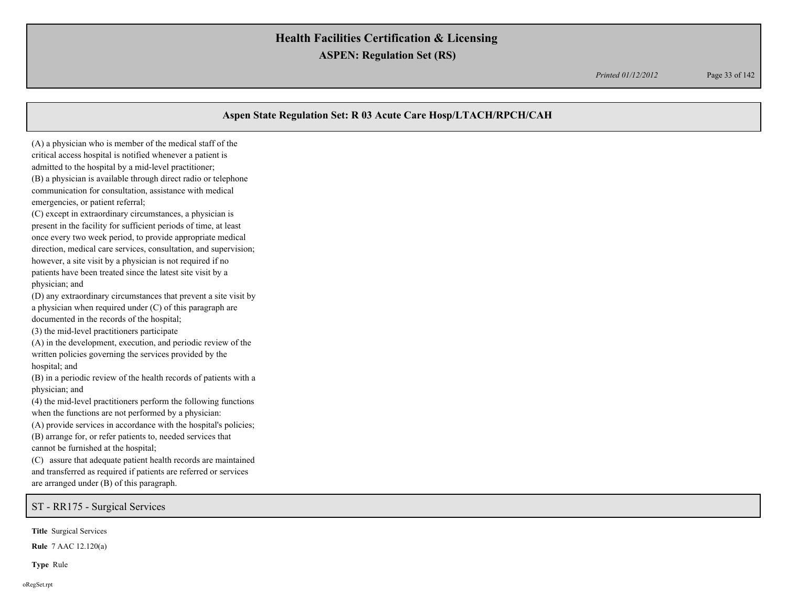*Printed 01/12/2012* Page 33 of 142

## **Aspen State Regulation Set: R 03 Acute Care Hosp/LTACH/RPCH/CAH** (A) a physician who is member of the medical staff of the critical access hospital is notified whenever a patient is admitted to the hospital by a mid-level practitioner; (B) a physician is available through direct radio or telephone communication for consultation, assistance with medical emergencies, or patient referral; (C) except in extraordinary circumstances, a physician is present in the facility for sufficient periods of time, at least once every two week period, to provide appropriate medical direction, medical care services, consultation, and supervision; however, a site visit by a physician is not required if no patients have been treated since the latest site visit by a physician; and (D) any extraordinary circumstances that prevent a site visit by a physician when required under (C) of this paragraph are documented in the records of the hospital; (3) the mid-level practitioners participate (A) in the development, execution, and periodic review of the written policies governing the services provided by the hospital; and (B) in a periodic review of the health records of patients with a physician; and (4) the mid-level practitioners perform the following functions when the functions are not performed by a physician: (A) provide services in accordance with the hospital's policies; (B) arrange for, or refer patients to, needed services that cannot be furnished at the hospital; (C) assure that adequate patient health records are maintained and transferred as required if patients are referred or services are arranged under (B) of this paragraph.

ST - RR175 - Surgical Services

**Title** Surgical Services

**Rule** 7 AAC 12.120(a)

**Type** Rule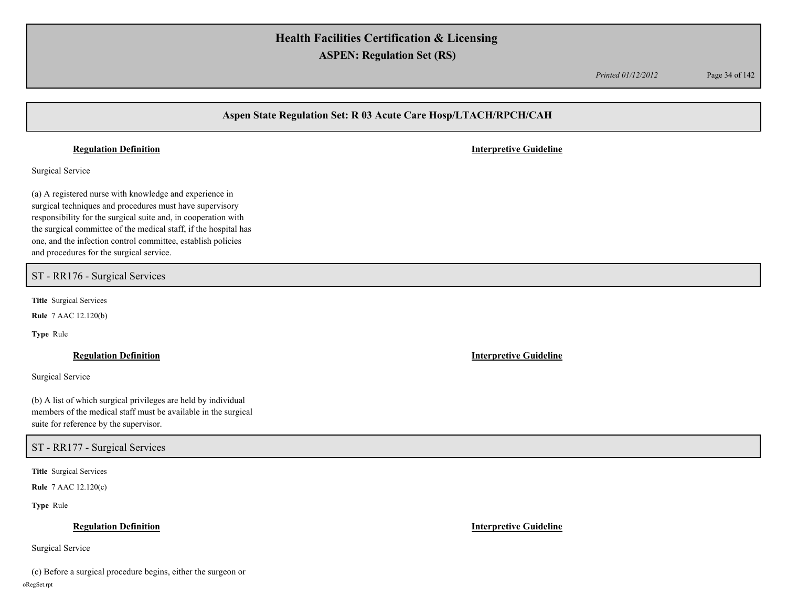*Printed 01/12/2012* Page 34 of 142

## **Aspen State Regulation Set: R 03 Acute Care Hosp/LTACH/RPCH/CAH**

### **Regulation Definition Interpretive Guideline**

Surgical Service

(a) A registered nurse with knowledge and experience in surgical techniques and procedures must have supervisory responsibility for the surgical suite and, in cooperation with the surgical committee of the medical staff, if the hospital has one, and the infection control committee, establish policies and procedures for the surgical service.

## ST - RR176 - Surgical Services

**Title** Surgical Services

**Rule** 7 AAC 12.120(b)

**Type** Rule

### **Regulation Definition Interpretive Guideline**

Surgical Service

(b) A list of which surgical privileges are held by individual members of the medical staff must be available in the surgical suite for reference by the supervisor.

## ST - RR177 - Surgical Services

**Title** Surgical Services

**Rule** 7 AAC 12.120(c)

**Type** Rule

Surgical Service

(c) Before a surgical procedure begins, either the surgeon or oRegSet.rpt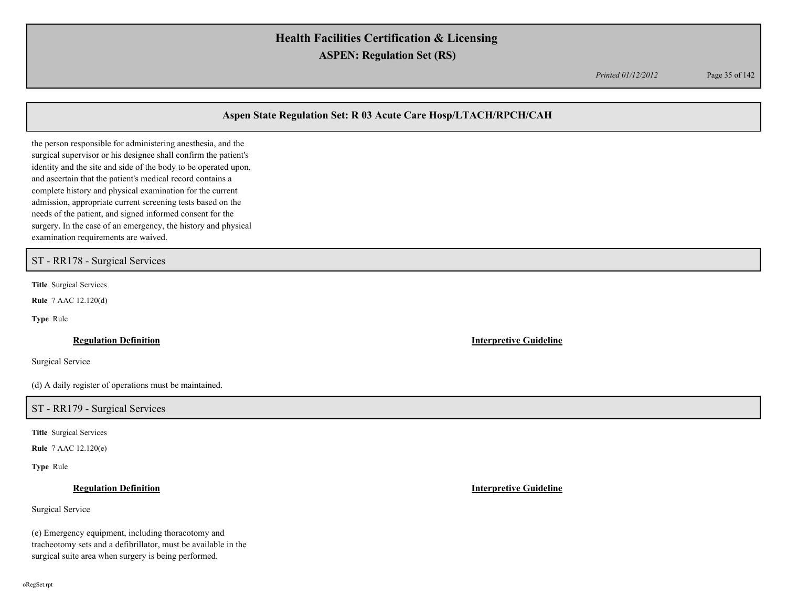*Printed 01/12/2012* Page 35 of 142

## **Aspen State Regulation Set: R 03 Acute Care Hosp/LTACH/RPCH/CAH**

the person responsible for administering anesthesia, and the surgical supervisor or his designee shall confirm the patient's identity and the site and side of the body to be operated upon, and ascertain that the patient's medical record contains a complete history and physical examination for the current admission, appropriate current screening tests based on the needs of the patient, and signed informed consent for the surgery. In the case of an emergency, the history and physical examination requirements are waived.

## ST - RR178 - Surgical Services

**Title** Surgical Services

**Rule** 7 AAC 12.120(d)

**Type** Rule

Surgical Service

(d) A daily register of operations must be maintained.

### ST - RR179 - Surgical Services

**Title** Surgical Services

**Rule** 7 AAC 12.120(e)

**Type** Rule

Surgical Service

(e) Emergency equipment, including thoracotomy and tracheotomy sets and a defibrillator, must be available in the surgical suite area when surgery is being performed.

**Regulation Definition Interpretive Guideline**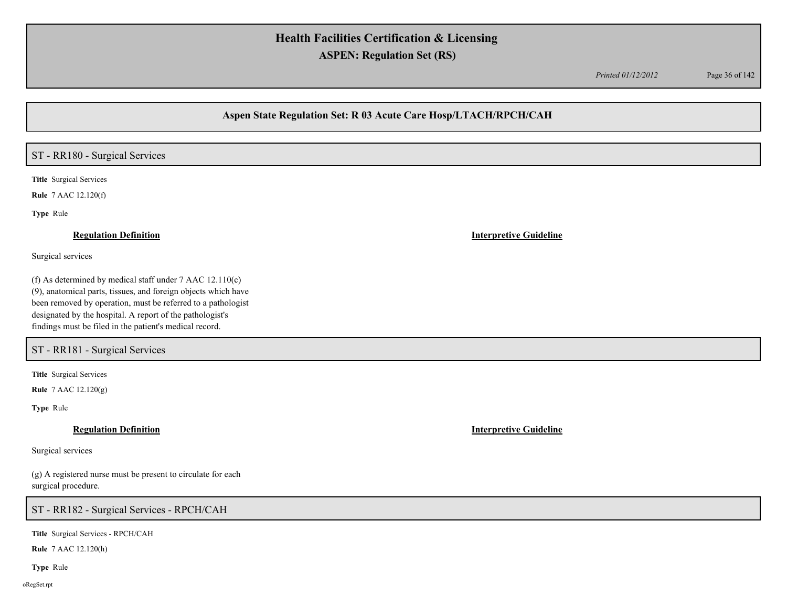*Printed 01/12/2012* Page 36 of 142

## **Aspen State Regulation Set: R 03 Acute Care Hosp/LTACH/RPCH/CAH**

## ST - RR180 - Surgical Services

**Title** Surgical Services

**Rule** 7 AAC 12.120(f)

**Type** Rule

Surgical services

(f) As determined by medical staff under 7 AAC 12.110(c) (9), anatomical parts, tissues, and foreign objects which have been removed by operation, must be referred to a pathologist designated by the hospital. A report of the pathologist's findings must be filed in the patient's medical record.

ST - RR181 - Surgical Services

**Title** Surgical Services

**Rule** 7 AAC 12.120(g)

**Type** Rule

Surgical services

(g) A registered nurse must be present to circulate for each surgical procedure.

ST - RR182 - Surgical Services - RPCH/CAH

**Title** Surgical Services - RPCH/CAH

**Rule** 7 AAC 12.120(h)

**Type** Rule

oRegSet.rpt

### **Regulation Definition Interpretive Guideline**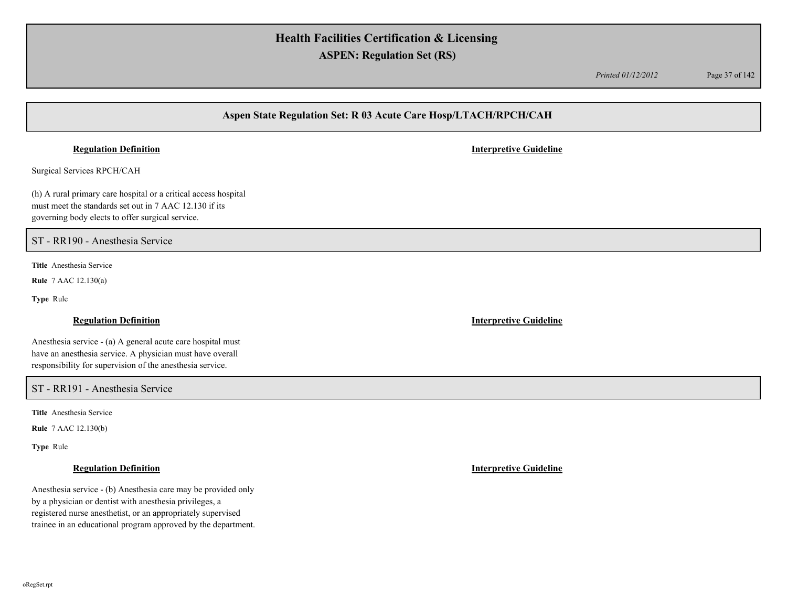*Printed 01/12/2012* Page 37 of 142

## **Aspen State Regulation Set: R 03 Acute Care Hosp/LTACH/RPCH/CAH**

### **Regulation Definition Interpretive Guideline**

Surgical Services RPCH/CAH

(h) A rural primary care hospital or a critical access hospital must meet the standards set out in 7 AAC 12.130 if its governing body elects to offer surgical service.

ST - RR190 - Anesthesia Service

**Title** Anesthesia Service

**Rule** 7 AAC 12.130(a)

**Type** Rule

Anesthesia service - (a) A general acute care hospital must have an anesthesia service. A physician must have overall responsibility for supervision of the anesthesia service.

ST - RR191 - Anesthesia Service

**Title** Anesthesia Service

**Rule** 7 AAC 12.130(b)

**Type** Rule

Anesthesia service - (b) Anesthesia care may be provided only by a physician or dentist with anesthesia privileges, a registered nurse anesthetist, or an appropriately supervised trainee in an educational program approved by the department.

**Regulation Definition Interpretive Guideline**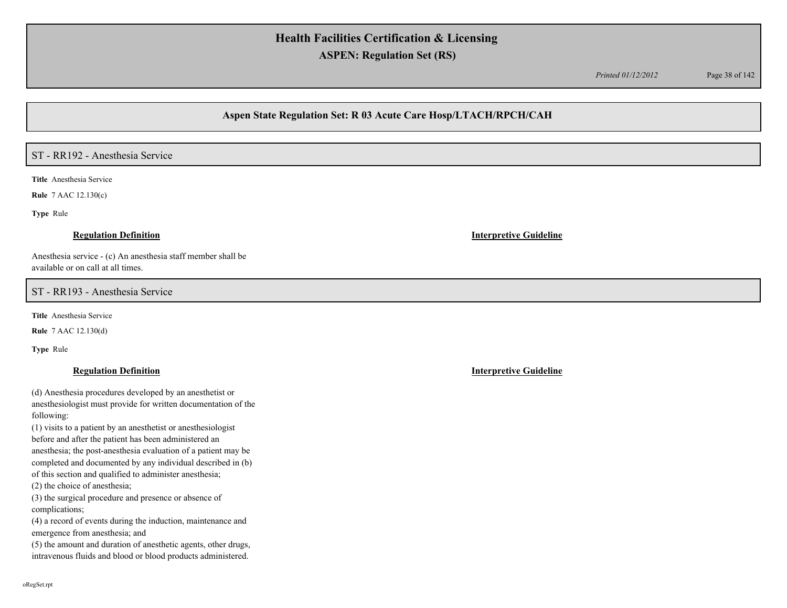*Printed 01/12/2012* Page 38 of 142

### **Aspen State Regulation Set: R 03 Acute Care Hosp/LTACH/RPCH/CAH**

## ST - RR192 - Anesthesia Service

**Title** Anesthesia Service

**Rule** 7 AAC 12.130(c)

**Type** Rule

#### **Regulation Definition Interpretive Guideline**

Anesthesia service - (c) An anesthesia staff member shall be available or on call at all times.

ST - RR193 - Anesthesia Service

**Title** Anesthesia Service

**Rule** 7 AAC 12.130(d)

**Type** Rule

(d) Anesthesia procedures developed by an anesthetist or anesthesiologist must provide for written documentation of the following:

(1) visits to a patient by an anesthetist or anesthesiologist before and after the patient has been administered an anesthesia; the post-anesthesia evaluation of a patient may be completed and documented by any individual described in (b) of this section and qualified to administer anesthesia;

(2) the choice of anesthesia;

(3) the surgical procedure and presence or absence of complications;

(4) a record of events during the induction, maintenance and emergence from anesthesia; and

(5) the amount and duration of anesthetic agents, other drugs, intravenous fluids and blood or blood products administered.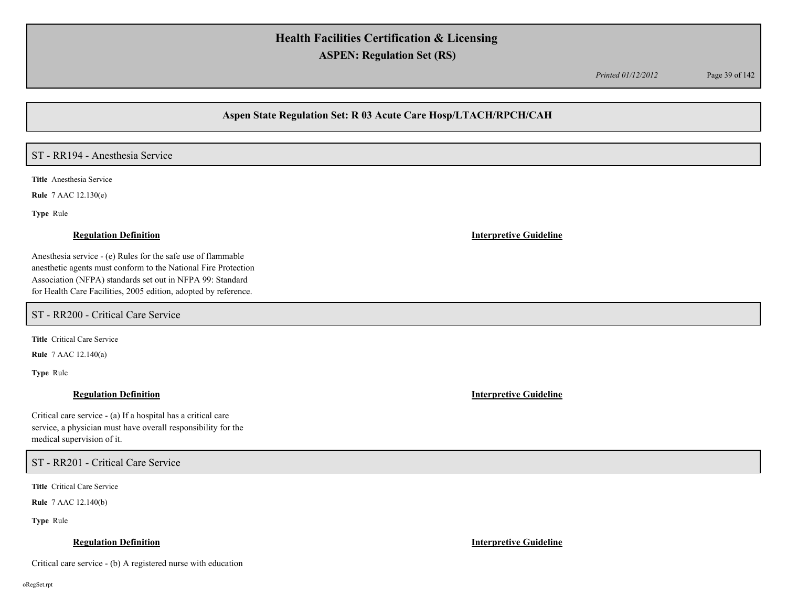*Printed 01/12/2012* Page 39 of 142

## **Aspen State Regulation Set: R 03 Acute Care Hosp/LTACH/RPCH/CAH**

## ST - RR194 - Anesthesia Service

**Title** Anesthesia Service

**Rule** 7 AAC 12.130(e)

**Type** Rule

#### **Regulation Definition Interpretive Guideline**

Anesthesia service - (e) Rules for the safe use of flammable anesthetic agents must conform to the National Fire Protection Association (NFPA) standards set out in NFPA 99: Standard for Health Care Facilities, 2005 edition, adopted by reference.

ST - RR200 - Critical Care Service

**Title** Critical Care Service

**Rule** 7 AAC 12.140(a)

**Type** Rule

Critical care service - (a) If a hospital has a critical care service, a physician must have overall responsibility for the medical supervision of it.

ST - RR201 - Critical Care Service

**Title** Critical Care Service

**Rule** 7 AAC 12.140(b)

**Type** Rule

### **Regulation Definition Interpretive Guideline**

Critical care service - (b) A registered nurse with education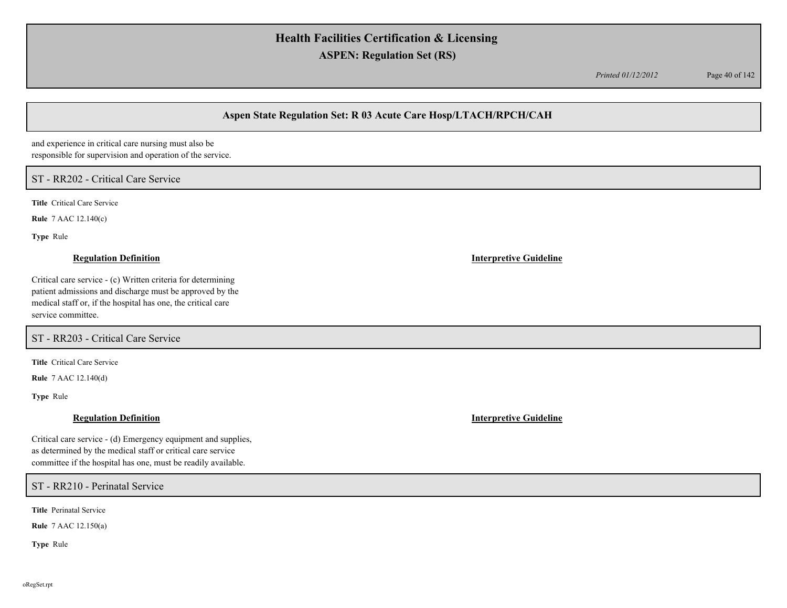*Printed 01/12/2012* Page 40 of 142

### **Aspen State Regulation Set: R 03 Acute Care Hosp/LTACH/RPCH/CAH**

and experience in critical care nursing must also be responsible for supervision and operation of the service.

## ST - RR202 - Critical Care Service

**Title** Critical Care Service

**Rule** 7 AAC 12.140(c)

**Type** Rule

Critical care service - (c) Written criteria for determining patient admissions and discharge must be approved by the medical staff or, if the hospital has one, the critical care service committee.

ST - RR203 - Critical Care Service

**Title** Critical Care Service

**Rule** 7 AAC 12.140(d)

**Type** Rule

### **Regulation Definition Interpretive Guideline**

Critical care service - (d) Emergency equipment and supplies, as determined by the medical staff or critical care service committee if the hospital has one, must be readily available.

ST - RR210 - Perinatal Service

**Title** Perinatal Service

**Rule** 7 AAC 12.150(a)

**Type** Rule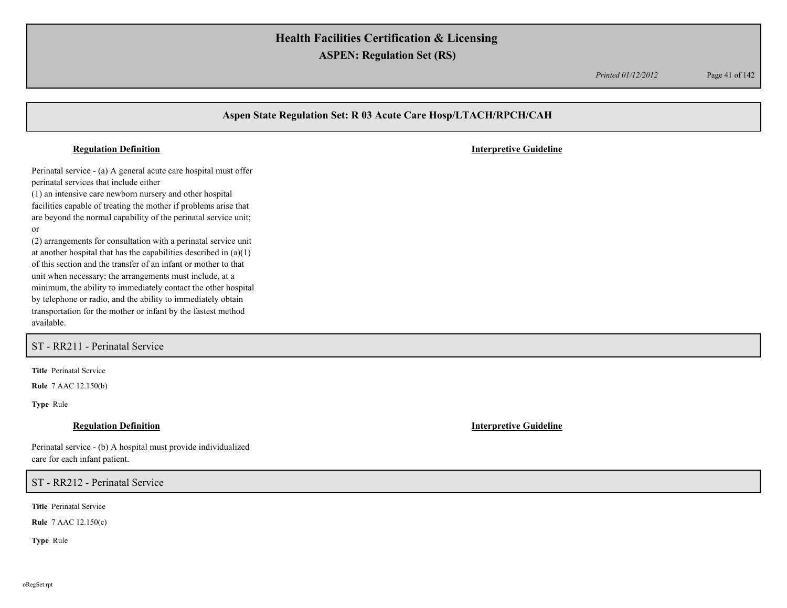*Printed 01/12/2012* Page 41 of 142

# **Aspen State Regulation Set: R 03 Acute Care Hosp/LTACH/RPCH/CAH** Perinatal service - (a) A general acute care hospital must offer perinatal services that include either (1) an intensive care newborn nursery and other hospital facilities capable of treating the mother if problems arise that are beyond the normal capability of the perinatal service unit; or (2) arrangements for consultation with a perinatal service unit at another hospital that has the capabilities described in  $(a)(1)$ of this section and the transfer of an infant or mother to that unit when necessary; the arrangements must include, at a minimum, the ability to immediately contact the other hospital by telephone or radio, and the ability to immediately obtain transportation for the mother or infant by the fastest method available. **Regulation Definition Interpretive Guideline** ST - RR211 - Perinatal Service

**Title** Perinatal Service

**Rule** 7 AAC 12.150(b)

**Type** Rule

#### **Regulation Definition Interpretive Guideline**

Perinatal service - (b) A hospital must provide individualized care for each infant patient.

ST - RR212 - Perinatal Service

**Title** Perinatal Service

**Rule** 7 AAC 12.150(c)

**Type** Rule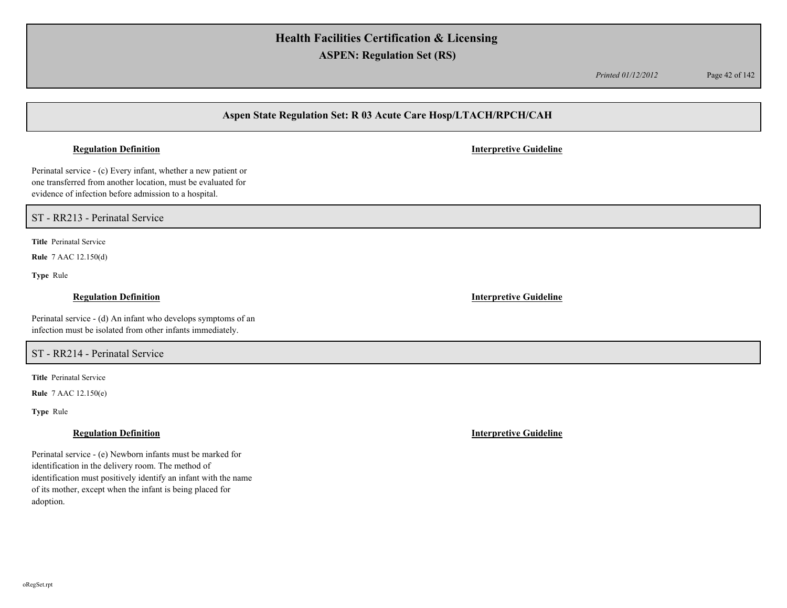*Printed 01/12/2012* Page 42 of 142

## **Aspen State Regulation Set: R 03 Acute Care Hosp/LTACH/RPCH/CAH**

### **Regulation Definition Interpretive Guideline**

Perinatal service - (c) Every infant, whether a new patient or one transferred from another location, must be evaluated for evidence of infection before admission to a hospital.

ST - RR213 - Perinatal Service

**Title** Perinatal Service

**Rule** 7 AAC 12.150(d)

**Type** Rule

### **Regulation Definition Interpretive Guideline**

Perinatal service - (d) An infant who develops symptoms of an infection must be isolated from other infants immediately.

## ST - RR214 - Perinatal Service

**Title** Perinatal Service

**Rule** 7 AAC 12.150(e)

**Type** Rule

Perinatal service - (e) Newborn infants must be marked for identification in the delivery room. The method of identification must positively identify an infant with the name of its mother, except when the infant is being placed for adoption.

oRegSet.rpt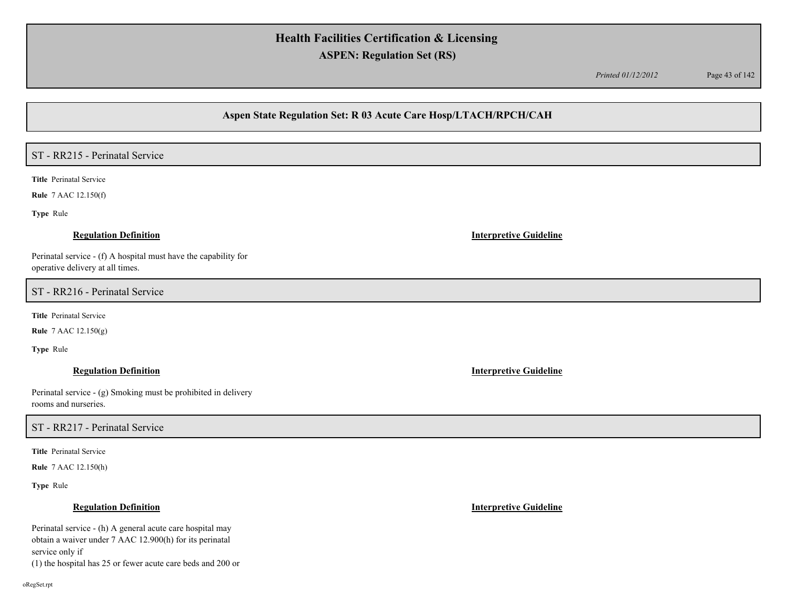*Printed 01/12/2012* Page 43 of 142

## **Aspen State Regulation Set: R 03 Acute Care Hosp/LTACH/RPCH/CAH**

## ST - RR215 - Perinatal Service

**Title** Perinatal Service

**Rule** 7 AAC 12.150(f)

**Type** Rule

### **Regulation Definition Interpretive Guideline**

Perinatal service - (f) A hospital must have the capability for operative delivery at all times.

ST - RR216 - Perinatal Service

**Title** Perinatal Service

**Rule** 7 AAC 12.150(g)

**Type** Rule

### **Regulation Definition Interpretive Guideline**

Perinatal service - (g) Smoking must be prohibited in delivery rooms and nurseries.

### ST - RR217 - Perinatal Service

**Title** Perinatal Service

**Rule** 7 AAC 12.150(h)

**Type** Rule

### **Regulation Definition Interpretive Guideline**

Perinatal service - (h) A general acute care hospital may obtain a waiver under 7 AAC 12.900(h) for its perinatal service only if

(1) the hospital has 25 or fewer acute care beds and 200 or

oRegSet.rpt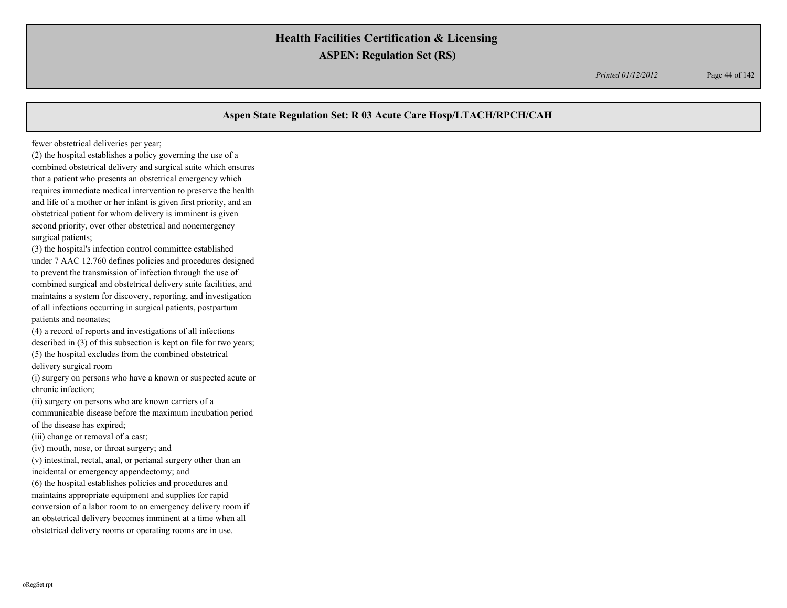*Printed 01/12/2012* Page 44 of 142

## **Aspen State Regulation Set: R 03 Acute Care Hosp/LTACH/RPCH/CAH**

fewer obstetrical deliveries per year;

(2) the hospital establishes a policy governing the use of a combined obstetrical delivery and surgical suite which ensures that a patient who presents an obstetrical emergency which requires immediate medical intervention to preserve the health and life of a mother or her infant is given first priority, and an obstetrical patient for whom delivery is imminent is given second priority, over other obstetrical and nonemergency surgical patients;

(3) the hospital's infection control committee established under 7 AAC 12.760 defines policies and procedures designed to prevent the transmission of infection through the use of combined surgical and obstetrical delivery suite facilities, and maintains a system for discovery, reporting, and investigation of all infections occurring in surgical patients, postpartum patients and neonates;

(4) a record of reports and investigations of all infections described in (3) of this subsection is kept on file for two years; (5) the hospital excludes from the combined obstetrical

delivery surgical room

(i) surgery on persons who have a known or suspected acute or chronic infection;

(ii) surgery on persons who are known carriers of a communicable disease before the maximum incubation period of the disease has expired;

(iii) change or removal of a cast;

(iv) mouth, nose, or throat surgery; and

(v) intestinal, rectal, anal, or perianal surgery other than an incidental or emergency appendectomy; and

(6) the hospital establishes policies and procedures and maintains appropriate equipment and supplies for rapid

conversion of a labor room to an emergency delivery room if

an obstetrical delivery becomes imminent at a time when all

obstetrical delivery rooms or operating rooms are in use.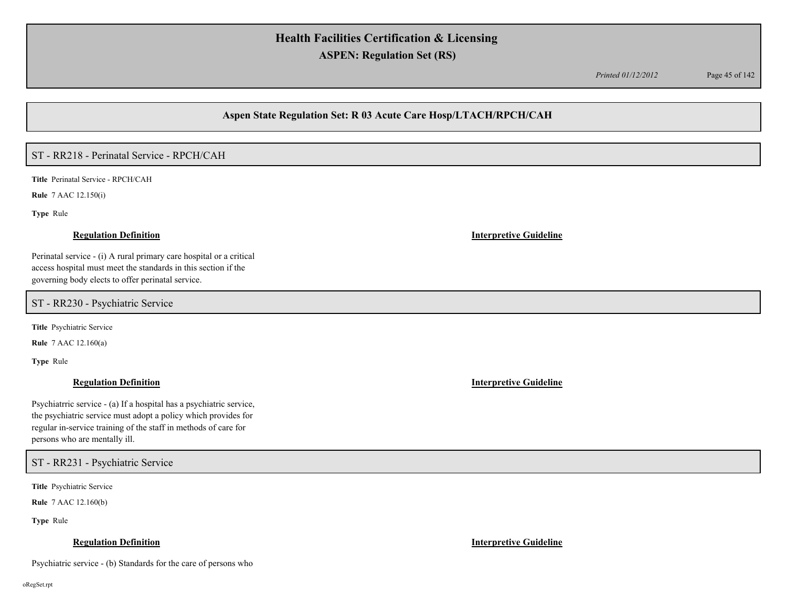*Printed 01/12/2012* Page 45 of 142

## **Aspen State Regulation Set: R 03 Acute Care Hosp/LTACH/RPCH/CAH**

## ST - RR218 - Perinatal Service - RPCH/CAH

**Title** Perinatal Service - RPCH/CAH

**Rule** 7 AAC 12.150(i)

**Type** Rule

Perinatal service - (i) A rural primary care hospital or a critical access hospital must meet the standards in this section if the governing body elects to offer perinatal service.

ST - RR230 - Psychiatric Service

**Title** Psychiatric Service

**Rule** 7 AAC 12.160(a)

**Type** Rule

Psychiatrric service - (a) If a hospital has a psychiatric service, the psychiatric service must adopt a policy which provides for regular in-service training of the staff in methods of care for persons who are mentally ill.

ST - RR231 - Psychiatric Service

**Title** Psychiatric Service

**Rule** 7 AAC 12.160(b)

**Type** Rule

### **Regulation Definition Interpretive Guideline**

Psychiatric service - (b) Standards for the care of persons who

#### **Regulation Definition Interpretive Guideline**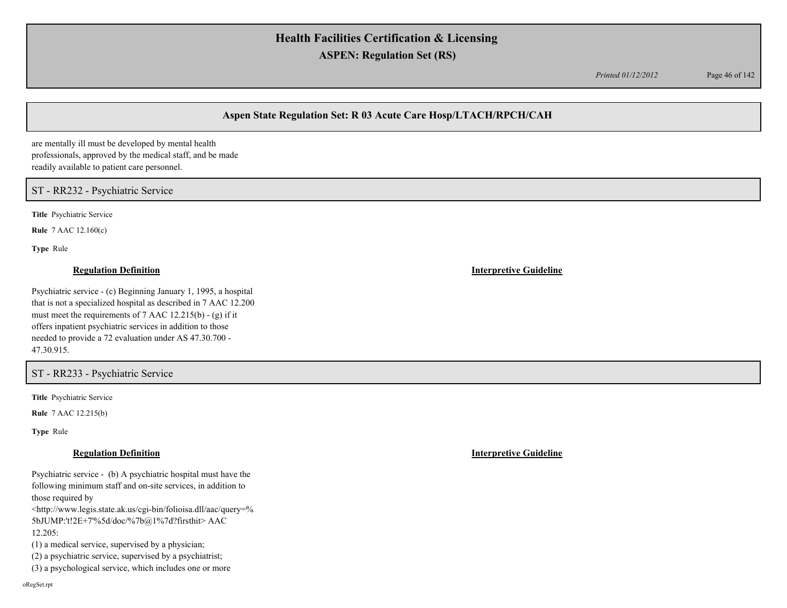*Printed 01/12/2012* Page 46 of 142

## **Aspen State Regulation Set: R 03 Acute Care Hosp/LTACH/RPCH/CAH**

are mentally ill must be developed by mental health professionals, approved by the medical staff, and be made readily available to patient care personnel.

### ST - RR232 - Psychiatric Service

**Title** Psychiatric Service

**Rule** 7 AAC 12.160(c)

**Type** Rule

### **Regulation Definition Interpretive Guideline**

Psychiatric service - (c) Beginning January 1, 1995, a hospital that is not a specialized hospital as described in 7 AAC 12.200 must meet the requirements of 7 AAC 12.215(b) - (g) if it offers inpatient psychiatric services in addition to those needed to provide a 72 evaluation under AS 47.30.700 - 47.30.915.

### ST - RR233 - Psychiatric Service

**Title** Psychiatric Service

**Rule** 7 AAC 12.215(b)

**Type** Rule

Psychiatric service - (b) A psychiatric hospital must have the following minimum staff and on-site services, in addition to those required by <http://www.legis.state.ak.us/cgi-bin/folioisa.dll/aac/query=% 5bJUMP:'t!2E+7'%5d/doc/%7b@1%7d?firsthit> AAC 12.205:

(1) a medical service, supervised by a physician;

(2) a psychiatric service, supervised by a psychiatrist;

(3) a psychological service, which includes one or more

oRegSet.rpt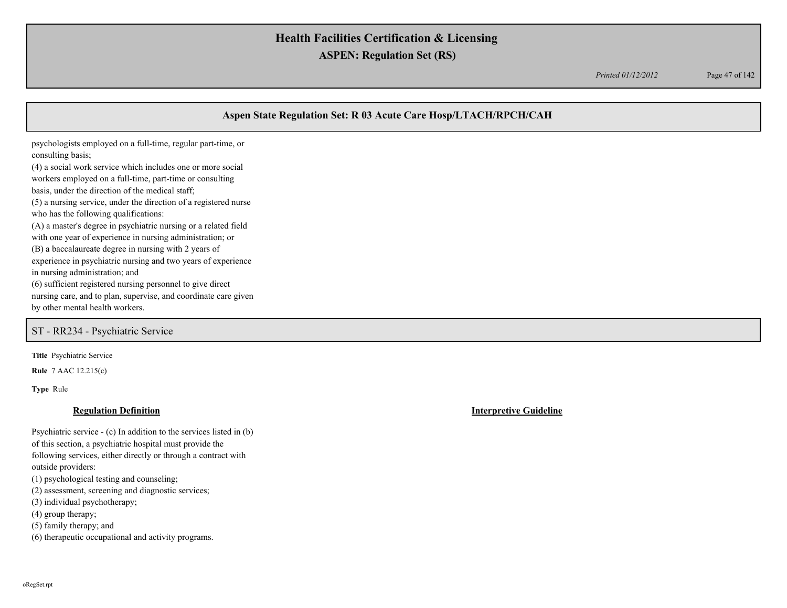*Printed 01/12/2012* Page 47 of 142

| Aspen State Regulation Set: R 03 Acute Care Hosp/LTACH/RPCH/CAH  |
|------------------------------------------------------------------|
| psychologists employed on a full-time, regular part-time, or     |
| consulting basis;                                                |
| (4) a social work service which includes one or more social      |
| workers employed on a full-time, part-time or consulting         |
| basis, under the direction of the medical staff;                 |
| (5) a nursing service, under the direction of a registered nurse |
| who has the following qualifications:                            |
| (A) a master's degree in psychiatric nursing or a related field  |
| with one year of experience in nursing administration; or        |
| (B) a baccalaureate degree in nursing with 2 years of            |
| experience in psychiatric nursing and two years of experience    |
| in nursing administration; and                                   |
| (6) sufficient registered nursing personnel to give direct       |
| nursing care, and to plan, supervise, and coordinate care given  |
| by other mental health workers.                                  |

# ST - RR234 - Psychiatric Service

**Title** Psychiatric Service

**Rule** 7 AAC 12.215(c)

**Type** Rule

Psychiatric service - (c) In addition to the services listed in (b) of this section, a psychiatric hospital must provide the following services, either directly or through a contract with outside providers: (1) psychological testing and counseling; (2) assessment, screening and diagnostic services; (3) individual psychotherapy; (4) group therapy; (5) family therapy; and (6) therapeutic occupational and activity programs.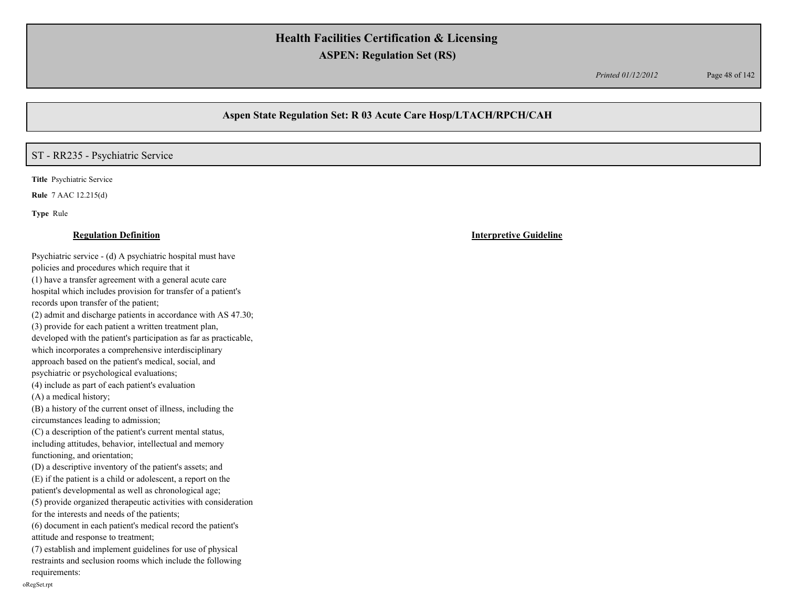*Printed 01/12/2012* Page 48 of 142

## **Aspen State Regulation Set: R 03 Acute Care Hosp/LTACH/RPCH/CAH**

## ST - RR235 - Psychiatric Service

**Title** Psychiatric Service

**Rule** 7 AAC 12.215(d)

**Type** Rule

#### **Regulation Definition Interpretive Guideline**

Psychiatric service - (d) A psychiatric hospital must have policies and procedures which require that it (1) have a transfer agreement with a general acute care hospital which includes provision for transfer of a patient's records upon transfer of the patient; (2) admit and discharge patients in accordance with AS 47.30; (3) provide for each patient a written treatment plan, developed with the patient's participation as far as practicable, which incorporates a comprehensive interdisciplinary approach based on the patient's medical, social, and psychiatric or psychological evaluations; (4) include as part of each patient's evaluation (A) a medical history; (B) a history of the current onset of illness, including the circumstances leading to admission; (C) a description of the patient's current mental status, including attitudes, behavior, intellectual and memory functioning, and orientation; (D) a descriptive inventory of the patient's assets; and (E) if the patient is a child or adolescent, a report on the patient's developmental as well as chronological age; (5) provide organized therapeutic activities with consideration for the interests and needs of the patients; (6) document in each patient's medical record the patient's attitude and response to treatment; (7) establish and implement guidelines for use of physical restraints and seclusion rooms which include the following requirements: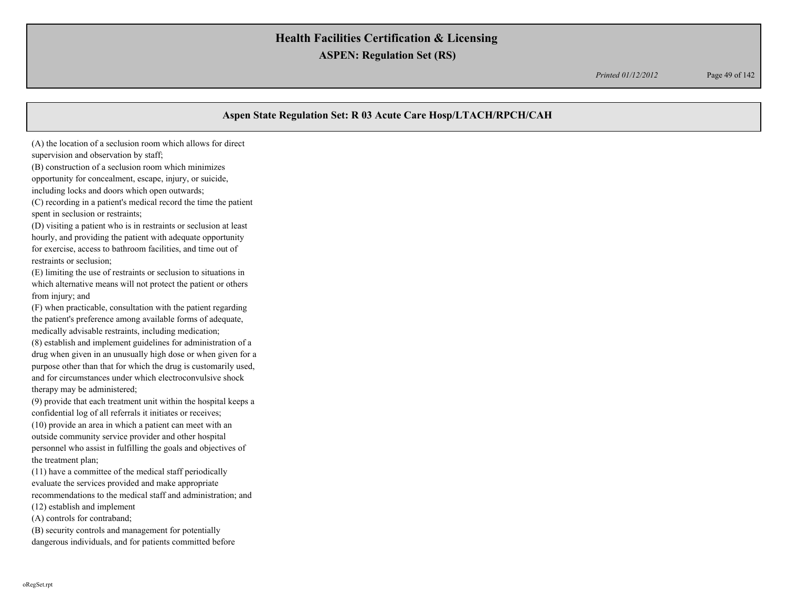*Printed 01/12/2012* Page 49 of 142

## **Aspen State Regulation Set: R 03 Acute Care Hosp/LTACH/RPCH/CAH** (A) the location of a seclusion room which allows for direct supervision and observation by staff; (B) construction of a seclusion room which minimizes opportunity for concealment, escape, injury, or suicide, including locks and doors which open outwards; (C) recording in a patient's medical record the time the patient spent in seclusion or restraints; (D) visiting a patient who is in restraints or seclusion at least hourly, and providing the patient with adequate opportunity for exercise, access to bathroom facilities, and time out of restraints or seclusion; (E) limiting the use of restraints or seclusion to situations in which alternative means will not protect the patient or others from injury; and (F) when practicable, consultation with the patient regarding the patient's preference among available forms of adequate, medically advisable restraints, including medication; (8) establish and implement guidelines for administration of a drug when given in an unusually high dose or when given for a purpose other than that for which the drug is customarily used, and for circumstances under which electroconvulsive shock therapy may be administered; (9) provide that each treatment unit within the hospital keeps a confidential log of all referrals it initiates or receives; (10) provide an area in which a patient can meet with an outside community service provider and other hospital personnel who assist in fulfilling the goals and objectives of the treatment plan; (11) have a committee of the medical staff periodically evaluate the services provided and make appropriate recommendations to the medical staff and administration; and (12) establish and implement (A) controls for contraband; (B) security controls and management for potentially dangerous individuals, and for patients committed before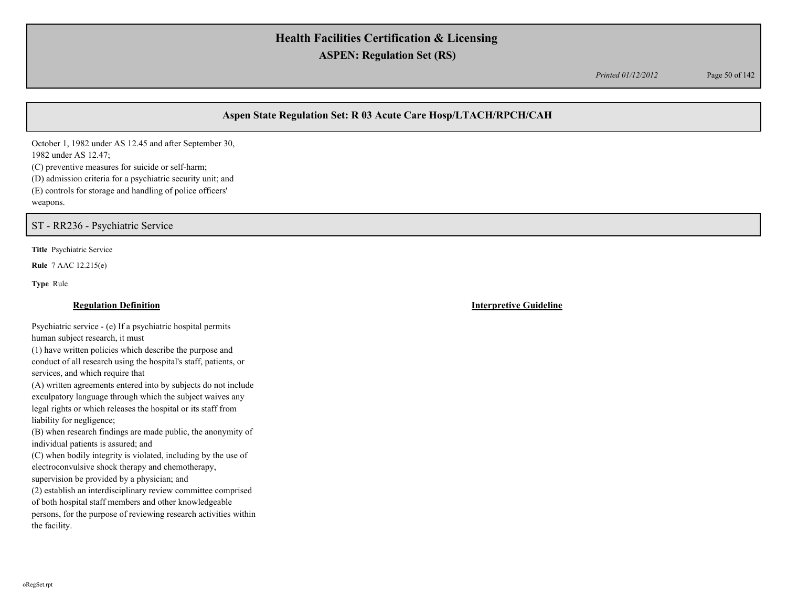*Printed 01/12/2012* Page 50 of 142

## **Aspen State Regulation Set: R 03 Acute Care Hosp/LTACH/RPCH/CAH**

October 1, 1982 under AS 12.45 and after September 30, 1982 under AS 12.47;

(C) preventive measures for suicide or self-harm;

(D) admission criteria for a psychiatric security unit; and

(E) controls for storage and handling of police officers'

weapons.

ST - RR236 - Psychiatric Service

**Title** Psychiatric Service

**Rule** 7 AAC 12.215(e)

**Type** Rule

Psychiatric service - (e) If a psychiatric hospital permits human subject research, it must

(1) have written policies which describe the purpose and conduct of all research using the hospital's staff, patients, or services, and which require that

(A) written agreements entered into by subjects do not include exculpatory language through which the subject waives any legal rights or which releases the hospital or its staff from liability for negligence;

(B) when research findings are made public, the anonymity of individual patients is assured; and

(C) when bodily integrity is violated, including by the use of electroconvulsive shock therapy and chemotherapy,

supervision be provided by a physician; and

(2) establish an interdisciplinary review committee comprised

of both hospital staff members and other knowledgeable persons, for the purpose of reviewing research activities within the facility.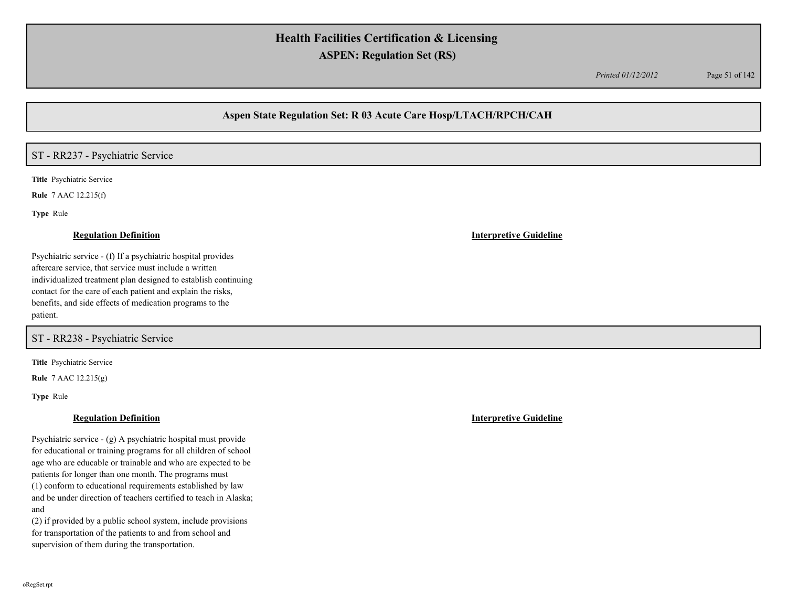*Printed 01/12/2012* Page 51 of 142

## **Aspen State Regulation Set: R 03 Acute Care Hosp/LTACH/RPCH/CAH**

## ST - RR237 - Psychiatric Service

**Title** Psychiatric Service

**Rule** 7 AAC 12.215(f)

**Type** Rule

#### **Regulation Definition Interpretive Guideline**

Psychiatric service - (f) If a psychiatric hospital provides aftercare service, that service must include a written individualized treatment plan designed to establish continuing contact for the care of each patient and explain the risks, benefits, and side effects of medication programs to the patient.

ST - RR238 - Psychiatric Service

**Title** Psychiatric Service

**Rule** 7 AAC 12.215(g)

**Type** Rule

Psychiatric service - (g) A psychiatric hospital must provide for educational or training programs for all children of school age who are educable or trainable and who are expected to be patients for longer than one month. The programs must (1) conform to educational requirements established by law and be under direction of teachers certified to teach in Alaska; and

(2) if provided by a public school system, include provisions for transportation of the patients to and from school and supervision of them during the transportation.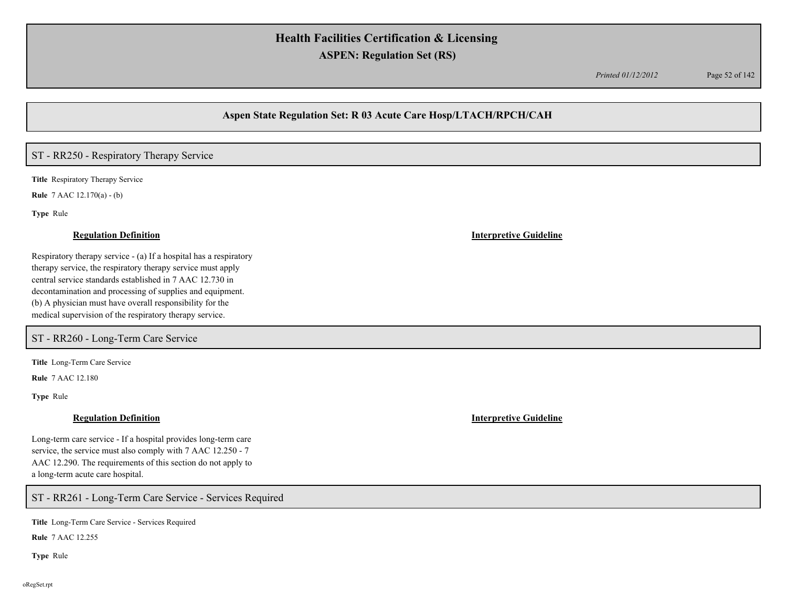*Printed 01/12/2012* Page 52 of 142

### **Aspen State Regulation Set: R 03 Acute Care Hosp/LTACH/RPCH/CAH**

## ST - RR250 - Respiratory Therapy Service

**Title** Respiratory Therapy Service

**Rule** 7 AAC 12.170(a) - (b)

**Type** Rule

Respiratory therapy service - (a) If a hospital has a respiratory therapy service, the respiratory therapy service must apply central service standards established in 7 AAC 12.730 in decontamination and processing of supplies and equipment. (b) A physician must have overall responsibility for the medical supervision of the respiratory therapy service.

ST - RR260 - Long-Term Care Service

**Title** Long-Term Care Service

**Rule** 7 AAC 12.180

**Type** Rule

Long-term care service - If a hospital provides long-term care service, the service must also comply with 7 AAC 12.250 - 7 AAC 12.290. The requirements of this section do not apply to a long-term acute care hospital.

ST - RR261 - Long-Term Care Service - Services Required

**Title** Long-Term Care Service - Services Required

**Rule** 7 AAC 12.255

**Type** Rule

**Regulation Definition Interpretive Guideline**

**Regulation Definition Interpretive Guideline**

oRegSet.rpt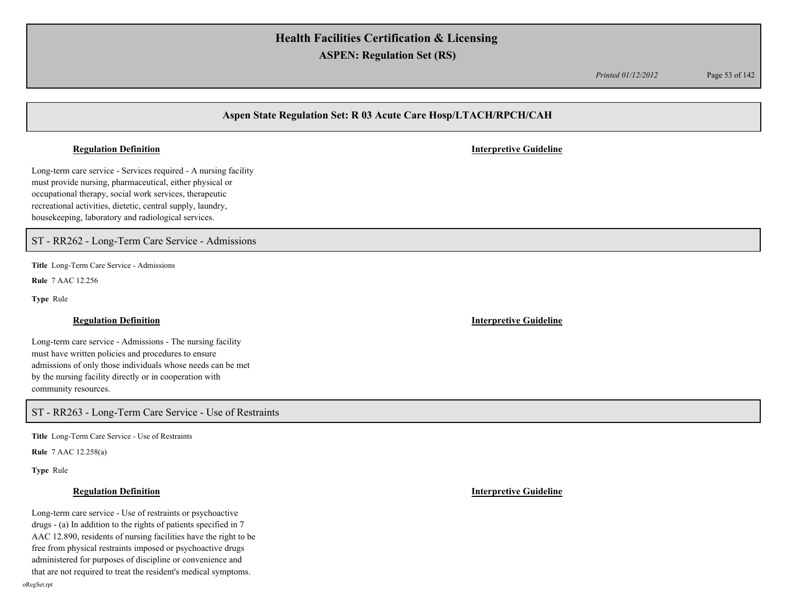*Printed 01/12/2012* Page 53 of 142

## **Aspen State Regulation Set: R 03 Acute Care Hosp/LTACH/RPCH/CAH**

#### **Regulation Definition Interpretive Guideline**

Long-term care service - Services required - A nursing facility must provide nursing, pharmaceutical, either physical or occupational therapy, social work services, therapeutic recreational activities, dietetic, central supply, laundry, housekeeping, laboratory and radiological services.

ST - RR262 - Long-Term Care Service - Admissions

**Title** Long-Term Care Service - Admissions

**Rule** 7 AAC 12.256

**Type** Rule

Long-term care service - Admissions - The nursing facility must have written policies and procedures to ensure admissions of only those individuals whose needs can be met by the nursing facility directly or in cooperation with community resources.

ST - RR263 - Long-Term Care Service - Use of Restraints

**Title** Long-Term Care Service - Use of Restraints

**Rule** 7 AAC 12.258(a)

**Type** Rule

Long-term care service - Use of restraints or psychoactive drugs - (a) In addition to the rights of patients specified in 7 AAC 12.890, residents of nursing facilities have the right to be free from physical restraints imposed or psychoactive drugs administered for purposes of discipline or convenience and that are not required to treat the resident's medical symptoms.

**Regulation Definition Interpretive Guideline**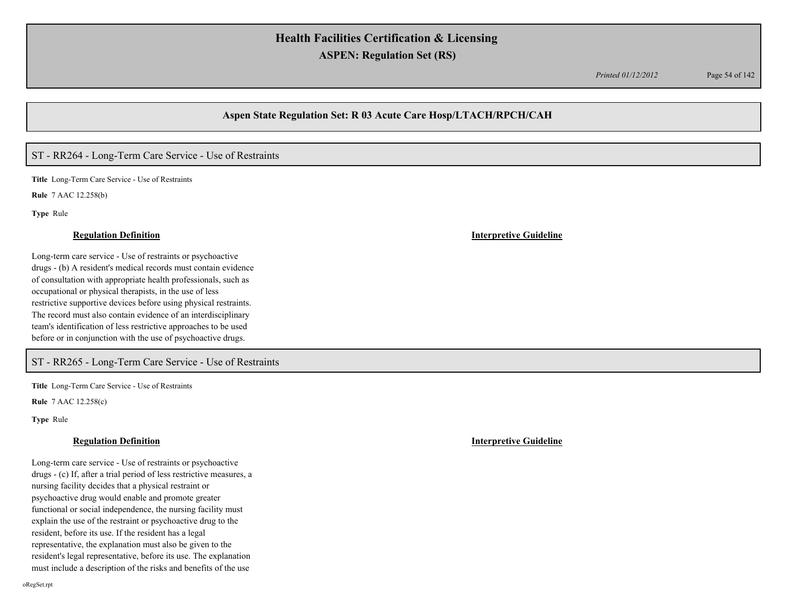*Printed 01/12/2012* Page 54 of 142

## **Aspen State Regulation Set: R 03 Acute Care Hosp/LTACH/RPCH/CAH**

## ST - RR264 - Long-Term Care Service - Use of Restraints

**Title** Long-Term Care Service - Use of Restraints

**Rule** 7 AAC 12.258(b)

**Type** Rule

Long-term care service - Use of restraints or psychoactive drugs - (b) A resident's medical records must contain evidence of consultation with appropriate health professionals, such as occupational or physical therapists, in the use of less restrictive supportive devices before using physical restraints. The record must also contain evidence of an interdisciplinary team's identification of less restrictive approaches to be used before or in conjunction with the use of psychoactive drugs.

### ST - RR265 - Long-Term Care Service - Use of Restraints

**Title** Long-Term Care Service - Use of Restraints

**Rule** 7 AAC 12.258(c)

**Type** Rule

### **Regulation Definition Interpretive Guideline**

Long-term care service - Use of restraints or psychoactive drugs - (c) If, after a trial period of less restrictive measures, a nursing facility decides that a physical restraint or psychoactive drug would enable and promote greater functional or social independence, the nursing facility must explain the use of the restraint or psychoactive drug to the resident, before its use. If the resident has a legal representative, the explanation must also be given to the resident's legal representative, before its use. The explanation must include a description of the risks and benefits of the use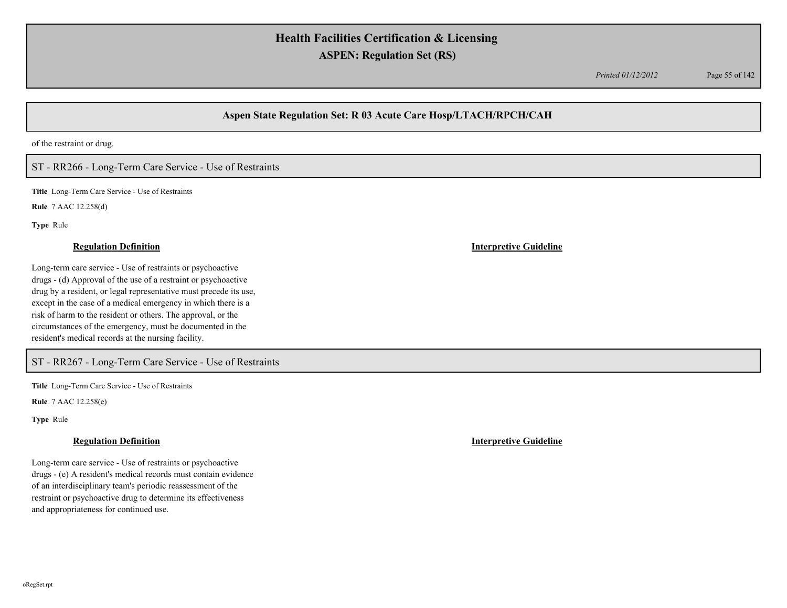*Printed 01/12/2012* Page 55 of 142

## **Aspen State Regulation Set: R 03 Acute Care Hosp/LTACH/RPCH/CAH**

of the restraint or drug.

## ST - RR266 - Long-Term Care Service - Use of Restraints

**Title** Long-Term Care Service - Use of Restraints **Rule** 7 AAC 12.258(d)

**Type** Rule

### **Regulation Definition Interpretive Guideline**

Long-term care service - Use of restraints or psychoactive drugs - (d) Approval of the use of a restraint or psychoactive drug by a resident, or legal representative must precede its use, except in the case of a medical emergency in which there is a risk of harm to the resident or others. The approval, or the circumstances of the emergency, must be documented in the resident's medical records at the nursing facility.

ST - RR267 - Long-Term Care Service - Use of Restraints

**Title** Long-Term Care Service - Use of Restraints

**Rule** 7 AAC 12.258(e)

**Type** Rule

Long-term care service - Use of restraints or psychoactive drugs - (e) A resident's medical records must contain evidence of an interdisciplinary team's periodic reassessment of the restraint or psychoactive drug to determine its effectiveness and appropriateness for continued use.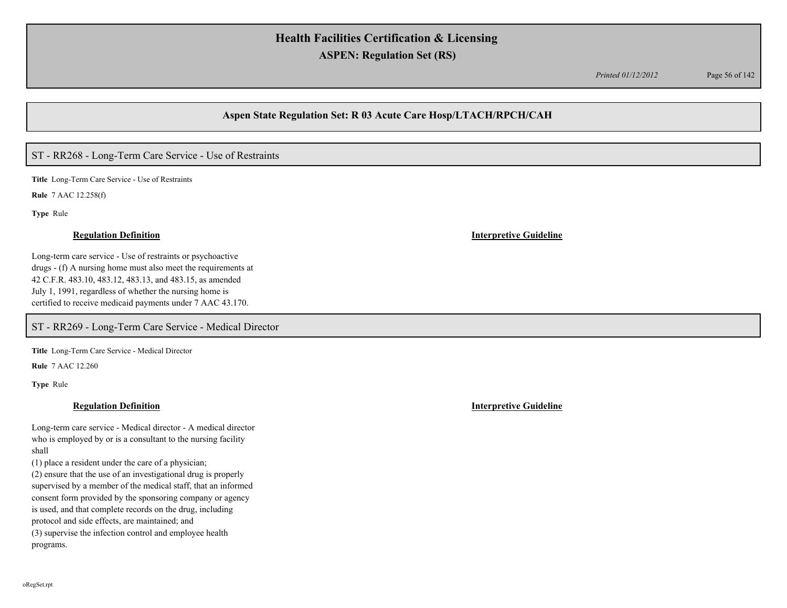*Printed 01/12/2012* Page 56 of 142

### **Aspen State Regulation Set: R 03 Acute Care Hosp/LTACH/RPCH/CAH**

## ST - RR268 - Long-Term Care Service - Use of Restraints

**Title** Long-Term Care Service - Use of Restraints

**Rule** 7 AAC 12.258(f)

**Type** Rule

Long-term care service - Use of restraints or psychoactive drugs - (f) A nursing home must also meet the requirements at 42 C.F.R. 483.10, 483.12, 483.13, and 483.15, as amended July 1, 1991, regardless of whether the nursing home is certified to receive medicaid payments under 7 AAC 43.170.

ST - RR269 - Long-Term Care Service - Medical Director

**Title** Long-Term Care Service - Medical Director

**Rule** 7 AAC 12.260

**Type** Rule

Long-term care service - Medical director - A medical director who is employed by or is a consultant to the nursing facility shall

(1) place a resident under the care of a physician;

(2) ensure that the use of an investigational drug is properly supervised by a member of the medical staff, that an informed consent form provided by the sponsoring company or agency is used, and that complete records on the drug, including protocol and side effects, are maintained; and (3) supervise the infection control and employee health programs.

**Regulation Definition Interpretive Guideline**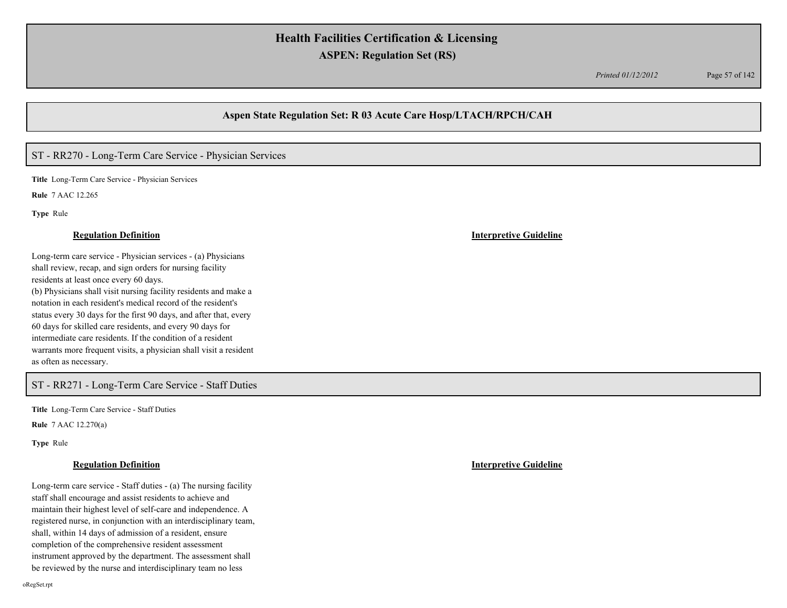*Printed 01/12/2012* Page 57 of 142

### **Aspen State Regulation Set: R 03 Acute Care Hosp/LTACH/RPCH/CAH**

## ST - RR270 - Long-Term Care Service - Physician Services

**Title** Long-Term Care Service - Physician Services

**Rule** 7 AAC 12.265

**Type** Rule

#### **Regulation Definition Interpretive Guideline**

Long-term care service - Physician services - (a) Physicians shall review, recap, and sign orders for nursing facility residents at least once every 60 days. (b) Physicians shall visit nursing facility residents and make a notation in each resident's medical record of the resident's status every 30 days for the first 90 days, and after that, every 60 days for skilled care residents, and every 90 days for intermediate care residents. If the condition of a resident warrants more frequent visits, a physician shall visit a resident as often as necessary.

### ST - RR271 - Long-Term Care Service - Staff Duties

**Title** Long-Term Care Service - Staff Duties

**Rule** 7 AAC 12.270(a)

**Type** Rule

### **Regulation Definition Interpretive Guideline**

Long-term care service - Staff duties - (a) The nursing facility staff shall encourage and assist residents to achieve and maintain their highest level of self-care and independence. A registered nurse, in conjunction with an interdisciplinary team, shall, within 14 days of admission of a resident, ensure completion of the comprehensive resident assessment instrument approved by the department. The assessment shall be reviewed by the nurse and interdisciplinary team no less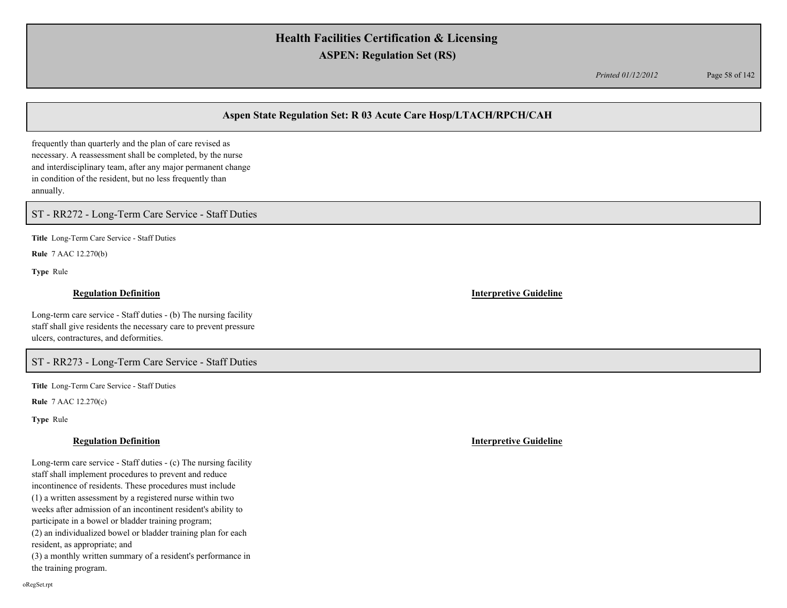*Printed 01/12/2012* Page 58 of 142

## **Aspen State Regulation Set: R 03 Acute Care Hosp/LTACH/RPCH/CAH**

frequently than quarterly and the plan of care revised as necessary. A reassessment shall be completed, by the nurse and interdisciplinary team, after any major permanent change in condition of the resident, but no less frequently than annually.

ST - RR272 - Long-Term Care Service - Staff Duties

**Title** Long-Term Care Service - Staff Duties

**Rule** 7 AAC 12.270(b)

**Type** Rule

Long-term care service - Staff duties - (b) The nursing facility staff shall give residents the necessary care to prevent pressure ulcers, contractures, and deformities.

### ST - RR273 - Long-Term Care Service - Staff Duties

**Title** Long-Term Care Service - Staff Duties

**Rule** 7 AAC 12.270(c)

**Type** Rule

### **Regulation Definition Interpretive Guideline**

Long-term care service - Staff duties - (c) The nursing facility staff shall implement procedures to prevent and reduce incontinence of residents. These procedures must include (1) a written assessment by a registered nurse within two weeks after admission of an incontinent resident's ability to participate in a bowel or bladder training program; (2) an individualized bowel or bladder training plan for each resident, as appropriate; and (3) a monthly written summary of a resident's performance in the training program.

oRegSet.rpt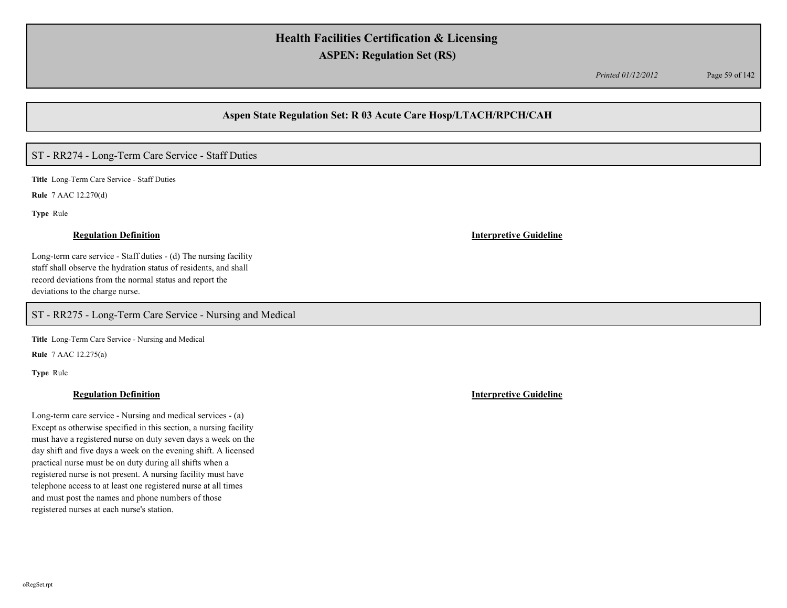*Printed 01/12/2012* Page 59 of 142

### **Aspen State Regulation Set: R 03 Acute Care Hosp/LTACH/RPCH/CAH**

## ST - RR274 - Long-Term Care Service - Staff Duties

**Title** Long-Term Care Service - Staff Duties

**Rule** 7 AAC 12.270(d)

**Type** Rule

Long-term care service - Staff duties - (d) The nursing facility staff shall observe the hydration status of residents, and shall record deviations from the normal status and report the deviations to the charge nurse.

ST - RR275 - Long-Term Care Service - Nursing and Medical

**Title** Long-Term Care Service - Nursing and Medical

**Rule** 7 AAC 12.275(a)

**Type** Rule

Long-term care service - Nursing and medical services - (a) Except as otherwise specified in this section, a nursing facility must have a registered nurse on duty seven days a week on the day shift and five days a week on the evening shift. A licensed practical nurse must be on duty during all shifts when a registered nurse is not present. A nursing facility must have telephone access to at least one registered nurse at all times and must post the names and phone numbers of those registered nurses at each nurse's station.

**Regulation Definition Interpretive Guideline**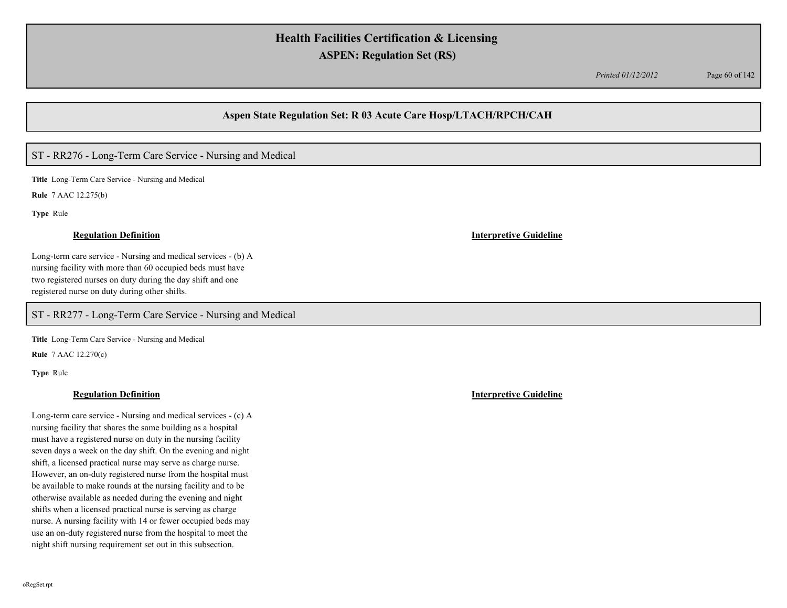*Printed 01/12/2012* Page 60 of 142

### **Aspen State Regulation Set: R 03 Acute Care Hosp/LTACH/RPCH/CAH**

## ST - RR276 - Long-Term Care Service - Nursing and Medical

**Title** Long-Term Care Service - Nursing and Medical

**Rule** 7 AAC 12.275(b)

**Type** Rule

Long-term care service - Nursing and medical services - (b) A nursing facility with more than 60 occupied beds must have two registered nurses on duty during the day shift and one registered nurse on duty during other shifts.

ST - RR277 - Long-Term Care Service - Nursing and Medical

**Title** Long-Term Care Service - Nursing and Medical

**Rule** 7 AAC 12.270(c)

**Type** Rule

Long-term care service - Nursing and medical services - (c) A nursing facility that shares the same building as a hospital must have a registered nurse on duty in the nursing facility seven days a week on the day shift. On the evening and night shift, a licensed practical nurse may serve as charge nurse. However, an on-duty registered nurse from the hospital must be available to make rounds at the nursing facility and to be otherwise available as needed during the evening and night shifts when a licensed practical nurse is serving as charge nurse. A nursing facility with 14 or fewer occupied beds may use an on-duty registered nurse from the hospital to meet the night shift nursing requirement set out in this subsection.

#### **Regulation Definition Interpretive Guideline**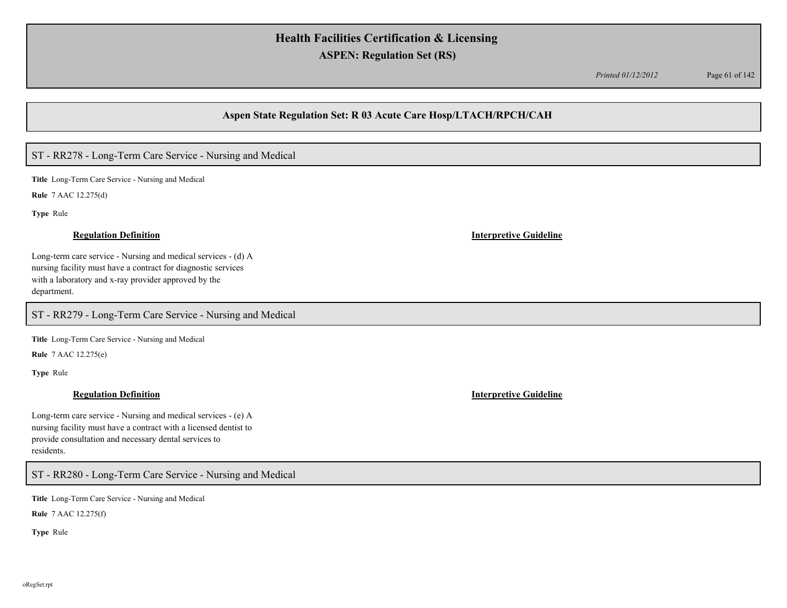*Printed 01/12/2012* Page 61 of 142

### **Aspen State Regulation Set: R 03 Acute Care Hosp/LTACH/RPCH/CAH**

## ST - RR278 - Long-Term Care Service - Nursing and Medical

**Title** Long-Term Care Service - Nursing and Medical

**Rule** 7 AAC 12.275(d)

**Type** Rule

Long-term care service - Nursing and medical services - (d) A nursing facility must have a contract for diagnostic services with a laboratory and x-ray provider approved by the department.

ST - RR279 - Long-Term Care Service - Nursing and Medical

**Title** Long-Term Care Service - Nursing and Medical

**Rule** 7 AAC 12.275(e)

**Type** Rule

### **Regulation Definition Interpretive Guideline**

Long-term care service - Nursing and medical services - (e) A nursing facility must have a contract with a licensed dentist to provide consultation and necessary dental services to residents.

ST - RR280 - Long-Term Care Service - Nursing and Medical

**Title** Long-Term Care Service - Nursing and Medical

**Rule** 7 AAC 12.275(f)

**Type** Rule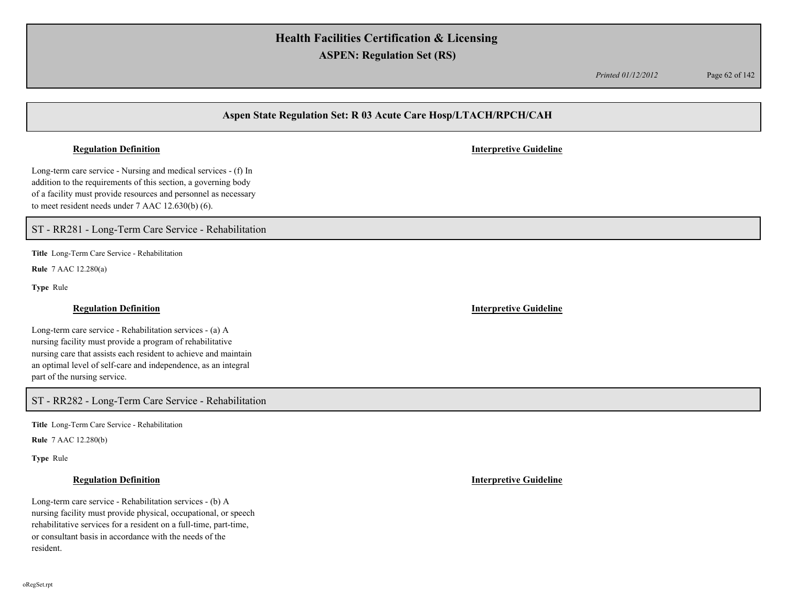*Printed 01/12/2012* Page 62 of 142

## **Aspen State Regulation Set: R 03 Acute Care Hosp/LTACH/RPCH/CAH**

#### **Regulation Definition Interpretive Guideline**

Long-term care service - Nursing and medical services - (f) In addition to the requirements of this section, a governing body of a facility must provide resources and personnel as necessary to meet resident needs under 7 AAC 12.630(b) (6).

ST - RR281 - Long-Term Care Service - Rehabilitation

**Title** Long-Term Care Service - Rehabilitation

**Rule** 7 AAC 12.280(a)

**Type** Rule

Long-term care service - Rehabilitation services - (a) A nursing facility must provide a program of rehabilitative nursing care that assists each resident to achieve and maintain an optimal level of self-care and independence, as an integral part of the nursing service.

ST - RR282 - Long-Term Care Service - Rehabilitation

**Title** Long-Term Care Service - Rehabilitation

**Rule** 7 AAC 12.280(b)

**Type** Rule

Long-term care service - Rehabilitation services - (b) A nursing facility must provide physical, occupational, or speech rehabilitative services for a resident on a full-time, part-time, or consultant basis in accordance with the needs of the resident.

**Regulation Definition Interpretive Guideline**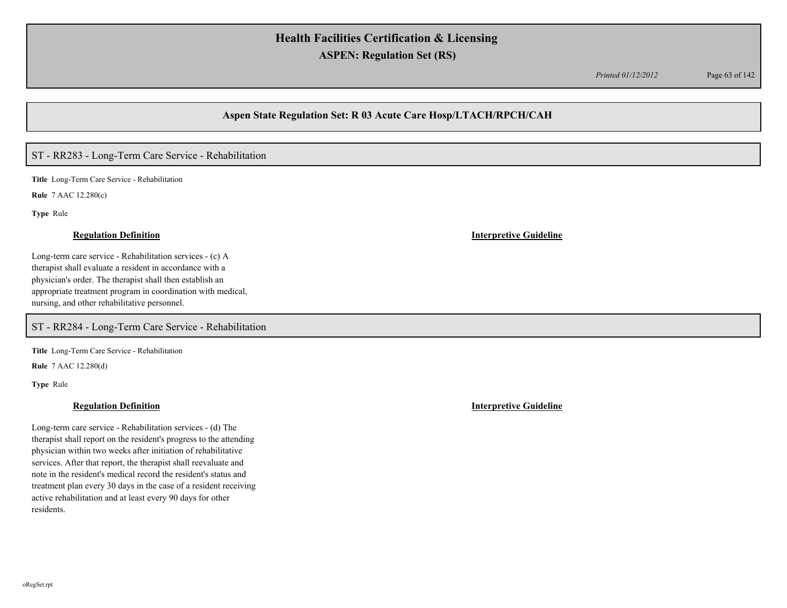*Printed 01/12/2012* Page 63 of 142

## **Aspen State Regulation Set: R 03 Acute Care Hosp/LTACH/RPCH/CAH**

## ST - RR283 - Long-Term Care Service - Rehabilitation

**Title** Long-Term Care Service - Rehabilitation

**Rule** 7 AAC 12.280(c)

**Type** Rule

Long-term care service - Rehabilitation services - (c) A therapist shall evaluate a resident in accordance with a physician's order. The therapist shall then establish an appropriate treatment program in coordination with medical, nursing, and other rehabilitative personnel.

ST - RR284 - Long-Term Care Service - Rehabilitation

**Title** Long-Term Care Service - Rehabilitation

**Rule** 7 AAC 12.280(d)

**Type** Rule

### **Regulation Definition Interpretive Guideline**

Long-term care service - Rehabilitation services - (d) The therapist shall report on the resident's progress to the attending physician within two weeks after initiation of rehabilitative services. After that report, the therapist shall reevaluate and note in the resident's medical record the resident's status and treatment plan every 30 days in the case of a resident receiving active rehabilitation and at least every 90 days for other residents.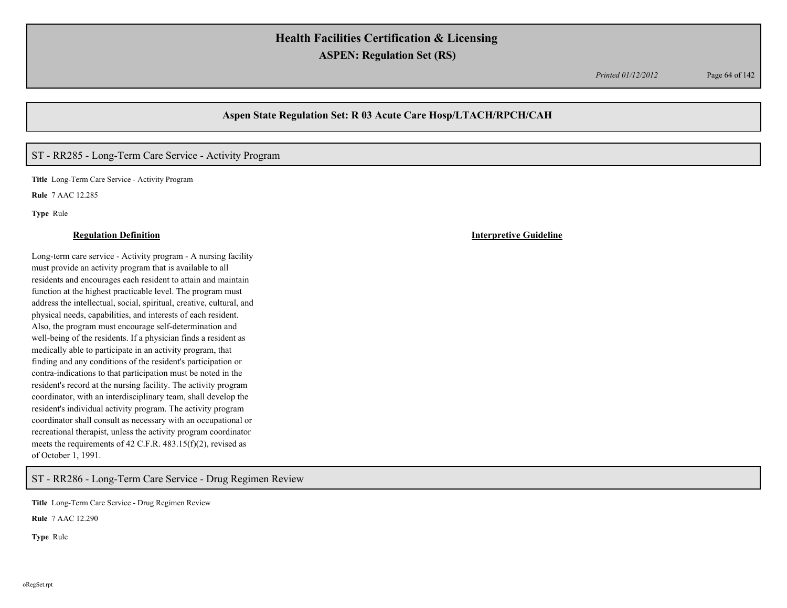*Printed 01/12/2012* Page 64 of 142

## **Aspen State Regulation Set: R 03 Acute Care Hosp/LTACH/RPCH/CAH**

## ST - RR285 - Long-Term Care Service - Activity Program

**Title** Long-Term Care Service - Activity Program

**Rule** 7 AAC 12.285

**Type** Rule

#### **Regulation Definition Interpretive Guideline**

Long-term care service - Activity program - A nursing facility must provide an activity program that is available to all residents and encourages each resident to attain and maintain function at the highest practicable level. The program must address the intellectual, social, spiritual, creative, cultural, and physical needs, capabilities, and interests of each resident. Also, the program must encourage self-determination and well-being of the residents. If a physician finds a resident as medically able to participate in an activity program, that finding and any conditions of the resident's participation or contra-indications to that participation must be noted in the resident's record at the nursing facility. The activity program coordinator, with an interdisciplinary team, shall develop the resident's individual activity program. The activity program coordinator shall consult as necessary with an occupational or recreational therapist, unless the activity program coordinator meets the requirements of 42 C.F.R. 483.15(f)(2), revised as of October 1, 1991.

ST - RR286 - Long-Term Care Service - Drug Regimen Review

**Title** Long-Term Care Service - Drug Regimen Review

**Rule** 7 AAC 12.290

**Type** Rule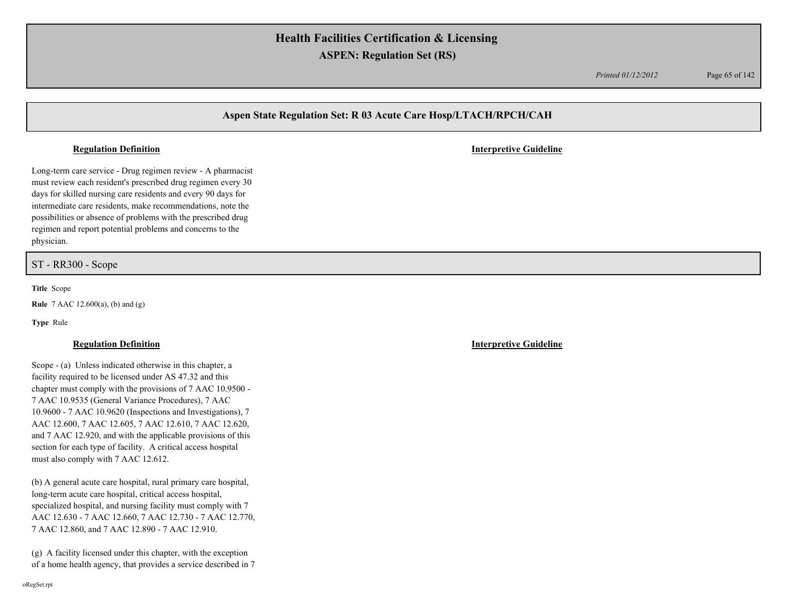*Printed 01/12/2012* Page 65 of 142

## **Aspen State Regulation Set: R 03 Acute Care Hosp/LTACH/RPCH/CAH**

#### **Regulation Definition Interpretive Guideline**

Long-term care service - Drug regimen review - A pharmacist must review each resident's prescribed drug regimen every 30 days for skilled nursing care residents and every 90 days for intermediate care residents, make recommendations, note the possibilities or absence of problems with the prescribed drug regimen and report potential problems and concerns to the physician.

ST - RR300 - Scope

**Title** Scope

**Rule** 7 AAC 12.600(a), (b) and (g)

**Type** Rule

Scope - (a) Unless indicated otherwise in this chapter, a facility required to be licensed under AS 47.32 and this chapter must comply with the provisions of 7 AAC 10.9500 - 7 AAC 10.9535 (General Variance Procedures), 7 AAC 10.9600 - 7 AAC 10.9620 (Inspections and Investigations), 7 AAC 12.600, 7 AAC 12.605, 7 AAC 12.610, 7 AAC 12.620, and 7 AAC 12.920, and with the applicable provisions of this section for each type of facility. A critical access hospital must also comply with 7 AAC 12.612.

(b) A general acute care hospital, rural primary care hospital, long-term acute care hospital, critical access hospital, specialized hospital, and nursing facility must comply with 7 AAC 12.630 - 7 AAC 12.660, 7 AAC 12.730 - 7 AAC 12.770, 7 AAC 12.860, and 7 AAC 12.890 - 7 AAC 12.910.

(g) A facility licensed under this chapter, with the exception of a home health agency, that provides a service described in 7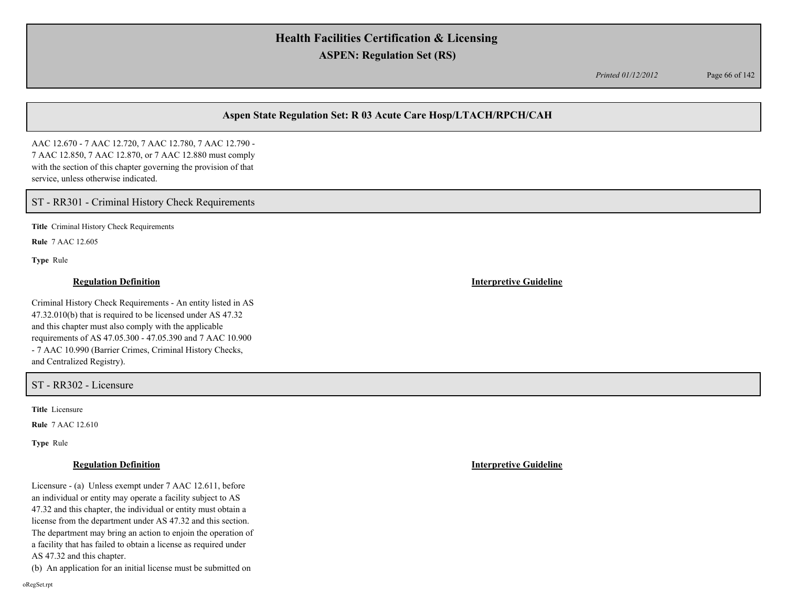*Printed 01/12/2012* Page 66 of 142

## **Aspen State Regulation Set: R 03 Acute Care Hosp/LTACH/RPCH/CAH**

AAC 12.670 - 7 AAC 12.720, 7 AAC 12.780, 7 AAC 12.790 - 7 AAC 12.850, 7 AAC 12.870, or 7 AAC 12.880 must comply with the section of this chapter governing the provision of that service, unless otherwise indicated.

ST - RR301 - Criminal History Check Requirements

**Title** Criminal History Check Requirements

**Rule** 7 AAC 12.605

**Type** Rule

Criminal History Check Requirements - An entity listed in AS 47.32.010(b) that is required to be licensed under AS 47.32 and this chapter must also comply with the applicable requirements of AS 47.05.300 - 47.05.390 and 7 AAC 10.900 - 7 AAC 10.990 (Barrier Crimes, Criminal History Checks, and Centralized Registry).

ST - RR302 - Licensure

**Title** Licensure

**Rule** 7 AAC 12.610

**Type** Rule

Licensure - (a) Unless exempt under 7 AAC 12.611, before an individual or entity may operate a facility subject to AS 47.32 and this chapter, the individual or entity must obtain a license from the department under AS 47.32 and this section. The department may bring an action to enjoin the operation of a facility that has failed to obtain a license as required under AS 47.32 and this chapter.

(b) An application for an initial license must be submitted on

**Regulation Definition Interpretive Guideline**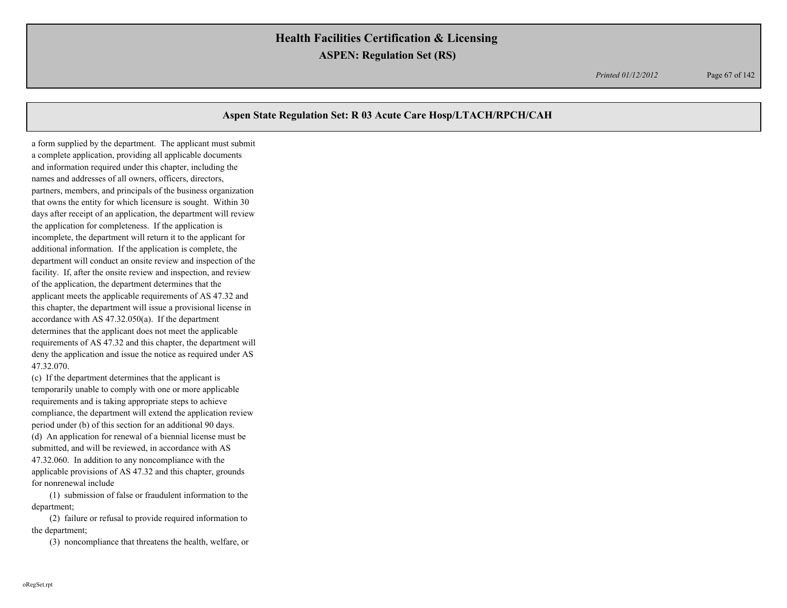*Printed 01/12/2012* Page 67 of 142

## **Aspen State Regulation Set: R 03 Acute Care Hosp/LTACH/RPCH/CAH**

a form supplied by the department. The applicant must submit a complete application, providing all applicable documents and information required under this chapter, including the names and addresses of all owners, officers, directors, partners, members, and principals of the business organization that owns the entity for which licensure is sought. Within 30 days after receipt of an application, the department will review the application for completeness. If the application is incomplete, the department will return it to the applicant for additional information. If the application is complete, the department will conduct an onsite review and inspection of the facility. If, after the onsite review and inspection, and review of the application, the department determines that the applicant meets the applicable requirements of AS 47.32 and this chapter, the department will issue a provisional license in accordance with AS 47.32.050(a). If the department determines that the applicant does not meet the applicable requirements of AS 47.32 and this chapter, the department will deny the application and issue the notice as required under AS 47.32.070.

(c) If the department determines that the applicant is temporarily unable to comply with one or more applicable requirements and is taking appropriate steps to achieve compliance, the department will extend the application review period under (b) of this section for an additional 90 days. (d) An application for renewal of a biennial license must be submitted, and will be reviewed, in accordance with AS 47.32.060. In addition to any noncompliance with the applicable provisions of AS 47.32 and this chapter, grounds for nonrenewal include

(1) submission of false or fraudulent information to the department;

(2) failure or refusal to provide required information to the department;

(3) noncompliance that threatens the health, welfare, or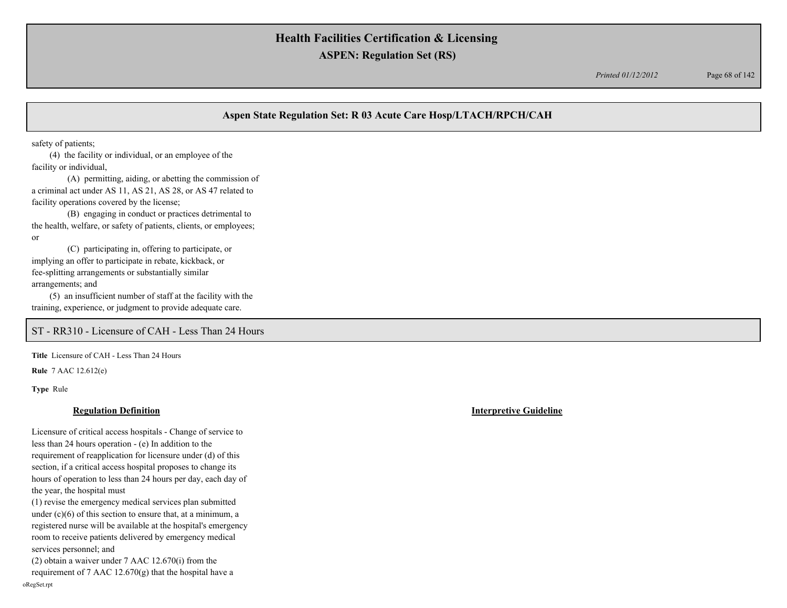*Printed 01/12/2012* Page 68 of 142

## **Aspen State Regulation Set: R 03 Acute Care Hosp/LTACH/RPCH/CAH**

safety of patients;

(4) the facility or individual, or an employee of the facility or individual,

(A) permitting, aiding, or abetting the commission of a criminal act under AS 11, AS 21, AS 28, or AS 47 related to facility operations covered by the license;

(B) engaging in conduct or practices detrimental to the health, welfare, or safety of patients, clients, or employees; or

(C) participating in, offering to participate, or implying an offer to participate in rebate, kickback, or fee-splitting arrangements or substantially similar arrangements; and

(5) an insufficient number of staff at the facility with the training, experience, or judgment to provide adequate care.

## ST - RR310 - Licensure of CAH - Less Than 24 Hours

**Title** Licensure of CAH - Less Than 24 Hours

**Rule** 7 AAC 12.612(e)

**Type** Rule

Licensure of critical access hospitals - Change of service to less than 24 hours operation - (e) In addition to the requirement of reapplication for licensure under (d) of this section, if a critical access hospital proposes to change its hours of operation to less than 24 hours per day, each day of the year, the hospital must

(1) revise the emergency medical services plan submitted under (c)(6) of this section to ensure that, at a minimum, a registered nurse will be available at the hospital's emergency room to receive patients delivered by emergency medical services personnel; and

(2) obtain a waiver under 7 AAC 12.670(i) from the requirement of 7 AAC  $12.670(g)$  that the hospital have a oRegSet.rpt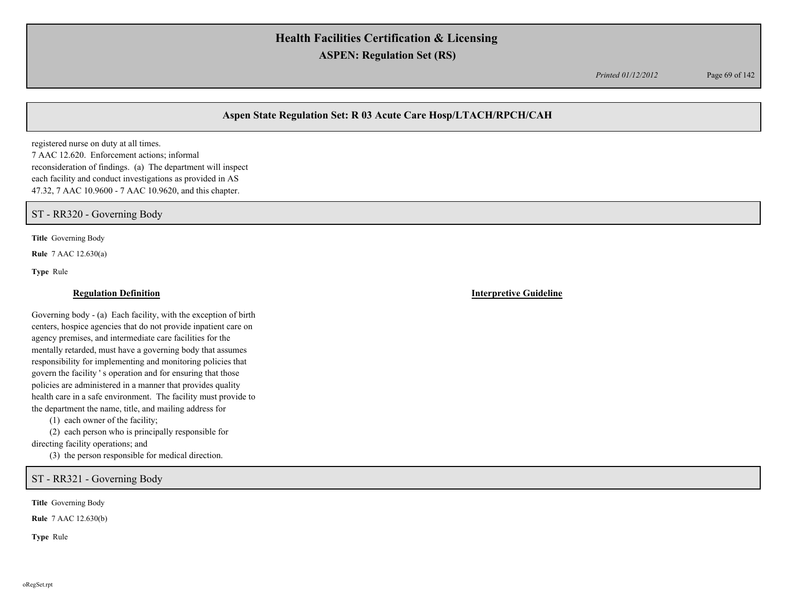*Printed 01/12/2012* Page 69 of 142

## **Aspen State Regulation Set: R 03 Acute Care Hosp/LTACH/RPCH/CAH**

registered nurse on duty at all times. 7 AAC 12.620. Enforcement actions; informal reconsideration of findings. (a) The department will inspect each facility and conduct investigations as provided in AS 47.32, 7 AAC 10.9600 - 7 AAC 10.9620, and this chapter.

ST - RR320 - Governing Body

**Title** Governing Body

**Rule** 7 AAC 12.630(a)

**Type** Rule

Governing body - (a) Each facility, with the exception of birth centers, hospice agencies that do not provide inpatient care on agency premises, and intermediate care facilities for the mentally retarded, must have a governing body that assumes responsibility for implementing and monitoring policies that govern the facility ' s operation and for ensuring that those policies are administered in a manner that provides quality health care in a safe environment. The facility must provide to the department the name, title, and mailing address for

(1) each owner of the facility;

(2) each person who is principally responsible for directing facility operations; and

(3) the person responsible for medical direction.

ST - RR321 - Governing Body

**Title** Governing Body

**Rule** 7 AAC 12.630(b)

**Type** Rule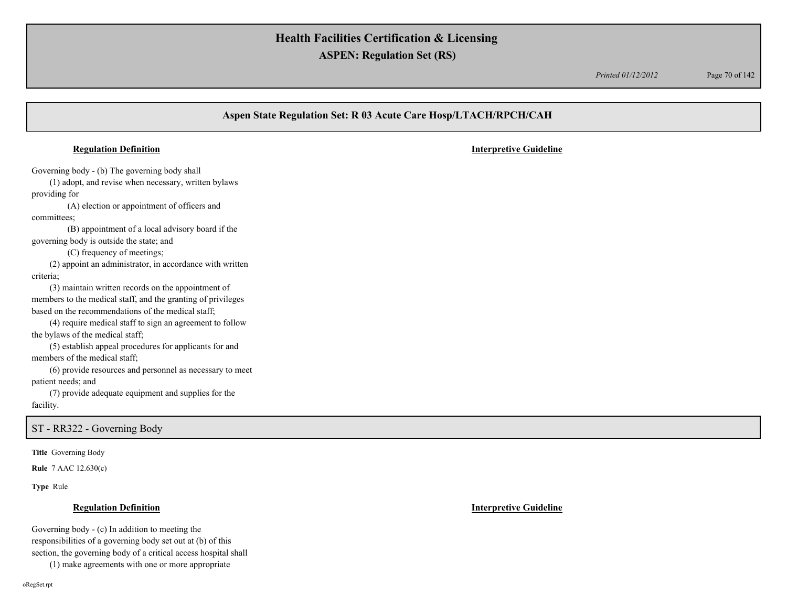*Printed 01/12/2012* Page 70 of 142

# **Aspen State Regulation Set: R 03 Acute Care Hosp/LTACH/RPCH/CAH** Governing body - (b) The governing body shall (1) adopt, and revise when necessary, written bylaws providing for (A) election or appointment of officers and committees; (B) appointment of a local advisory board if the governing body is outside the state; and (C) frequency of meetings; (2) appoint an administrator, in accordance with written criteria; (3) maintain written records on the appointment of members to the medical staff, and the granting of privileges based on the recommendations of the medical staff; (4) require medical staff to sign an agreement to follow the bylaws of the medical staff; (5) establish appeal procedures for applicants for and members of the medical staff; (6) provide resources and personnel as necessary to meet patient needs; and (7) provide adequate equipment and supplies for the facility. **Regulation Definition Interpretive Guideline** ST - RR322 - Governing Body

**Title** Governing Body

**Rule** 7 AAC 12.630(c)

**Type** Rule

Governing body - (c) In addition to meeting the responsibilities of a governing body set out at (b) of this section, the governing body of a critical access hospital shall

(1) make agreements with one or more appropriate

oRegSet.rpt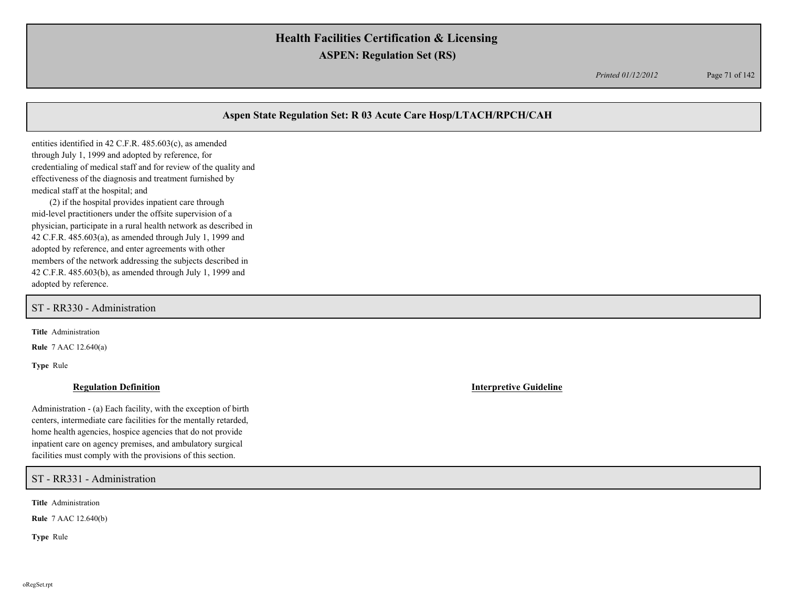*Printed 01/12/2012* Page 71 of 142

## **Aspen State Regulation Set: R 03 Acute Care Hosp/LTACH/RPCH/CAH**

entities identified in 42 C.F.R. 485.603(c), as amended through July 1, 1999 and adopted by reference, for credentialing of medical staff and for review of the quality and effectiveness of the diagnosis and treatment furnished by medical staff at the hospital; and

(2) if the hospital provides inpatient care through mid-level practitioners under the offsite supervision of a physician, participate in a rural health network as described in 42 C.F.R. 485.603(a), as amended through July 1, 1999 and adopted by reference, and enter agreements with other members of the network addressing the subjects described in 42 C.F.R. 485.603(b), as amended through July 1, 1999 and adopted by reference.

ST - RR330 - Administration

**Title** Administration

**Rule** 7 AAC 12.640(a)

**Type** Rule

Administration - (a) Each facility, with the exception of birth centers, intermediate care facilities for the mentally retarded, home health agencies, hospice agencies that do not provide inpatient care on agency premises, and ambulatory surgical facilities must comply with the provisions of this section.

ST - RR331 - Administration

**Title** Administration

**Rule** 7 AAC 12.640(b)

**Type** Rule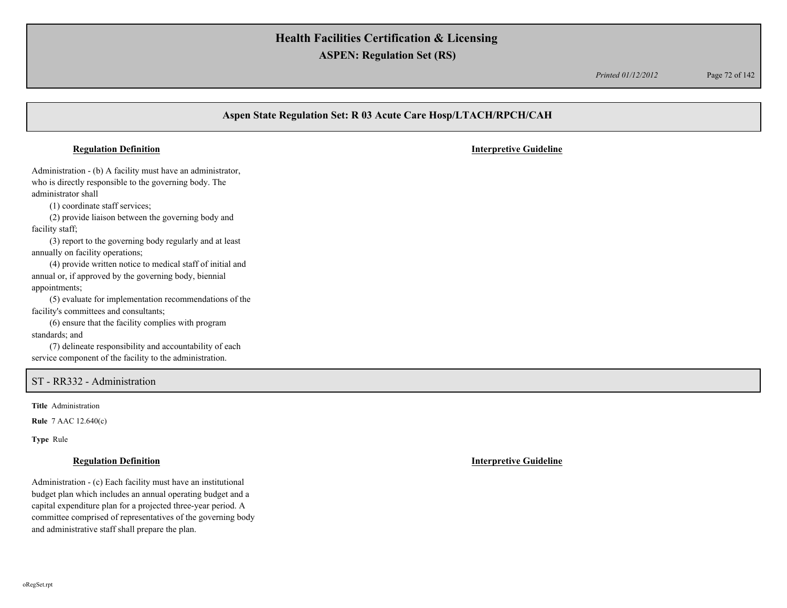*Printed 01/12/2012* Page 72 of 142

# **Aspen State Regulation Set: R 03 Acute Care Hosp/LTACH/RPCH/CAH** Administration - (b) A facility must have an administrator, who is directly responsible to the governing body. The administrator shall (1) coordinate staff services; (2) provide liaison between the governing body and facility staff; (3) report to the governing body regularly and at least annually on facility operations; (4) provide written notice to medical staff of initial and annual or, if approved by the governing body, biennial appointments; (5) evaluate for implementation recommendations of the facility's committees and consultants; (6) ensure that the facility complies with program standards; and (7) delineate responsibility and accountability of each service component of the facility to the administration. **Regulation Definition Interpretive Guideline**

ST - RR332 - Administration

**Title** Administration

**Rule** 7 AAC 12.640(c)

**Type** Rule

Administration - (c) Each facility must have an institutional budget plan which includes an annual operating budget and a capital expenditure plan for a projected three-year period. A committee comprised of representatives of the governing body and administrative staff shall prepare the plan.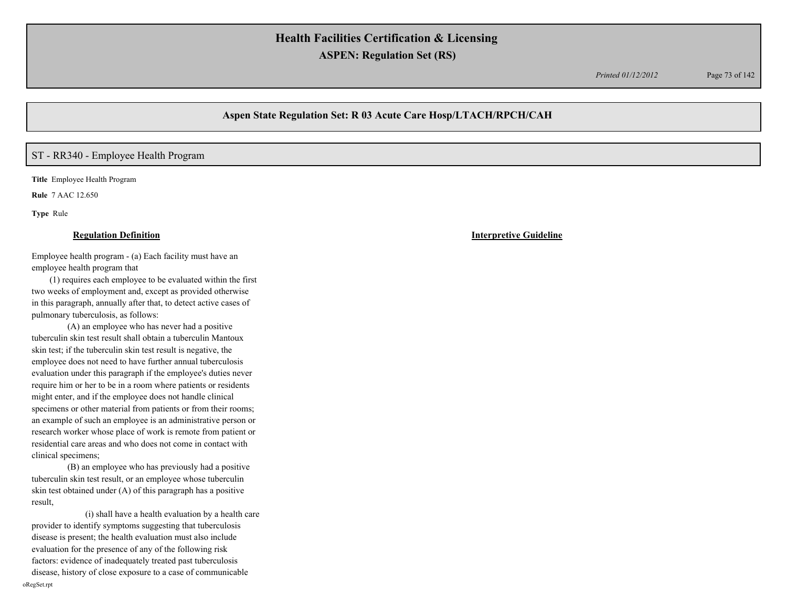*Printed 01/12/2012* Page 73 of 142

## **Aspen State Regulation Set: R 03 Acute Care Hosp/LTACH/RPCH/CAH**

## ST - RR340 - Employee Health Program

**Title** Employee Health Program

**Rule** 7 AAC 12.650

**Type** Rule

### **Regulation Definition Interpretive Guideline**

Employee health program - (a) Each facility must have an employee health program that

(1) requires each employee to be evaluated within the first two weeks of employment and, except as provided otherwise in this paragraph, annually after that, to detect active cases of pulmonary tuberculosis, as follows:

(A) an employee who has never had a positive tuberculin skin test result shall obtain a tuberculin Mantoux skin test; if the tuberculin skin test result is negative, the employee does not need to have further annual tuberculosis evaluation under this paragraph if the employee's duties never require him or her to be in a room where patients or residents might enter, and if the employee does not handle clinical specimens or other material from patients or from their rooms; an example of such an employee is an administrative person or research worker whose place of work is remote from patient or residential care areas and who does not come in contact with clinical specimens;

(B) an employee who has previously had a positive tuberculin skin test result, or an employee whose tuberculin skin test obtained under (A) of this paragraph has a positive result,

(i) shall have a health evaluation by a health care provider to identify symptoms suggesting that tuberculosis disease is present; the health evaluation must also include evaluation for the presence of any of the following risk factors: evidence of inadequately treated past tuberculosis disease, history of close exposure to a case of communicable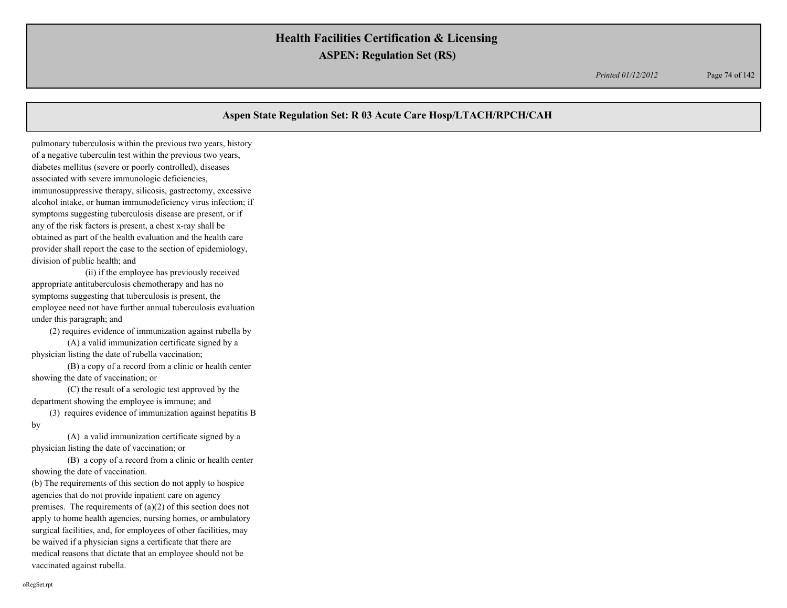*Printed 01/12/2012* Page 74 of 142

## **Aspen State Regulation Set: R 03 Acute Care Hosp/LTACH/RPCH/CAH**

pulmonary tuberculosis within the previous two years, history of a negative tuberculin test within the previous two years, diabetes mellitus (severe or poorly controlled), diseases associated with severe immunologic deficiencies, immunosuppressive therapy, silicosis, gastrectomy, excessive alcohol intake, or human immunodeficiency virus infection; if symptoms suggesting tuberculosis disease are present, or if any of the risk factors is present, a chest x-ray shall be obtained as part of the health evaluation and the health care provider shall report the case to the section of epidemiology, division of public health; and

(ii) if the employee has previously received appropriate antituberculosis chemotherapy and has no symptoms suggesting that tuberculosis is present, the employee need not have further annual tuberculosis evaluation under this paragraph; and

(2) requires evidence of immunization against rubella by (A) a valid immunization certificate signed by a

physician listing the date of rubella vaccination;

(B) a copy of a record from a clinic or health center showing the date of vaccination; or

(C) the result of a serologic test approved by the department showing the employee is immune; and

(3) requires evidence of immunization against hepatitis B by

(A) a valid immunization certificate signed by a physician listing the date of vaccination; or

(B) a copy of a record from a clinic or health center showing the date of vaccination.

(b) The requirements of this section do not apply to hospice agencies that do not provide inpatient care on agency premises. The requirements of (a)(2) of this section does not apply to home health agencies, nursing homes, or ambulatory surgical facilities, and, for employees of other facilities, may be waived if a physician signs a certificate that there are medical reasons that dictate that an employee should not be vaccinated against rubella.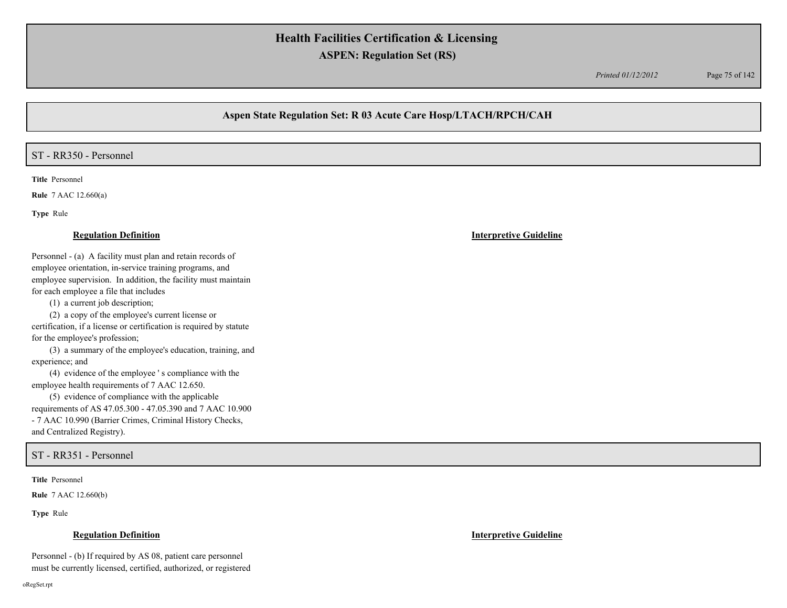*Printed 01/12/2012* Page 75 of 142

## **Aspen State Regulation Set: R 03 Acute Care Hosp/LTACH/RPCH/CAH**

### ST - RR350 - Personnel

**Title** Personnel

**Rule** 7 AAC 12.660(a)

**Type** Rule

### **Regulation Definition Interpretive Guideline**

Personnel - (a) A facility must plan and retain records of employee orientation, in-service training programs, and employee supervision. In addition, the facility must maintain for each employee a file that includes

(1) a current job description;

(2) a copy of the employee's current license or certification, if a license or certification is required by statute for the employee's profession;

(3) a summary of the employee's education, training, and experience; and

(4) evidence of the employee ' s compliance with the employee health requirements of 7 AAC 12.650.

(5) evidence of compliance with the applicable requirements of AS 47.05.300 - 47.05.390 and 7 AAC 10.900 - 7 AAC 10.990 (Barrier Crimes, Criminal History Checks, and Centralized Registry).

ST - RR351 - Personnel

**Title** Personnel

**Rule** 7 AAC 12.660(b)

**Type** Rule

### **Regulation Definition Interpretive Guideline**

Personnel - (b) If required by AS 08, patient care personnel must be currently licensed, certified, authorized, or registered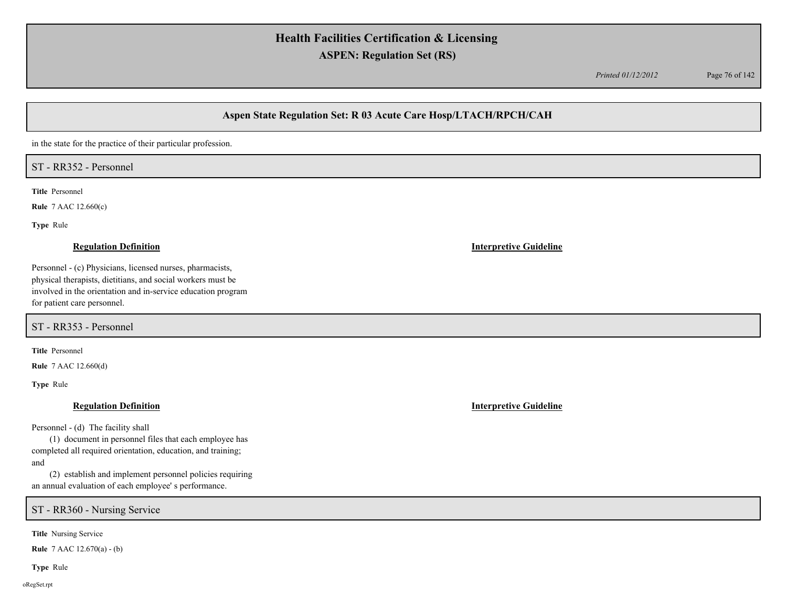*Printed 01/12/2012* Page 76 of 142

## **Aspen State Regulation Set: R 03 Acute Care Hosp/LTACH/RPCH/CAH**

in the state for the practice of their particular profession.

ST - RR352 - Personnel

**Title** Personnel

**Rule** 7 AAC 12.660(c)

**Type** Rule

Personnel - (c) Physicians, licensed nurses, pharmacists, physical therapists, dietitians, and social workers must be involved in the orientation and in-service education program for patient care personnel.

ST - RR353 - Personnel

**Title** Personnel

**Rule** 7 AAC 12.660(d)

**Type** Rule

## **Regulation Definition Interpretive Guideline**

Personnel - (d) The facility shall

(1) document in personnel files that each employee has completed all required orientation, education, and training; and

(2) establish and implement personnel policies requiring an annual evaluation of each employee' s performance.

ST - RR360 - Nursing Service

**Title** Nursing Service

**Rule** 7 AAC 12.670(a) - (b)

**Type** Rule

oRegSet.rpt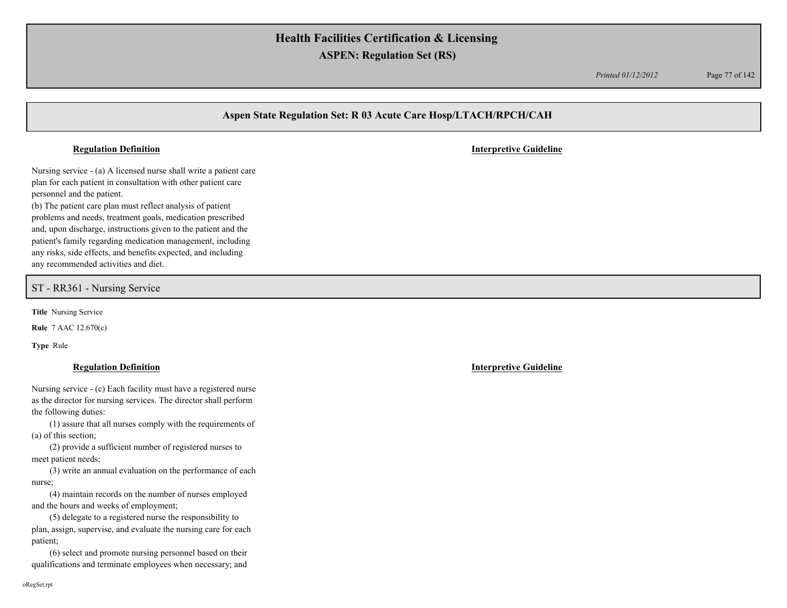*Printed 01/12/2012* Page 77 of 142

## **Aspen State Regulation Set: R 03 Acute Care Hosp/LTACH/RPCH/CAH**

### **Regulation Definition Interpretive Guideline**

Nursing service - (a) A licensed nurse shall write a patient care plan for each patient in consultation with other patient care personnel and the patient.

(b) The patient care plan must reflect analysis of patient problems and needs, treatment goals, medication prescribed and, upon discharge, instructions given to the patient and the patient's family regarding medication management, including any risks, side effects, and benefits expected, and including any recommended activities and diet.

ST - RR361 - Nursing Service

**Title** Nursing Service

**Rule** 7 AAC 12.670(c)

**Type** Rule

Nursing service - (c) Each facility must have a registered nurse as the director for nursing services. The director shall perform the following duties:

(1) assure that all nurses comply with the requirements of (a) of this section;

(2) provide a sufficient number of registered nurses to meet patient needs;

(3) write an annual evaluation on the performance of each nurse;

(4) maintain records on the number of nurses employed and the hours and weeks of employment;

(5) delegate to a registered nurse the responsibility to plan, assign, supervise, and evaluate the nursing care for each patient;

(6) select and promote nursing personnel based on their qualifications and terminate employees when necessary; and

**Regulation Definition Interpretive Guideline**

oRegSet.rpt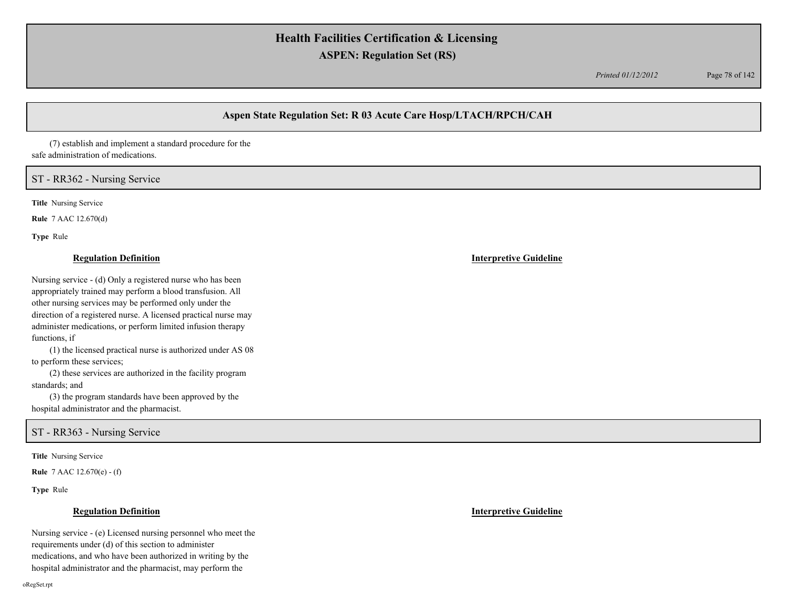*Printed 01/12/2012* Page 78 of 142

## **Aspen State Regulation Set: R 03 Acute Care Hosp/LTACH/RPCH/CAH**

(7) establish and implement a standard procedure for the safe administration of medications.

## ST - RR362 - Nursing Service

**Title** Nursing Service

**Rule** 7 AAC 12.670(d)

**Type** Rule

### **Regulation Definition Interpretive Guideline**

Nursing service - (d) Only a registered nurse who has been appropriately trained may perform a blood transfusion. All other nursing services may be performed only under the direction of a registered nurse. A licensed practical nurse may administer medications, or perform limited infusion therapy functions, if

(1) the licensed practical nurse is authorized under AS 08 to perform these services;

(2) these services are authorized in the facility program standards; and

(3) the program standards have been approved by the hospital administrator and the pharmacist.

ST - RR363 - Nursing Service

**Title** Nursing Service

**Rule** 7 AAC 12.670(e) - (f)

**Type** Rule

### **Regulation Definition Interpretive Guideline**

Nursing service - (e) Licensed nursing personnel who meet the requirements under (d) of this section to administer medications, and who have been authorized in writing by the hospital administrator and the pharmacist, may perform the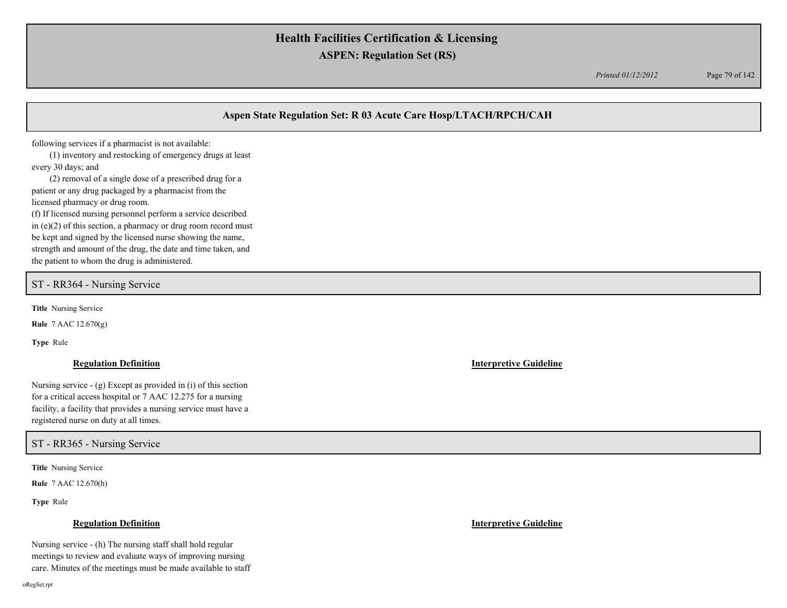*Printed 01/12/2012* Page 79 of 142

## **Aspen State Regulation Set: R 03 Acute Care Hosp/LTACH/RPCH/CAH**

following services if a pharmacist is not available:

(1) inventory and restocking of emergency drugs at least every 30 days; and

(2) removal of a single dose of a prescribed drug for a patient or any drug packaged by a pharmacist from the licensed pharmacy or drug room. (f) If licensed nursing personnel perform a service described

in  $(e)(2)$  of this section, a pharmacy or drug room record must be kept and signed by the licensed nurse showing the name, strength and amount of the drug, the date and time taken, and the patient to whom the drug is administered.

## ST - RR364 - Nursing Service

**Title** Nursing Service

**Rule** 7 AAC 12.670(g)

**Type** Rule

### **Regulation Definition Interpretive Guideline**

Nursing service - (g) Except as provided in (i) of this section for a critical access hospital or 7 AAC 12.275 for a nursing facility, a facility that provides a nursing service must have a registered nurse on duty at all times.

ST - RR365 - Nursing Service

**Title** Nursing Service

**Rule** 7 AAC 12.670(h)

**Type** Rule

### **Regulation Definition Interpretive Guideline**

Nursing service - (h) The nursing staff shall hold regular meetings to review and evaluate ways of improving nursing care. Minutes of the meetings must be made available to staff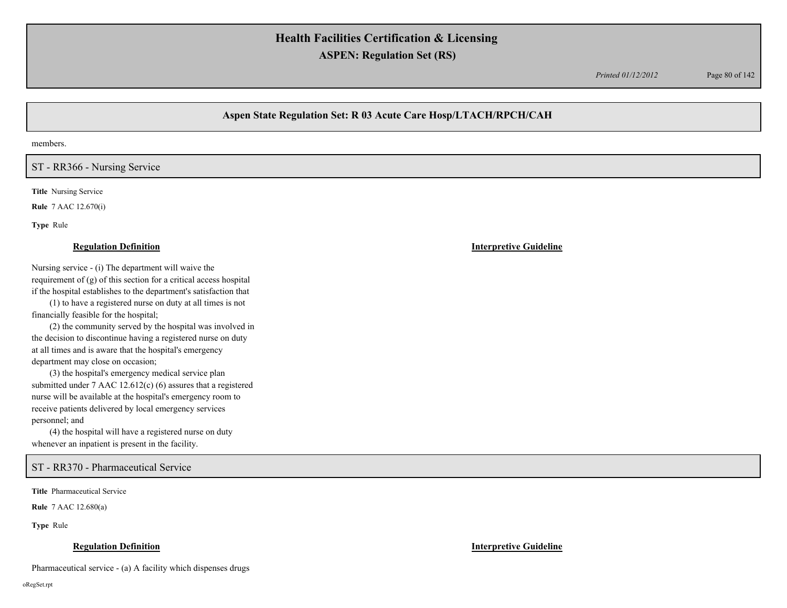*Printed 01/12/2012* Page 80 of 142

## **Aspen State Regulation Set: R 03 Acute Care Hosp/LTACH/RPCH/CAH**

members.

## ST - RR366 - Nursing Service

**Title** Nursing Service

**Rule** 7 AAC 12.670(i)

**Type** Rule

Nursing service - (i) The department will waive the requirement of (g) of this section for a critical access hospital if the hospital establishes to the department's satisfaction that

(1) to have a registered nurse on duty at all times is not financially feasible for the hospital;

(2) the community served by the hospital was involved in the decision to discontinue having a registered nurse on duty at all times and is aware that the hospital's emergency department may close on occasion;

(3) the hospital's emergency medical service plan submitted under 7 AAC 12.612(c) (6) assures that a registered nurse will be available at the hospital's emergency room to receive patients delivered by local emergency services personnel; and

(4) the hospital will have a registered nurse on duty whenever an inpatient is present in the facility.

ST - RR370 - Pharmaceutical Service

**Title** Pharmaceutical Service

**Rule** 7 AAC 12.680(a)

**Type** Rule

## **Regulation Definition Interpretive Guideline**

Pharmaceutical service - (a) A facility which dispenses drugs

oRegSet.rpt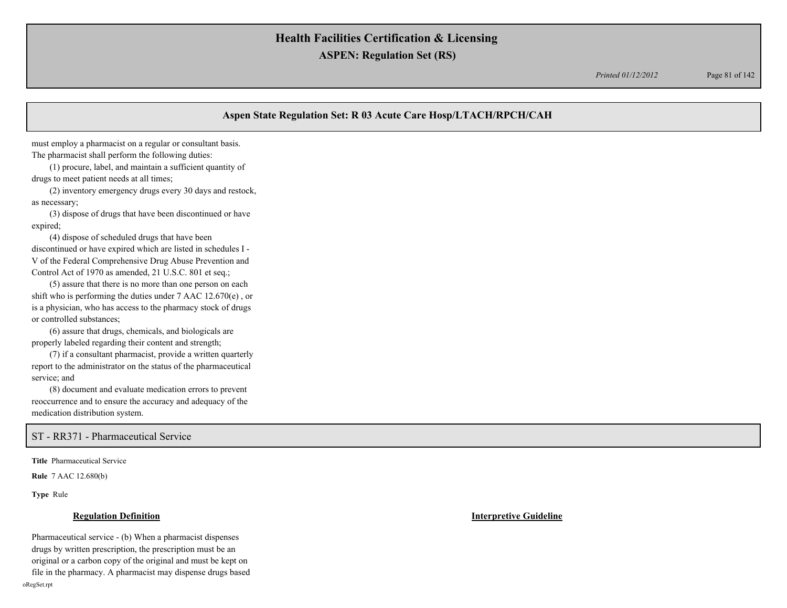*Printed 01/12/2012* Page 81 of 142

## **Aspen State Regulation Set: R 03 Acute Care Hosp/LTACH/RPCH/CAH**

must employ a pharmacist on a regular or consultant basis. The pharmacist shall perform the following duties:

(1) procure, label, and maintain a sufficient quantity of drugs to meet patient needs at all times;

(2) inventory emergency drugs every 30 days and restock, as necessary;

(3) dispose of drugs that have been discontinued or have expired;

(4) dispose of scheduled drugs that have been discontinued or have expired which are listed in schedules I - V of the Federal Comprehensive Drug Abuse Prevention and Control Act of 1970 as amended, 21 U.S.C. 801 et seq.;

(5) assure that there is no more than one person on each shift who is performing the duties under 7 AAC 12.670(e) , or is a physician, who has access to the pharmacy stock of drugs or controlled substances;

(6) assure that drugs, chemicals, and biologicals are properly labeled regarding their content and strength;

(7) if a consultant pharmacist, provide a written quarterly report to the administrator on the status of the pharmaceutical service; and

(8) document and evaluate medication errors to prevent reoccurrence and to ensure the accuracy and adequacy of the medication distribution system.

### ST - RR371 - Pharmaceutical Service

**Title** Pharmaceutical Service

**Rule** 7 AAC 12.680(b)

**Type** Rule

Pharmaceutical service - (b) When a pharmacist dispenses drugs by written prescription, the prescription must be an original or a carbon copy of the original and must be kept on file in the pharmacy. A pharmacist may dispense drugs based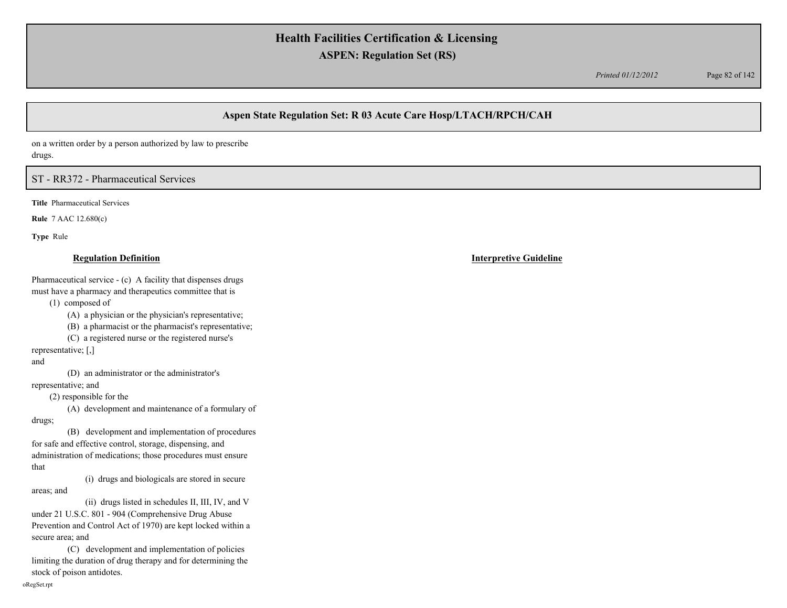*Printed 01/12/2012* Page 82 of 142

## **Aspen State Regulation Set: R 03 Acute Care Hosp/LTACH/RPCH/CAH**

on a written order by a person authorized by law to prescribe drugs.

## ST - RR372 - Pharmaceutical Services

**Title** Pharmaceutical Services

**Rule** 7 AAC 12.680(c)

**Type** Rule

### **Regulation Definition Interpretive Guideline**

Pharmaceutical service - (c) A facility that dispenses drugs must have a pharmacy and therapeutics committee that is (1) composed of (A) a physician or the physician's representative; (B) a pharmacist or the pharmacist's representative; (C) a registered nurse or the registered nurse's representative; [,] and (D) an administrator or the administrator's representative; and (2) responsible for the (A) development and maintenance of a formulary of drugs; (B) development and implementation of procedures for safe and effective control, storage, dispensing, and administration of medications; those procedures must ensure that (i) drugs and biologicals are stored in secure areas; and (ii) drugs listed in schedules II, III, IV, and V under 21 U.S.C. 801 - 904 (Comprehensive Drug Abuse

Prevention and Control Act of 1970) are kept locked within a secure area; and (C) development and implementation of policies

limiting the duration of drug therapy and for determining the stock of poison antidotes.

oRegSet.rpt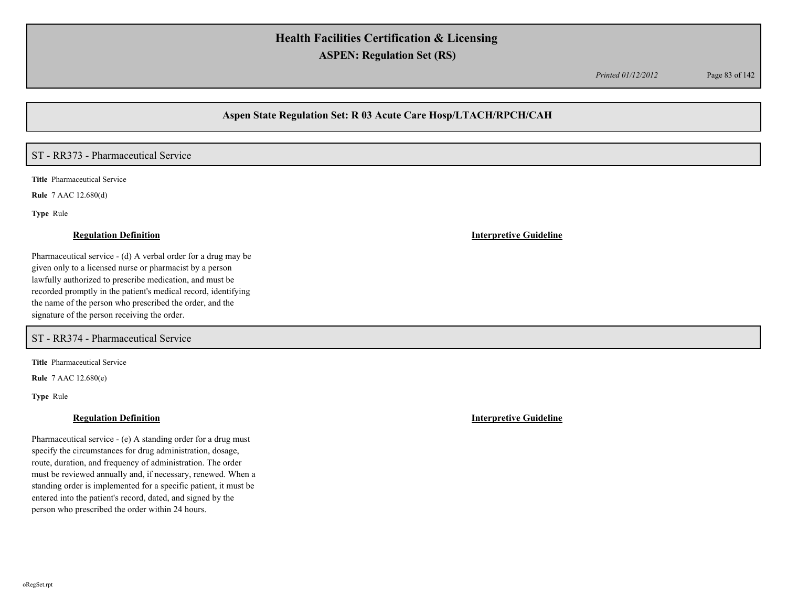*Printed 01/12/2012* Page 83 of 142

## **Aspen State Regulation Set: R 03 Acute Care Hosp/LTACH/RPCH/CAH**

## ST - RR373 - Pharmaceutical Service

**Title** Pharmaceutical Service

**Rule** 7 AAC 12.680(d)

**Type** Rule

### **Regulation Definition Interpretive Guideline**

Pharmaceutical service - (d) A verbal order for a drug may be given only to a licensed nurse or pharmacist by a person lawfully authorized to prescribe medication, and must be recorded promptly in the patient's medical record, identifying the name of the person who prescribed the order, and the signature of the person receiving the order.

ST - RR374 - Pharmaceutical Service

**Title** Pharmaceutical Service

**Rule** 7 AAC 12.680(e)

**Type** Rule

### **Regulation Definition Interpretive Guideline**

Pharmaceutical service - (e) A standing order for a drug must specify the circumstances for drug administration, dosage, route, duration, and frequency of administration. The order must be reviewed annually and, if necessary, renewed. When a standing order is implemented for a specific patient, it must be entered into the patient's record, dated, and signed by the person who prescribed the order within 24 hours.

oRegSet.rpt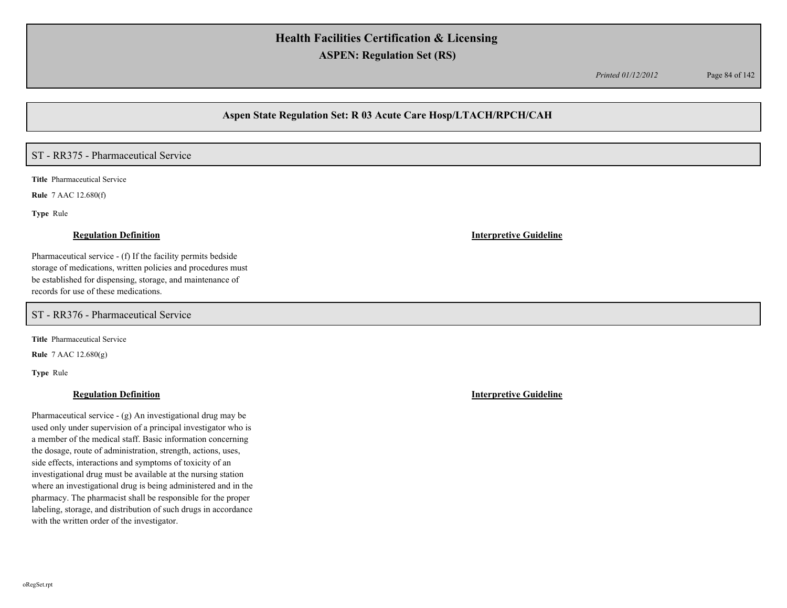*Printed 01/12/2012* Page 84 of 142

## **Aspen State Regulation Set: R 03 Acute Care Hosp/LTACH/RPCH/CAH**

## ST - RR375 - Pharmaceutical Service

**Title** Pharmaceutical Service

**Rule** 7 AAC 12.680(f)

**Type** Rule

Pharmaceutical service - (f) If the facility permits bedside storage of medications, written policies and procedures must be established for dispensing, storage, and maintenance of records for use of these medications.

ST - RR376 - Pharmaceutical Service

**Title** Pharmaceutical Service

**Rule** 7 AAC 12.680(g)

**Type** Rule

### **Regulation Definition Interpretive Guideline**

Pharmaceutical service - (g) An investigational drug may be used only under supervision of a principal investigator who is a member of the medical staff. Basic information concerning the dosage, route of administration, strength, actions, uses, side effects, interactions and symptoms of toxicity of an investigational drug must be available at the nursing station where an investigational drug is being administered and in the pharmacy. The pharmacist shall be responsible for the proper labeling, storage, and distribution of such drugs in accordance with the written order of the investigator.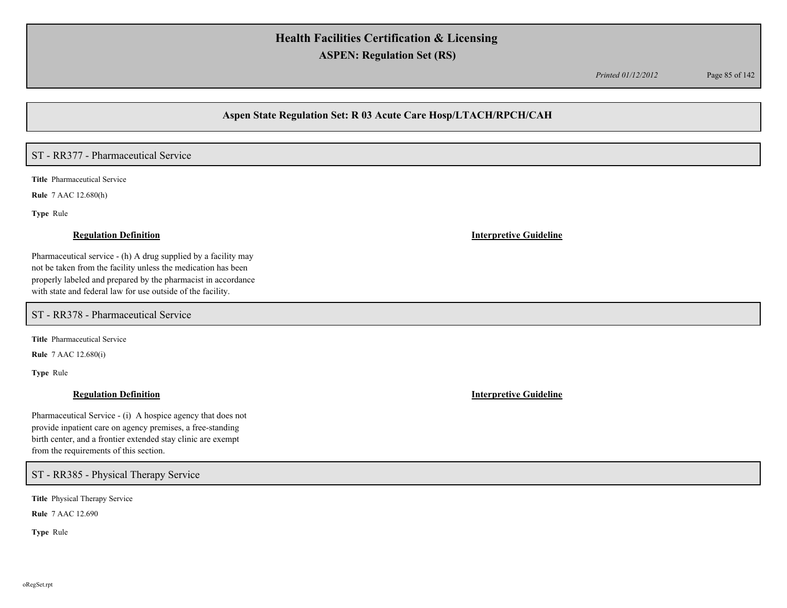*Printed 01/12/2012* Page 85 of 142

## **Aspen State Regulation Set: R 03 Acute Care Hosp/LTACH/RPCH/CAH**

## ST - RR377 - Pharmaceutical Service

**Title** Pharmaceutical Service

**Rule** 7 AAC 12.680(h)

**Type** Rule

Pharmaceutical service - (h) A drug supplied by a facility may not be taken from the facility unless the medication has been properly labeled and prepared by the pharmacist in accordance with state and federal law for use outside of the facility.

ST - RR378 - Pharmaceutical Service

**Title** Pharmaceutical Service

**Rule** 7 AAC 12.680(i)

**Type** Rule

Pharmaceutical Service - (i) A hospice agency that does not provide inpatient care on agency premises, a free-standing birth center, and a frontier extended stay clinic are exempt from the requirements of this section.

## ST - RR385 - Physical Therapy Service

**Title** Physical Therapy Service

**Rule** 7 AAC 12.690

**Type** Rule

**Regulation Definition Interpretive Guideline**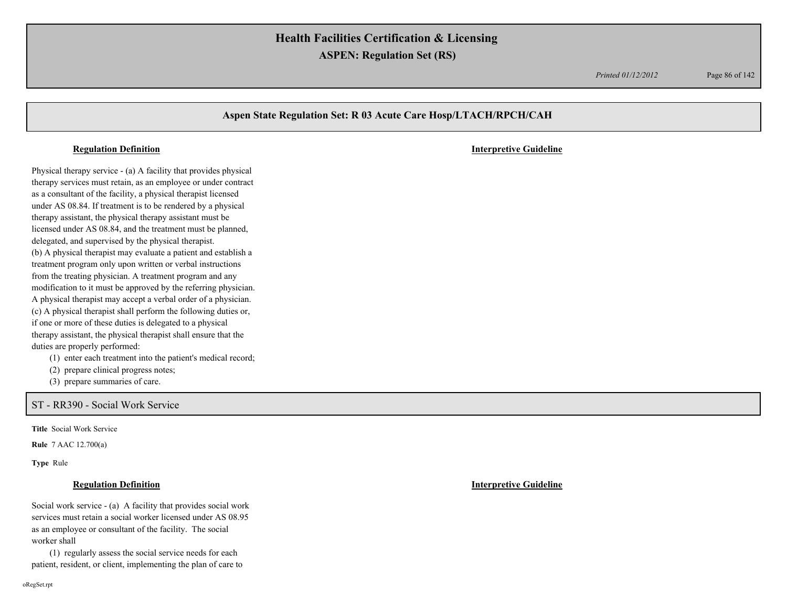*Printed 01/12/2012* Page 86 of 142

## **Aspen State Regulation Set: R 03 Acute Care Hosp/LTACH/RPCH/CAH**

### **Regulation Definition Interpretive Guideline**

Physical therapy service - (a) A facility that provides physical therapy services must retain, as an employee or under contract as a consultant of the facility, a physical therapist licensed under AS 08.84. If treatment is to be rendered by a physical therapy assistant, the physical therapy assistant must be licensed under AS 08.84, and the treatment must be planned, delegated, and supervised by the physical therapist. (b) A physical therapist may evaluate a patient and establish a treatment program only upon written or verbal instructions from the treating physician. A treatment program and any modification to it must be approved by the referring physician. A physical therapist may accept a verbal order of a physician. (c) A physical therapist shall perform the following duties or, if one or more of these duties is delegated to a physical therapy assistant, the physical therapist shall ensure that the duties are properly performed:

(1) enter each treatment into the patient's medical record;

(2) prepare clinical progress notes;

(3) prepare summaries of care.

ST - RR390 - Social Work Service

**Title** Social Work Service

**Rule** 7 AAC 12.700(a)

**Type** Rule

### **Regulation Definition Interpretive Guideline**

Social work service - (a) A facility that provides social work services must retain a social worker licensed under AS 08.95 as an employee or consultant of the facility. The social worker shall

(1) regularly assess the social service needs for each patient, resident, or client, implementing the plan of care to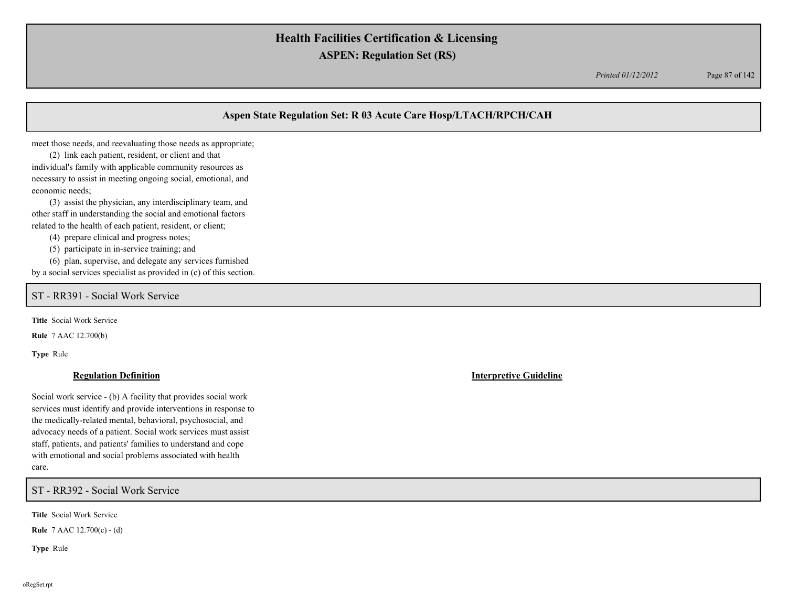*Printed 01/12/2012* Page 87 of 142

## **Aspen State Regulation Set: R 03 Acute Care Hosp/LTACH/RPCH/CAH**

meet those needs, and reevaluating those needs as appropriate;

(2) link each patient, resident, or client and that individual's family with applicable community resources as necessary to assist in meeting ongoing social, emotional, and economic needs;

(3) assist the physician, any interdisciplinary team, and other staff in understanding the social and emotional factors related to the health of each patient, resident, or client;

(4) prepare clinical and progress notes;

(5) participate in in-service training; and

(6) plan, supervise, and delegate any services furnished

by a social services specialist as provided in (c) of this section.

ST - RR391 - Social Work Service

**Title** Social Work Service

**Rule** 7 AAC 12.700(b)

**Type** Rule

Social work service - (b) A facility that provides social work services must identify and provide interventions in response to the medically-related mental, behavioral, psychosocial, and advocacy needs of a patient. Social work services must assist staff, patients, and patients' families to understand and cope with emotional and social problems associated with health care.

ST - RR392 - Social Work Service

**Title** Social Work Service

**Rule** 7 AAC 12.700(c) - (d)

**Type** Rule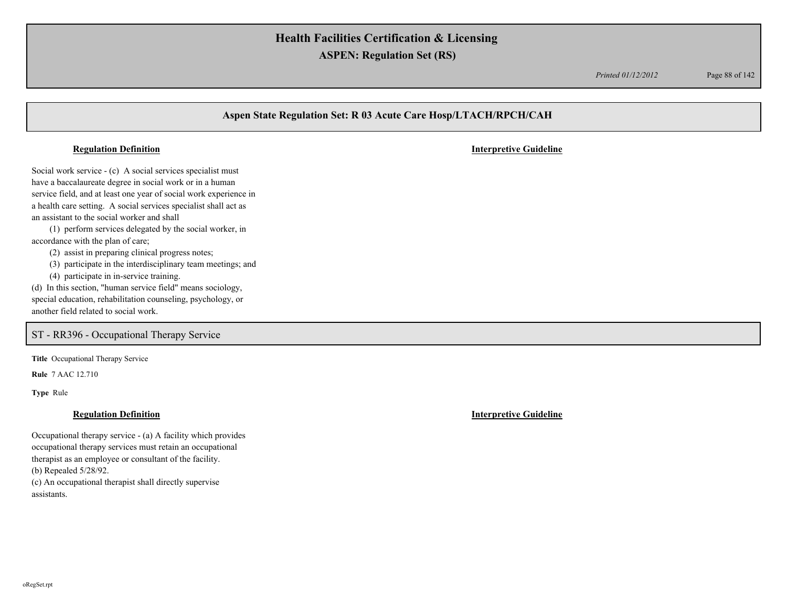*Printed 01/12/2012* Page 88 of 142

## **Aspen State Regulation Set: R 03 Acute Care Hosp/LTACH/RPCH/CAH**

Social work service - (c) A social services specialist must have a baccalaureate degree in social work or in a human service field, and at least one year of social work experience in a health care setting. A social services specialist shall act as an assistant to the social worker and shall

(1) perform services delegated by the social worker, in accordance with the plan of care;

(2) assist in preparing clinical progress notes;

(3) participate in the interdisciplinary team meetings; and

(4) participate in in-service training.

(d) In this section, "human service field" means sociology, special education, rehabilitation counseling, psychology, or another field related to social work.

ST - RR396 - Occupational Therapy Service

**Title** Occupational Therapy Service

**Rule** 7 AAC 12.710

**Type** Rule

| Occupational therapy service - (a) A facility which provides |
|--------------------------------------------------------------|
| occupational therapy services must retain an occupational    |
| therapist as an employee or consultant of the facility.      |
| (b) Repealed 5/28/92.                                        |
| (c) An occupational therapist shall directly supervise       |
| assistants.                                                  |

**Regulation Definition Interpretive Guideline**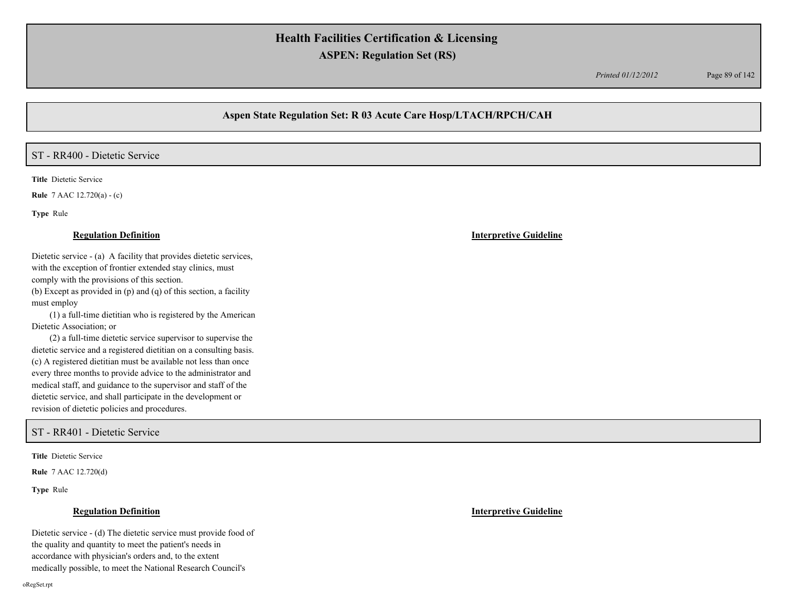*Printed 01/12/2012* Page 89 of 142

## **Aspen State Regulation Set: R 03 Acute Care Hosp/LTACH/RPCH/CAH**

### ST - RR400 - Dietetic Service

**Title** Dietetic Service

**Rule** 7 AAC 12.720(a) - (c)

**Type** Rule

Dietetic service - (a) A facility that provides dietetic services, with the exception of frontier extended stay clinics, must comply with the provisions of this section.

(b) Except as provided in (p) and (q) of this section, a facility must employ

(1) a full-time dietitian who is registered by the American Dietetic Association; or

(2) a full-time dietetic service supervisor to supervise the dietetic service and a registered dietitian on a consulting basis. (c) A registered dietitian must be available not less than once every three months to provide advice to the administrator and medical staff, and guidance to the supervisor and staff of the dietetic service, and shall participate in the development or revision of dietetic policies and procedures.

ST - RR401 - Dietetic Service

**Title** Dietetic Service

**Rule** 7 AAC 12.720(d)

**Type** Rule

### **Regulation Definition Interpretive Guideline**

Dietetic service - (d) The dietetic service must provide food of the quality and quantity to meet the patient's needs in accordance with physician's orders and, to the extent medically possible, to meet the National Research Council's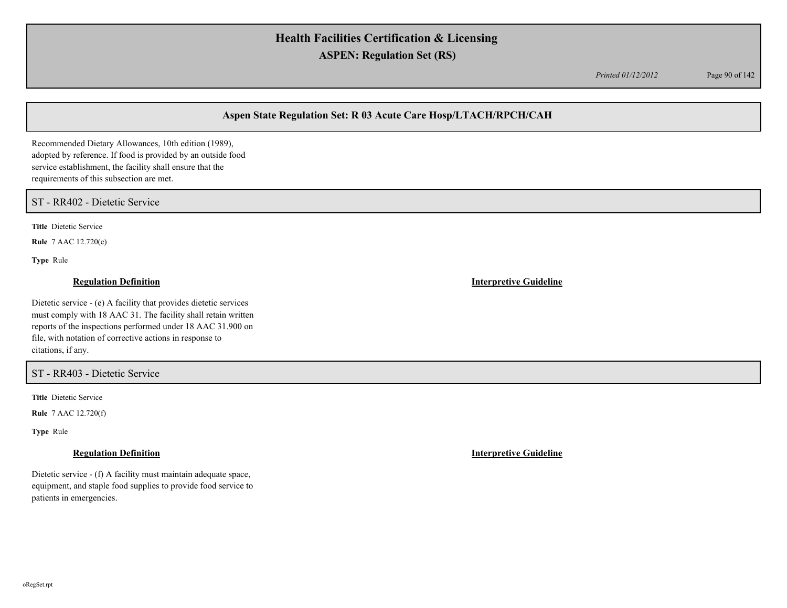*Printed 01/12/2012* Page 90 of 142

## **Aspen State Regulation Set: R 03 Acute Care Hosp/LTACH/RPCH/CAH**

Recommended Dietary Allowances, 10th edition (1989), adopted by reference. If food is provided by an outside food service establishment, the facility shall ensure that the requirements of this subsection are met.

ST - RR402 - Dietetic Service

**Title** Dietetic Service

**Rule** 7 AAC 12.720(e)

**Type** Rule

### **Regulation Definition Interpretive Guideline**

Dietetic service - (e) A facility that provides dietetic services must comply with 18 AAC 31. The facility shall retain written reports of the inspections performed under 18 AAC 31.900 on file, with notation of corrective actions in response to citations, if any.

## ST - RR403 - Dietetic Service

**Title** Dietetic Service

**Rule** 7 AAC 12.720(f)

**Type** Rule

Dietetic service - (f) A facility must maintain adequate space, equipment, and staple food supplies to provide food service to patients in emergencies.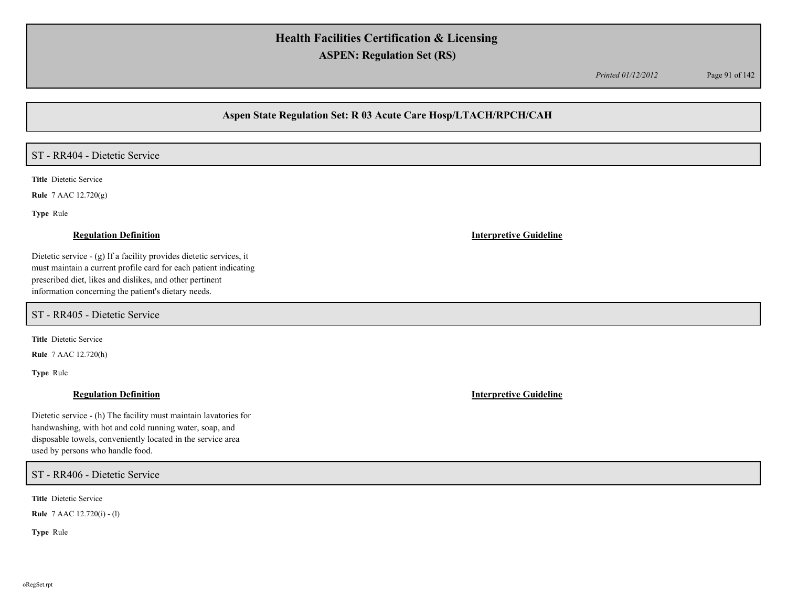*Printed 01/12/2012* Page 91 of 142

## **Aspen State Regulation Set: R 03 Acute Care Hosp/LTACH/RPCH/CAH**

## ST - RR404 - Dietetic Service

**Title** Dietetic Service

**Rule** 7 AAC 12.720(g)

**Type** Rule

Dietetic service - (g) If a facility provides dietetic services, it must maintain a current profile card for each patient indicating prescribed diet, likes and dislikes, and other pertinent information concerning the patient's dietary needs.

ST - RR405 - Dietetic Service

**Title** Dietetic Service

**Rule** 7 AAC 12.720(h)

**Type** Rule

## **Regulation Definition Interpretive Guideline**

Dietetic service - (h) The facility must maintain lavatories for handwashing, with hot and cold running water, soap, and disposable towels, conveniently located in the service area used by persons who handle food.

### ST - RR406 - Dietetic Service

**Title** Dietetic Service

**Rule** 7 AAC 12.720(i) - (l)

**Type** Rule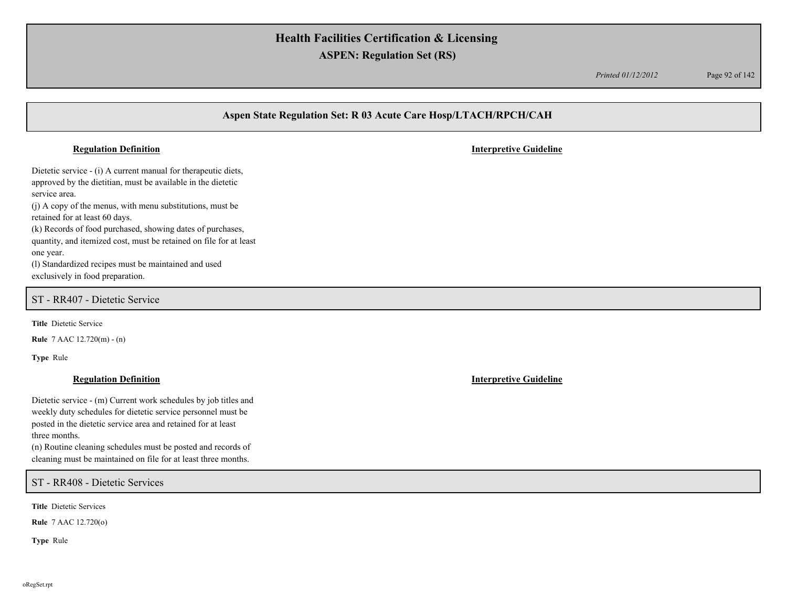*Printed 01/12/2012* Page 92 of 142

# **Aspen State Regulation Set: R 03 Acute Care Hosp/LTACH/RPCH/CAH** Dietetic service - (i) A current manual for therapeutic diets, approved by the dietitian, must be available in the dietetic service area. (j) A copy of the menus, with menu substitutions, must be retained for at least 60 days. (k) Records of food purchased, showing dates of purchases, quantity, and itemized cost, must be retained on file for at least one year. (l) Standardized recipes must be maintained and used exclusively in food preparation. **Regulation Definition Interpretive Guideline** ST - RR407 - Dietetic Service

**Title** Dietetic Service

**Rule** 7 AAC 12.720(m) - (n)

**Type** Rule

Dietetic service - (m) Current work schedules by job titles and weekly duty schedules for dietetic service personnel must be posted in the dietetic service area and retained for at least three months.

(n) Routine cleaning schedules must be posted and records of cleaning must be maintained on file for at least three months.

ST - RR408 - Dietetic Services

**Title** Dietetic Services

**Rule** 7 AAC 12.720(o)

**Type** Rule

### **Regulation Definition Interpretive Guideline**

oRegSet.rpt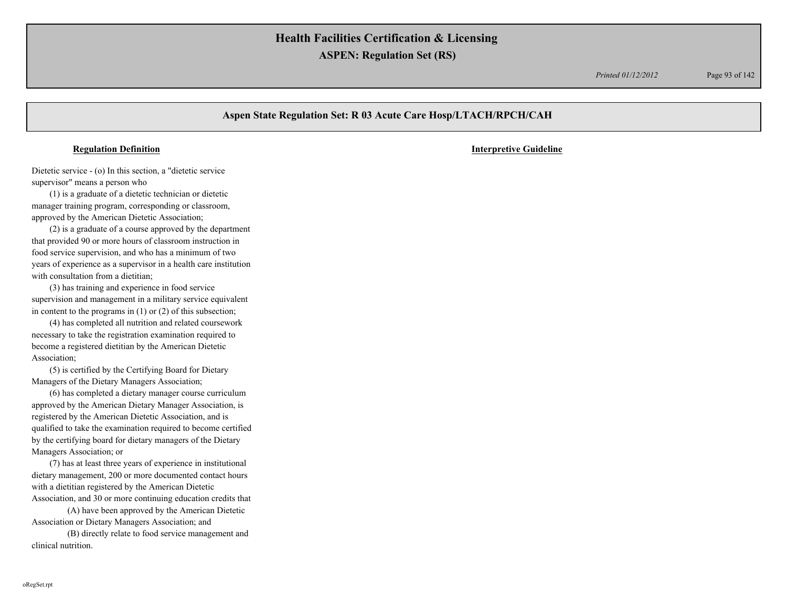*Printed 01/12/2012* Page 93 of 142

# **Aspen State Regulation Set: R 03 Acute Care Hosp/LTACH/RPCH/CAH** Dietetic service - (o) In this section, a "dietetic service supervisor" means a person who (1) is a graduate of a dietetic technician or dietetic manager training program, corresponding or classroom, approved by the American Dietetic Association; (2) is a graduate of a course approved by the department that provided 90 or more hours of classroom instruction in food service supervision, and who has a minimum of two years of experience as a supervisor in a health care institution with consultation from a dietitian; (3) has training and experience in food service supervision and management in a military service equivalent in content to the programs in (1) or (2) of this subsection; (4) has completed all nutrition and related coursework necessary to take the registration examination required to become a registered dietitian by the American Dietetic Association; (5) is certified by the Certifying Board for Dietary **Regulation Definition Interpretive Guideline**

registered by the American Dietetic Association, and is qualified to take the examination required to become certified by the certifying board for dietary managers of the Dietary Managers Association; or (7) has at least three years of experience in institutional

(6) has completed a dietary manager course curriculum approved by the American Dietary Manager Association, is

Managers of the Dietary Managers Association;

dietary management, 200 or more documented contact hours with a dietitian registered by the American Dietetic Association, and 30 or more continuing education credits that

(A) have been approved by the American Dietetic Association or Dietary Managers Association; and

(B) directly relate to food service management and clinical nutrition.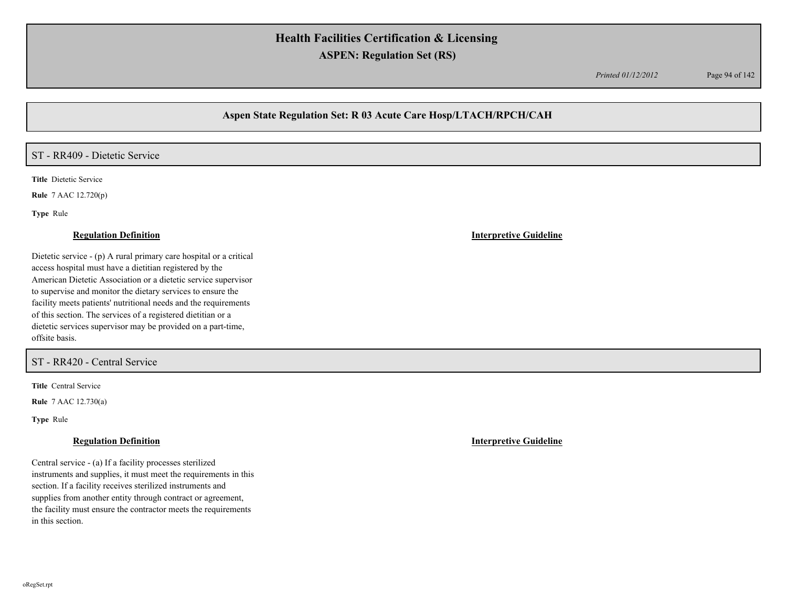*Printed 01/12/2012* Page 94 of 142

## **Aspen State Regulation Set: R 03 Acute Care Hosp/LTACH/RPCH/CAH**

### ST - RR409 - Dietetic Service

**Title** Dietetic Service

**Rule** 7 AAC 12.720(p)

**Type** Rule

### **Regulation Definition Interpretive Guideline**

Dietetic service - (p) A rural primary care hospital or a critical access hospital must have a dietitian registered by the American Dietetic Association or a dietetic service supervisor to supervise and monitor the dietary services to ensure the facility meets patients' nutritional needs and the requirements of this section. The services of a registered dietitian or a dietetic services supervisor may be provided on a part-time, offsite basis.

## ST - RR420 - Central Service

**Title** Central Service

**Rule** 7 AAC 12.730(a)

**Type** Rule

### **Regulation Definition Interpretive Guideline**

Central service - (a) If a facility processes sterilized instruments and supplies, it must meet the requirements in this section. If a facility receives sterilized instruments and supplies from another entity through contract or agreement, the facility must ensure the contractor meets the requirements in this section.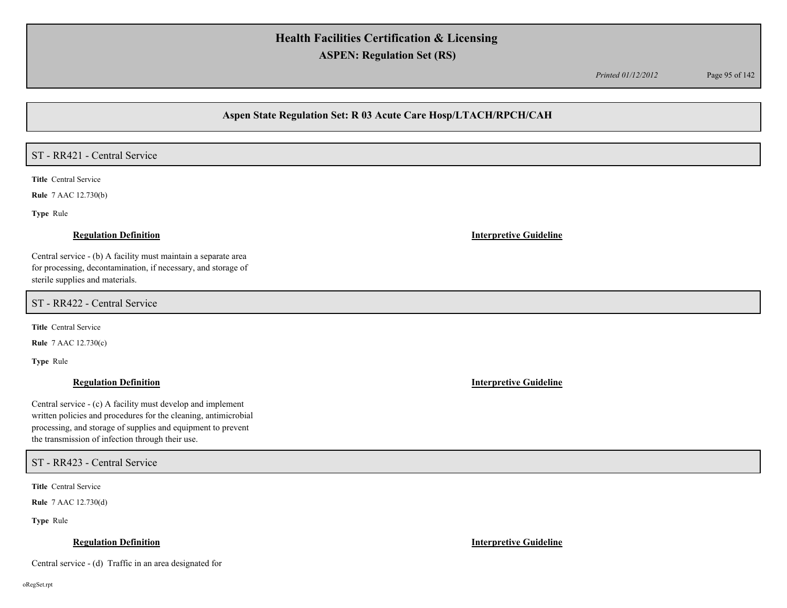*Printed 01/12/2012* Page 95 of 142

## **Aspen State Regulation Set: R 03 Acute Care Hosp/LTACH/RPCH/CAH**

## ST - RR421 - Central Service

**Title** Central Service

**Rule** 7 AAC 12.730(b)

**Type** Rule

### **Regulation Definition Interpretive Guideline**

Central service - (b) A facility must maintain a separate area for processing, decontamination, if necessary, and storage of sterile supplies and materials.

ST - RR422 - Central Service

**Title** Central Service

**Rule** 7 AAC 12.730(c)

**Type** Rule

Central service - (c) A facility must develop and implement written policies and procedures for the cleaning, antimicrobial processing, and storage of supplies and equipment to prevent the transmission of infection through their use.

ST - RR423 - Central Service

**Title** Central Service

**Rule** 7 AAC 12.730(d)

**Type** Rule

## **Regulation Definition Interpretive Guideline**

Central service - (d) Traffic in an area designated for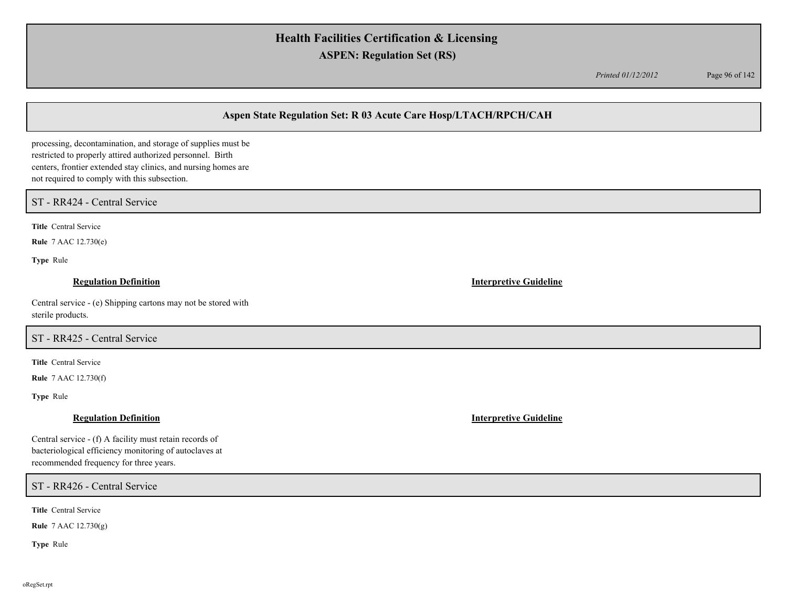*Printed 01/12/2012* Page 96 of 142

## **Aspen State Regulation Set: R 03 Acute Care Hosp/LTACH/RPCH/CAH**

processing, decontamination, and storage of supplies must be restricted to properly attired authorized personnel. Birth centers, frontier extended stay clinics, and nursing homes are not required to comply with this subsection.

### ST - RR424 - Central Service

**Title** Central Service

**Rule** 7 AAC 12.730(e)

**Type** Rule

## **Regulation Definition Interpretive Guideline**

Central service - (e) Shipping cartons may not be stored with sterile products.

## ST - RR425 - Central Service

**Title** Central Service

**Rule** 7 AAC 12.730(f)

**Type** Rule

Central service - (f) A facility must retain records of bacteriological efficiency monitoring of autoclaves at recommended frequency for three years.

ST - RR426 - Central Service

**Title** Central Service

**Rule** 7 AAC 12.730(g)

**Type** Rule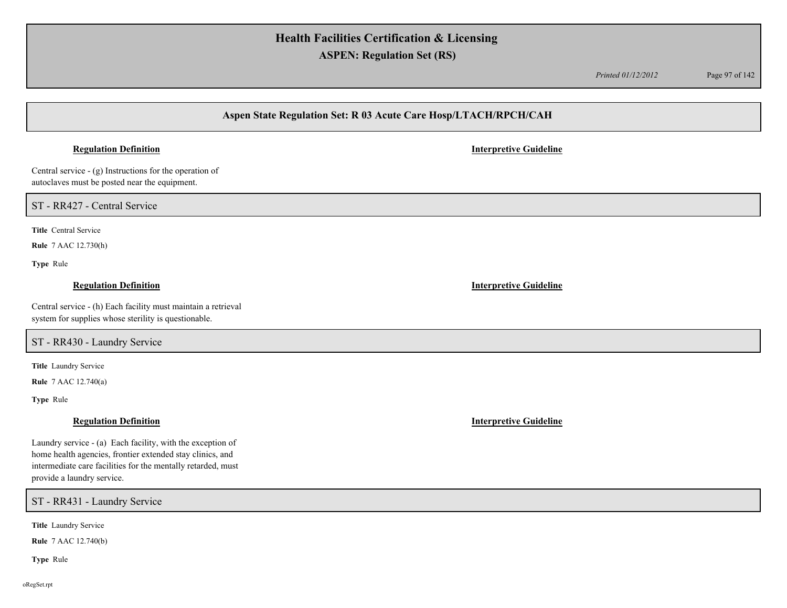*Printed 01/12/2012* Page 97 of 142

## **Aspen State Regulation Set: R 03 Acute Care Hosp/LTACH/RPCH/CAH**

### **Regulation Definition Interpretive Guideline**

Central service - (g) Instructions for the operation of autoclaves must be posted near the equipment.

ST - RR427 - Central Service

**Title** Central Service

**Rule** 7 AAC 12.730(h)

**Type** Rule

Central service - (h) Each facility must maintain a retrieval system for supplies whose sterility is questionable.

## ST - RR430 - Laundry Service

**Title** Laundry Service

**Rule** 7 AAC 12.740(a)

**Type** Rule

Laundry service - (a) Each facility, with the exception of home health agencies, frontier extended stay clinics, and intermediate care facilities for the mentally retarded, must provide a laundry service.

ST - RR431 - Laundry Service

**Title** Laundry Service

**Rule** 7 AAC 12.740(b)

**Type** Rule

**Regulation Definition Interpretive Guideline**

**Regulation Definition Interpretive Guideline**

oRegSet.rpt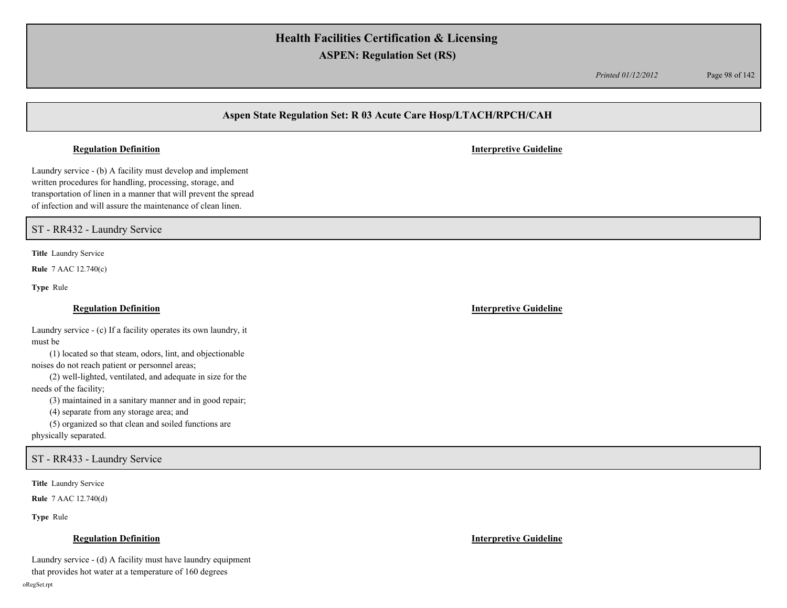*Printed 01/12/2012* Page 98 of 142

## **Aspen State Regulation Set: R 03 Acute Care Hosp/LTACH/RPCH/CAH**

Laundry service - (b) A facility must develop and implement written procedures for handling, processing, storage, and transportation of linen in a manner that will prevent the spread of infection and will assure the maintenance of clean linen.

ST - RR432 - Laundry Service

**Title** Laundry Service

**Rule** 7 AAC 12.740(c)

**Type** Rule

Laundry service - (c) If a facility operates its own laundry, it must be

(1) located so that steam, odors, lint, and objectionable noises do not reach patient or personnel areas;

(2) well-lighted, ventilated, and adequate in size for the needs of the facility;

(3) maintained in a sanitary manner and in good repair;

(4) separate from any storage area; and

(5) organized so that clean and soiled functions are

physically separated.

ST - RR433 - Laundry Service

**Title** Laundry Service

**Rule** 7 AAC 12.740(d)

**Type** Rule

Laundry service - (d) A facility must have laundry equipment

that provides hot water at a temperature of 160 degrees

**Regulation Definition Interpretive Guideline**

**Regulation Definition Interpretive Guideline**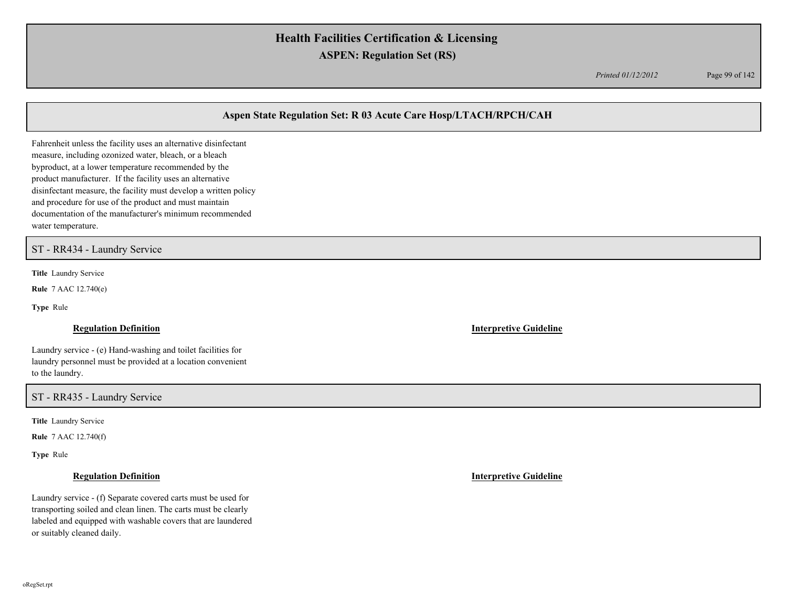*Printed 01/12/2012* Page 99 of 142

## **Aspen State Regulation Set: R 03 Acute Care Hosp/LTACH/RPCH/CAH**

Fahrenheit unless the facility uses an alternative disinfectant measure, including ozonized water, bleach, or a bleach byproduct, at a lower temperature recommended by the product manufacturer. If the facility uses an alternative disinfectant measure, the facility must develop a written policy and procedure for use of the product and must maintain documentation of the manufacturer's minimum recommended water temperature.

ST - RR434 - Laundry Service

**Title** Laundry Service

**Rule** 7 AAC 12.740(e)

**Type** Rule

Laundry service - (e) Hand-washing and toilet facilities for laundry personnel must be provided at a location convenient to the laundry.

### ST - RR435 - Laundry Service

**Title** Laundry Service

**Rule** 7 AAC 12.740(f)

**Type** Rule

Laundry service - (f) Separate covered carts must be used for transporting soiled and clean linen. The carts must be clearly labeled and equipped with washable covers that are laundered or suitably cleaned daily.

**Regulation Definition Interpretive Guideline**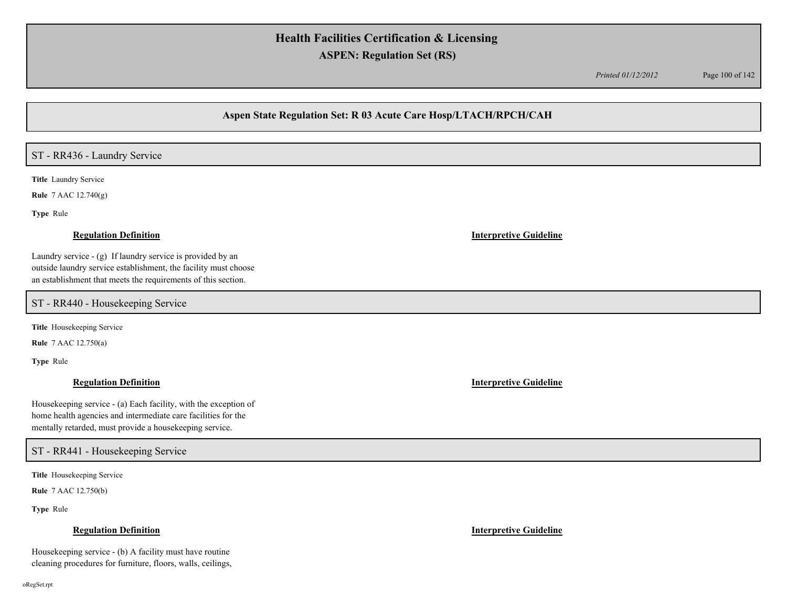*Printed 01/12/2012* Page 100 of 142

## **Aspen State Regulation Set: R 03 Acute Care Hosp/LTACH/RPCH/CAH**

## ST - RR436 - Laundry Service

**Title** Laundry Service

**Rule** 7 AAC 12.740(g)

**Type** Rule

### **Regulation Definition Interpretive Guideline**

Laundry service - (g) If laundry service is provided by an outside laundry service establishment, the facility must choose an establishment that meets the requirements of this section.

ST - RR440 - Housekeeping Service

**Title** Housekeeping Service

**Rule** 7 AAC 12.750(a)

**Type** Rule

Housekeeping service - (a) Each facility, with the exception of home health agencies and intermediate care facilities for the mentally retarded, must provide a housekeeping service.

ST - RR441 - Housekeeping Service

**Title** Housekeeping Service

**Rule** 7 AAC 12.750(b)

**Type** Rule

### **Regulation Definition Interpretive Guideline**

Housekeeping service - (b) A facility must have routine cleaning procedures for furniture, floors, walls, ceilings,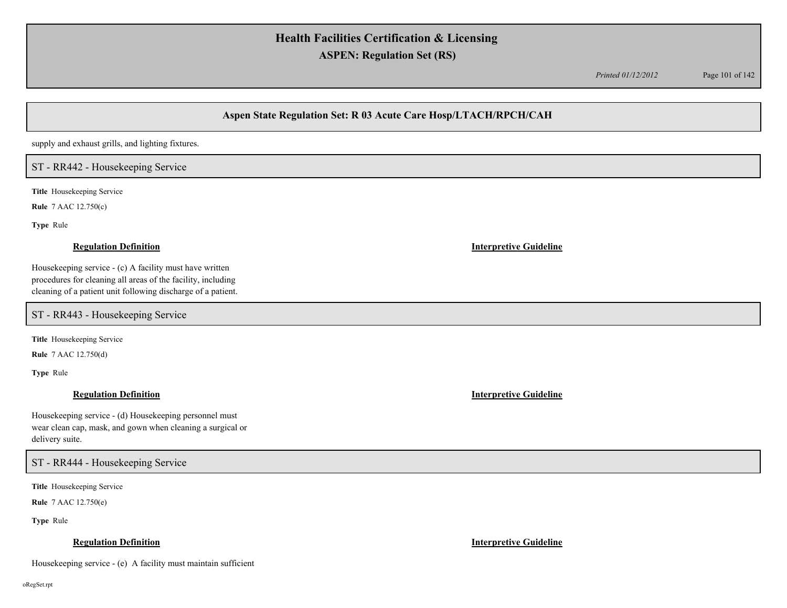*Printed 01/12/2012* Page 101 of 142

## **Aspen State Regulation Set: R 03 Acute Care Hosp/LTACH/RPCH/CAH**

supply and exhaust grills, and lighting fixtures.

## ST - RR442 - Housekeeping Service

**Title** Housekeeping Service

**Rule** 7 AAC 12.750(c)

**Type** Rule

## **Regulation Definition Interpretive Guideline**

Housekeeping service - (c) A facility must have written procedures for cleaning all areas of the facility, including cleaning of a patient unit following discharge of a patient.

ST - RR443 - Housekeeping Service

**Title** Housekeeping Service

**Rule** 7 AAC 12.750(d)

**Type** Rule

Housekeeping service - (d) Housekeeping personnel must wear clean cap, mask, and gown when cleaning a surgical or delivery suite.

ST - RR444 - Housekeeping Service

**Title** Housekeeping Service

**Rule** 7 AAC 12.750(e)

**Type** Rule

## **Regulation Definition Interpretive Guideline**

Housekeeping service - (e) A facility must maintain sufficient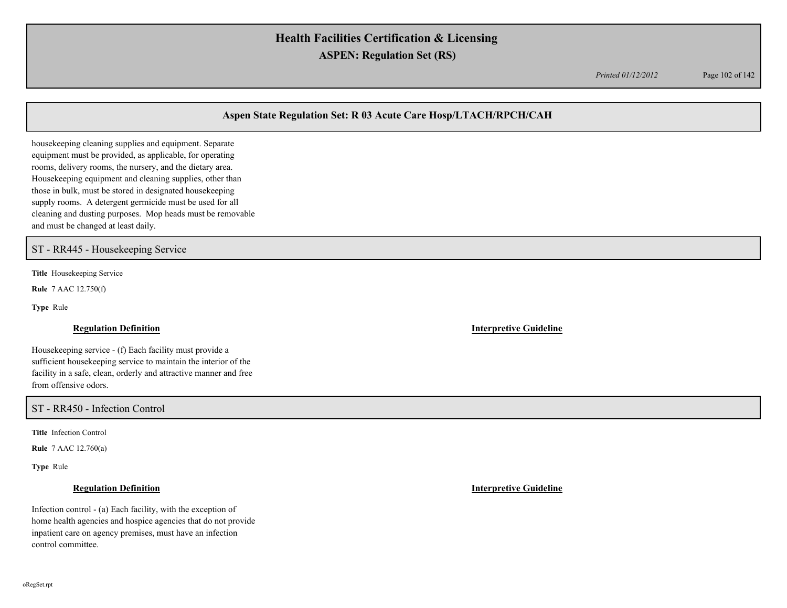*Printed 01/12/2012* Page 102 of 142

## **Aspen State Regulation Set: R 03 Acute Care Hosp/LTACH/RPCH/CAH**

housekeeping cleaning supplies and equipment. Separate equipment must be provided, as applicable, for operating rooms, delivery rooms, the nursery, and the dietary area. Housekeeping equipment and cleaning supplies, other than those in bulk, must be stored in designated housekeeping supply rooms. A detergent germicide must be used for all cleaning and dusting purposes. Mop heads must be removable and must be changed at least daily.

## ST - RR445 - Housekeeping Service

**Title** Housekeeping Service

**Rule** 7 AAC 12.750(f)

**Type** Rule

Housekeeping service - (f) Each facility must provide a sufficient housekeeping service to maintain the interior of the facility in a safe, clean, orderly and attractive manner and free from offensive odors.

ST - RR450 - Infection Control

**Title** Infection Control

**Rule** 7 AAC 12.760(a)

**Type** Rule

Infection control - (a) Each facility, with the exception of home health agencies and hospice agencies that do not provide inpatient care on agency premises, must have an infection control committee.

**Regulation Definition Interpretive Guideline**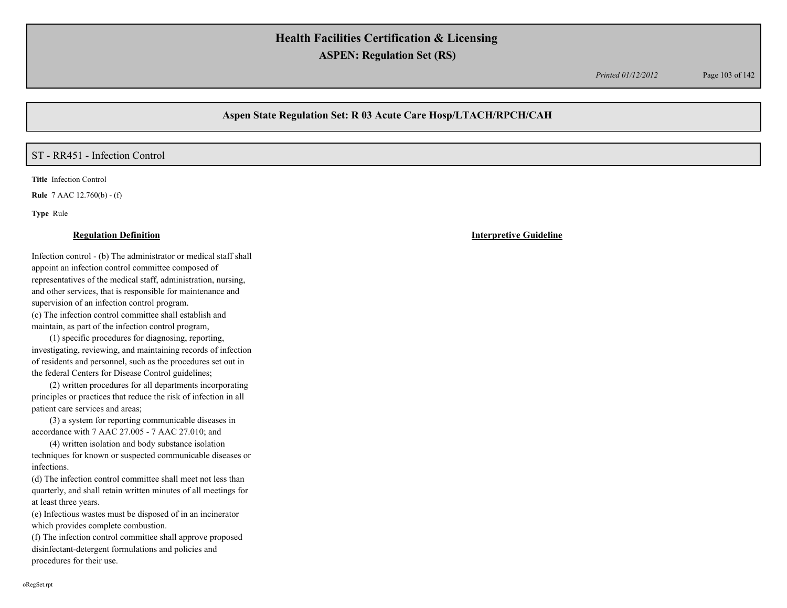*Printed 01/12/2012* Page 103 of 142

## **Aspen State Regulation Set: R 03 Acute Care Hosp/LTACH/RPCH/CAH**

### ST - RR451 - Infection Control

**Title** Infection Control

**Rule** 7 AAC 12.760(b) - (f)

**Type** Rule

Infection control - (b) The administrator or medical staff shall appoint an infection control committee composed of representatives of the medical staff, administration, nursing, and other services, that is responsible for maintenance and supervision of an infection control program. (c) The infection control committee shall establish and maintain, as part of the infection control program,

(1) specific procedures for diagnosing, reporting, investigating, reviewing, and maintaining records of infection of residents and personnel, such as the procedures set out in the federal Centers for Disease Control guidelines;

(2) written procedures for all departments incorporating principles or practices that reduce the risk of infection in all patient care services and areas;

(3) a system for reporting communicable diseases in accordance with 7 AAC 27.005 - 7 AAC 27.010; and

(4) written isolation and body substance isolation techniques for known or suspected communicable diseases or infections.

(d) The infection control committee shall meet not less than quarterly, and shall retain written minutes of all meetings for at least three years.

(e) Infectious wastes must be disposed of in an incinerator which provides complete combustion.

(f) The infection control committee shall approve proposed disinfectant-detergent formulations and policies and procedures for their use.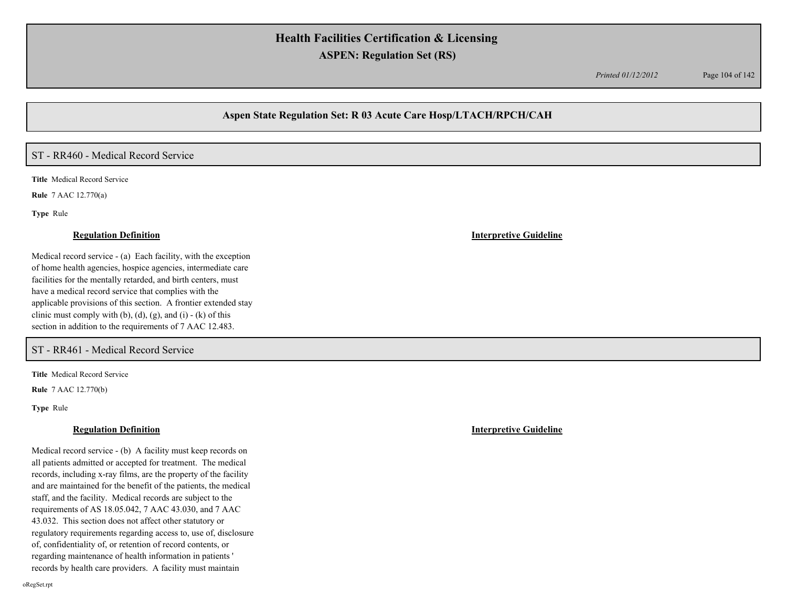*Printed 01/12/2012* Page 104 of 142

## **Aspen State Regulation Set: R 03 Acute Care Hosp/LTACH/RPCH/CAH**

## ST - RR460 - Medical Record Service

**Title** Medical Record Service

**Rule** 7 AAC 12.770(a)

**Type** Rule

Medical record service - (a) Each facility, with the exception of home health agencies, hospice agencies, intermediate care facilities for the mentally retarded, and birth centers, must have a medical record service that complies with the applicable provisions of this section. A frontier extended stay clinic must comply with  $(b)$ ,  $(d)$ ,  $(g)$ , and  $(i)$  -  $(k)$  of this section in addition to the requirements of 7 AAC 12.483.

ST - RR461 - Medical Record Service

**Title** Medical Record Service

**Rule** 7 AAC 12.770(b)

**Type** Rule

### **Regulation Definition Interpretive Guideline**

Medical record service - (b) A facility must keep records on all patients admitted or accepted for treatment. The medical records, including x-ray films, are the property of the facility and are maintained for the benefit of the patients, the medical staff, and the facility. Medical records are subject to the requirements of AS 18.05.042, 7 AAC 43.030, and 7 AAC 43.032. This section does not affect other statutory or regulatory requirements regarding access to, use of, disclosure of, confidentiality of, or retention of record contents, or regarding maintenance of health information in patients ' records by health care providers. A facility must maintain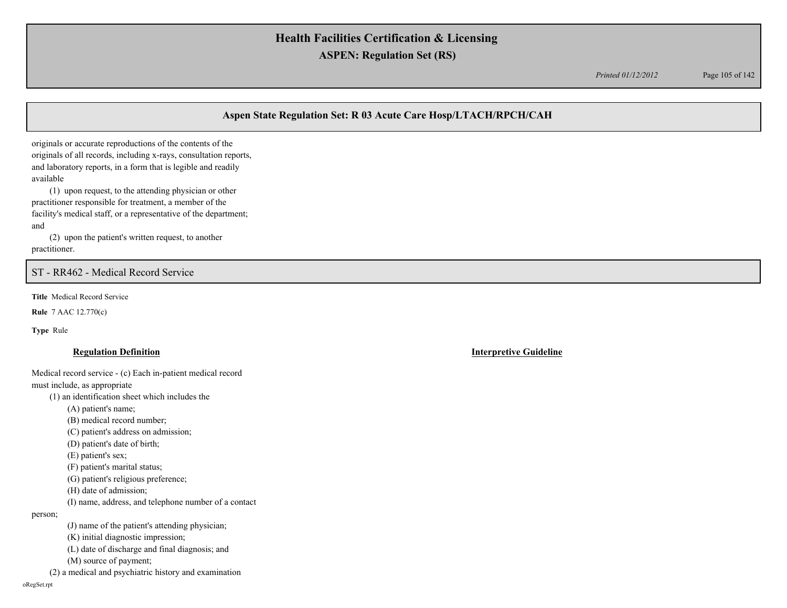*Printed 01/12/2012* Page 105 of 142

## **Aspen State Regulation Set: R 03 Acute Care Hosp/LTACH/RPCH/CAH**

originals or accurate reproductions of the contents of the originals of all records, including x-rays, consultation reports, and laboratory reports, in a form that is legible and readily available

(1) upon request, to the attending physician or other practitioner responsible for treatment, a member of the facility's medical staff, or a representative of the department; and

(2) upon the patient's written request, to another practitioner.

## ST - RR462 - Medical Record Service

**Title** Medical Record Service

**Rule** 7 AAC 12.770(c)

**Type** Rule

### **Regulation Definition Interpretive Guideline**

Medical record service - (c) Each in-patient medical record must include, as appropriate

(1) an identification sheet which includes the

(A) patient's name;

(B) medical record number;

(C) patient's address on admission;

(D) patient's date of birth;

(E) patient's sex;

(F) patient's marital status;

(G) patient's religious preference;

(H) date of admission;

(I) name, address, and telephone number of a contact

person;

(J) name of the patient's attending physician;

(K) initial diagnostic impression;

(L) date of discharge and final diagnosis; and

(M) source of payment;

(2) a medical and psychiatric history and examination

oRegSet.rpt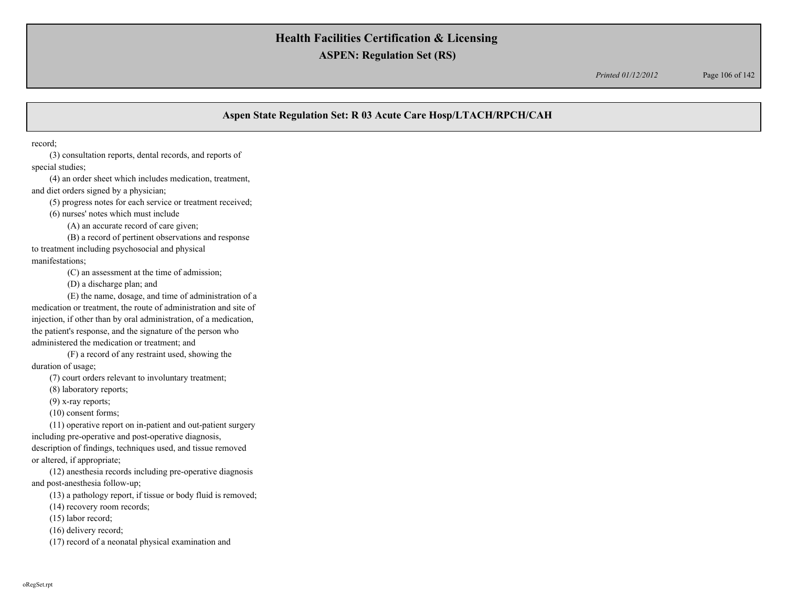*Printed 01/12/2012* Page 106 of 142

## **Aspen State Regulation Set: R 03 Acute Care Hosp/LTACH/RPCH/CAH**

record;

(3) consultation reports, dental records, and reports of special studies;

(4) an order sheet which includes medication, treatment, and diet orders signed by a physician;

(5) progress notes for each service or treatment received;

(6) nurses' notes which must include

(A) an accurate record of care given;

(B) a record of pertinent observations and response to treatment including psychosocial and physical manifestations;

(C) an assessment at the time of admission;

(D) a discharge plan; and

(E) the name, dosage, and time of administration of a medication or treatment, the route of administration and site of injection, if other than by oral administration, of a medication, the patient's response, and the signature of the person who administered the medication or treatment; and

(F) a record of any restraint used, showing the duration of usage;

(7) court orders relevant to involuntary treatment;

(8) laboratory reports;

(9) x-ray reports;

(10) consent forms;

(11) operative report on in-patient and out-patient surgery including pre-operative and post-operative diagnosis, description of findings, techniques used, and tissue removed or altered, if appropriate;

(12) anesthesia records including pre-operative diagnosis and post-anesthesia follow-up;

(13) a pathology report, if tissue or body fluid is removed;

(14) recovery room records;

(15) labor record;

(16) delivery record;

(17) record of a neonatal physical examination and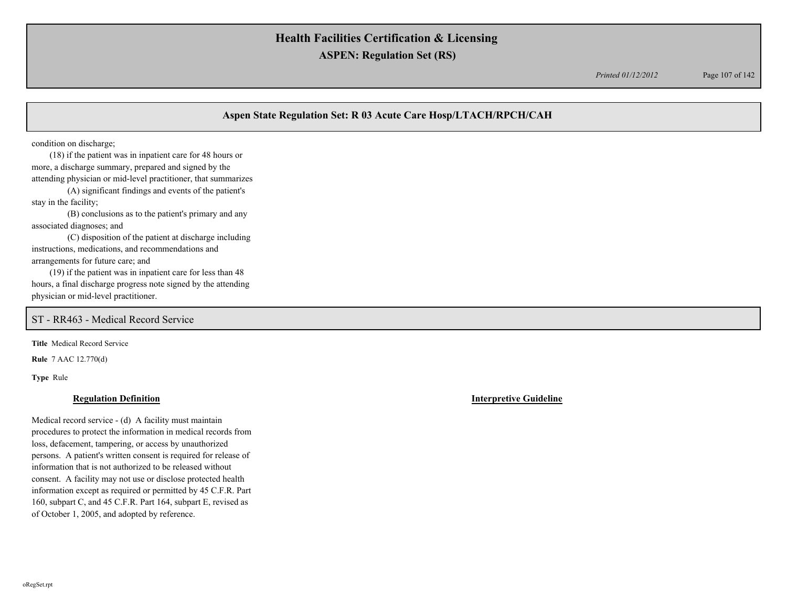*Printed 01/12/2012* Page 107 of 142

## **Aspen State Regulation Set: R 03 Acute Care Hosp/LTACH/RPCH/CAH**

condition on discharge;

(18) if the patient was in inpatient care for 48 hours or more, a discharge summary, prepared and signed by the attending physician or mid-level practitioner, that summarizes

(A) significant findings and events of the patient's stay in the facility;

(B) conclusions as to the patient's primary and any associated diagnoses; and

(C) disposition of the patient at discharge including instructions, medications, and recommendations and arrangements for future care; and

(19) if the patient was in inpatient care for less than 48 hours, a final discharge progress note signed by the attending physician or mid-level practitioner.

## ST - RR463 - Medical Record Service

**Title** Medical Record Service

**Rule** 7 AAC 12.770(d)

**Type** Rule

### **Regulation Definition Interpretive Guideline**

Medical record service - (d) A facility must maintain procedures to protect the information in medical records from loss, defacement, tampering, or access by unauthorized persons. A patient's written consent is required for release of information that is not authorized to be released without consent. A facility may not use or disclose protected health information except as required or permitted by 45 C.F.R. Part 160, subpart C, and 45 C.F.R. Part 164, subpart E, revised as of October 1, 2005, and adopted by reference.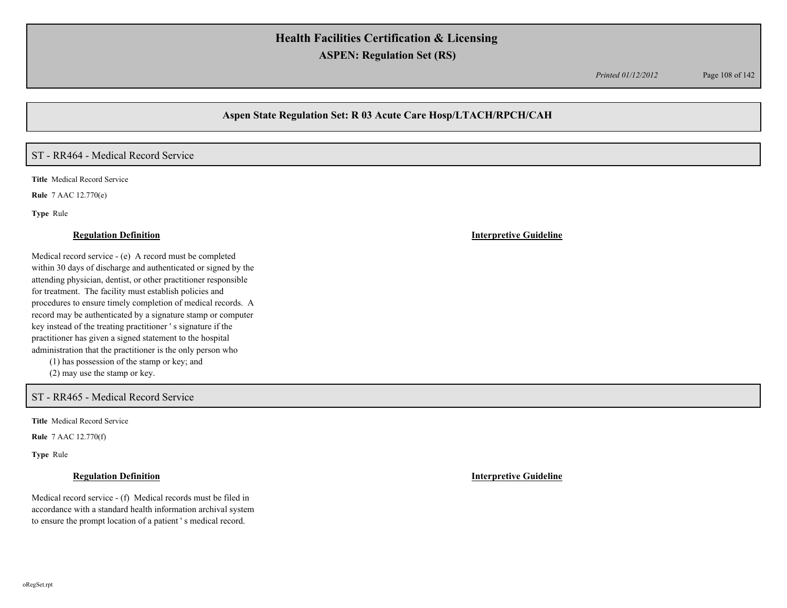*Printed 01/12/2012* Page 108 of 142

## **Aspen State Regulation Set: R 03 Acute Care Hosp/LTACH/RPCH/CAH**

## ST - RR464 - Medical Record Service

**Title** Medical Record Service

**Rule** 7 AAC 12.770(e)

**Type** Rule

### **Regulation Definition Interpretive Guideline**

Medical record service - (e) A record must be completed within 30 days of discharge and authenticated or signed by the attending physician, dentist, or other practitioner responsible for treatment. The facility must establish policies and procedures to ensure timely completion of medical records. A record may be authenticated by a signature stamp or computer key instead of the treating practitioner ' s signature if the practitioner has given a signed statement to the hospital administration that the practitioner is the only person who

(1) has possession of the stamp or key; and (2) may use the stamp or key.

## ST - RR465 - Medical Record Service

**Title** Medical Record Service

**Rule** 7 AAC 12.770(f)

**Type** Rule

Medical record service - (f) Medical records must be filed in accordance with a standard health information archival system to ensure the prompt location of a patient ' s medical record.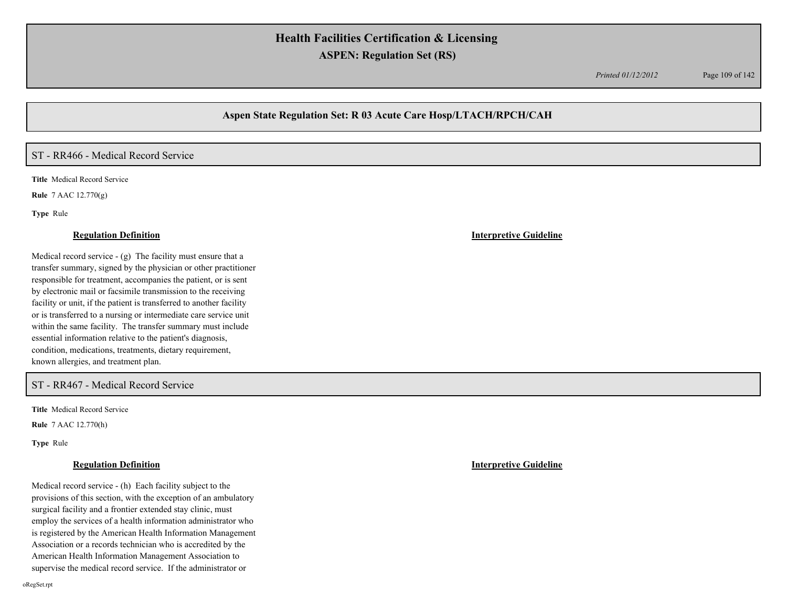*Printed 01/12/2012* Page 109 of 142

### **Aspen State Regulation Set: R 03 Acute Care Hosp/LTACH/RPCH/CAH**

### ST - RR466 - Medical Record Service

**Title** Medical Record Service

**Rule** 7 AAC 12.770(g)

**Type** Rule

#### **Regulation Definition Interpretive Guideline**

Medical record service - (g) The facility must ensure that a transfer summary, signed by the physician or other practitioner responsible for treatment, accompanies the patient, or is sent by electronic mail or facsimile transmission to the receiving facility or unit, if the patient is transferred to another facility or is transferred to a nursing or intermediate care service unit within the same facility. The transfer summary must include essential information relative to the patient's diagnosis, condition, medications, treatments, dietary requirement, known allergies, and treatment plan.

### ST - RR467 - Medical Record Service

**Title** Medical Record Service

**Rule** 7 AAC 12.770(h)

**Type** Rule

Medical record service - (h) Each facility subject to the provisions of this section, with the exception of an ambulatory surgical facility and a frontier extended stay clinic, must employ the services of a health information administrator who is registered by the American Health Information Management Association or a records technician who is accredited by the American Health Information Management Association to supervise the medical record service. If the administrator or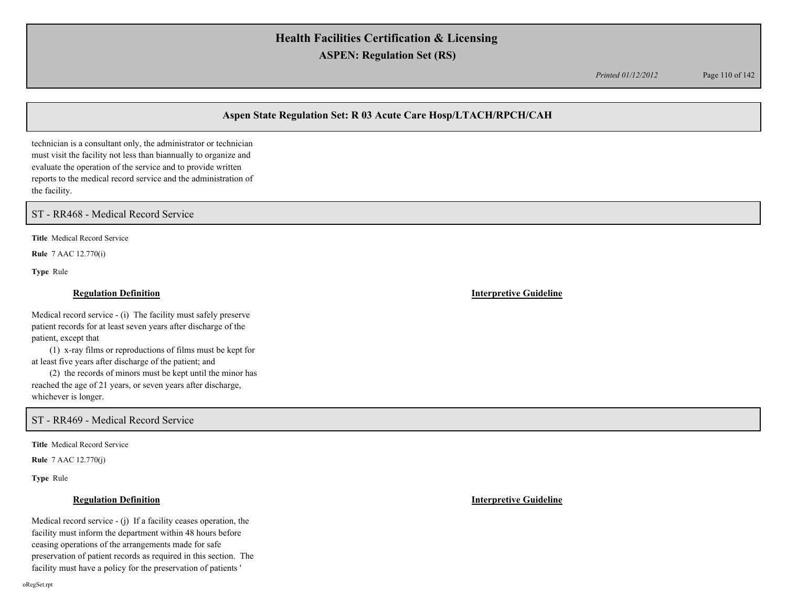*Printed 01/12/2012* Page 110 of 142

## **Aspen State Regulation Set: R 03 Acute Care Hosp/LTACH/RPCH/CAH**

technician is a consultant only, the administrator or technician must visit the facility not less than biannually to organize and evaluate the operation of the service and to provide written reports to the medical record service and the administration of the facility.

ST - RR468 - Medical Record Service

**Title** Medical Record Service

**Rule** 7 AAC 12.770(i)

**Type** Rule

#### **Regulation Definition Interpretive Guideline**

Medical record service - (i) The facility must safely preserve patient records for at least seven years after discharge of the patient, except that

(1) x-ray films or reproductions of films must be kept for at least five years after discharge of the patient; and

(2) the records of minors must be kept until the minor has reached the age of 21 years, or seven years after discharge, whichever is longer.

ST - RR469 - Medical Record Service

**Title** Medical Record Service

**Rule** 7 AAC 12.770(j)

**Type** Rule

Medical record service - (j) If a facility ceases operation, the facility must inform the department within 48 hours before ceasing operations of the arrangements made for safe preservation of patient records as required in this section. The facility must have a policy for the preservation of patients '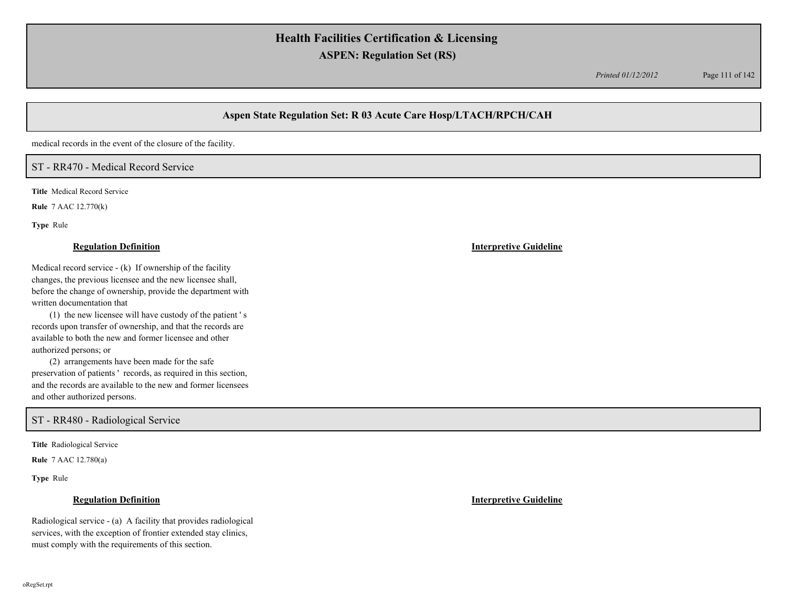*Printed 01/12/2012* Page 111 of 142

## **Aspen State Regulation Set: R 03 Acute Care Hosp/LTACH/RPCH/CAH**

medical records in the event of the closure of the facility.

## ST - RR470 - Medical Record Service

**Title** Medical Record Service

**Rule** 7 AAC 12.770(k)

**Type** Rule

Medical record service - (k) If ownership of the facility changes, the previous licensee and the new licensee shall, before the change of ownership, provide the department with written documentation that

(1) the new licensee will have custody of the patient ' s records upon transfer of ownership, and that the records are available to both the new and former licensee and other authorized persons; or

(2) arrangements have been made for the safe preservation of patients ' records, as required in this section, and the records are available to the new and former licensees and other authorized persons.

ST - RR480 - Radiological Service

**Title** Radiological Service

**Rule** 7 AAC 12.780(a)

**Type** Rule

Radiological service - (a) A facility that provides radiological services, with the exception of frontier extended stay clinics, must comply with the requirements of this section.

**Regulation Definition Interpretive Guideline**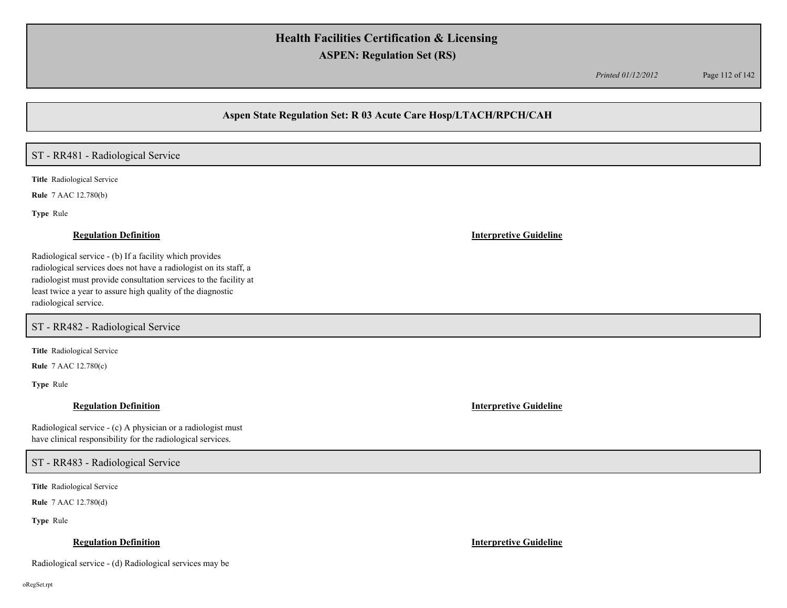*Printed 01/12/2012* Page 112 of 142

## **Aspen State Regulation Set: R 03 Acute Care Hosp/LTACH/RPCH/CAH**

## ST - RR481 - Radiological Service

**Title** Radiological Service

**Rule** 7 AAC 12.780(b)

**Type** Rule

Radiological service - (b) If a facility which provides radiological services does not have a radiologist on its staff, a radiologist must provide consultation services to the facility at least twice a year to assure high quality of the diagnostic radiological service.

ST - RR482 - Radiological Service

**Title** Radiological Service

**Rule** 7 AAC 12.780(c)

**Type** Rule

Radiological service - (c) A physician or a radiologist must have clinical responsibility for the radiological services.

ST - RR483 - Radiological Service

**Title** Radiological Service

**Rule** 7 AAC 12.780(d)

**Type** Rule

Radiological service - (d) Radiological services may be

#### **Regulation Definition Interpretive Guideline**

**Regulation Definition Interpretive Guideline**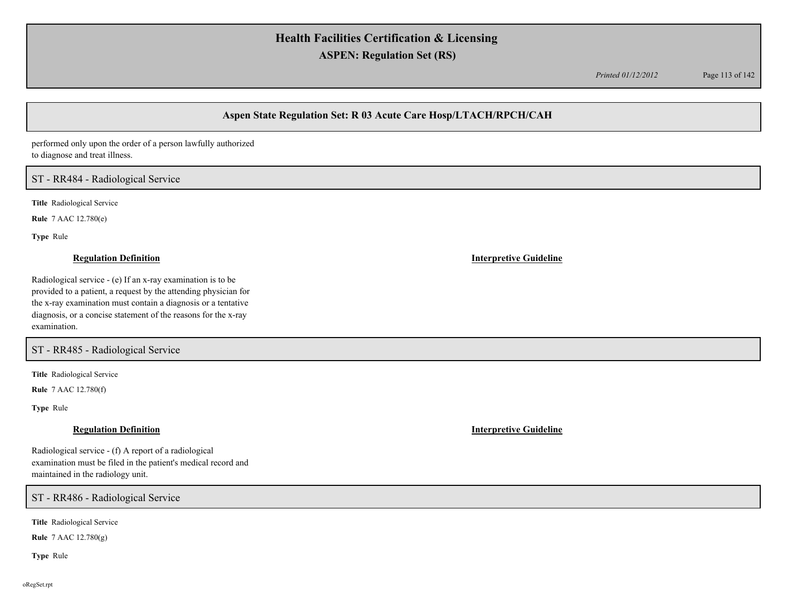*Printed 01/12/2012* Page 113 of 142

## **Aspen State Regulation Set: R 03 Acute Care Hosp/LTACH/RPCH/CAH**

performed only upon the order of a person lawfully authorized to diagnose and treat illness.

### ST - RR484 - Radiological Service

**Title** Radiological Service

**Rule** 7 AAC 12.780(e)

**Type** Rule

#### **Regulation Definition Interpretive Guideline**

Radiological service - (e) If an x-ray examination is to be provided to a patient, a request by the attending physician for the x-ray examination must contain a diagnosis or a tentative diagnosis, or a concise statement of the reasons for the x-ray examination.

ST - RR485 - Radiological Service

**Title** Radiological Service

**Rule** 7 AAC 12.780(f)

**Type** Rule

Radiological service - (f) A report of a radiological examination must be filed in the patient's medical record and maintained in the radiology unit.

ST - RR486 - Radiological Service

**Title** Radiological Service

**Rule** 7 AAC 12.780(g)

**Type** Rule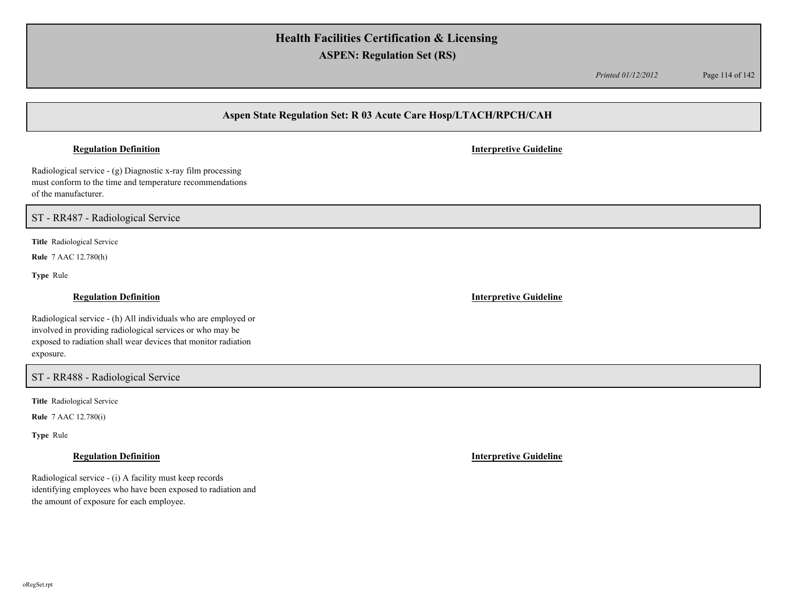*Printed 01/12/2012* Page 114 of 142

## **Aspen State Regulation Set: R 03 Acute Care Hosp/LTACH/RPCH/CAH**

### **Regulation Definition Interpretive Guideline**

Radiological service - (g) Diagnostic x-ray film processing must conform to the time and temperature recommendations of the manufacturer.

ST - RR487 - Radiological Service

**Title** Radiological Service

**Rule** 7 AAC 12.780(h)

**Type** Rule

### **Regulation Definition Interpretive Guideline**

Radiological service - (h) All individuals who are employed or involved in providing radiological services or who may be exposed to radiation shall wear devices that monitor radiation exposure.

ST - RR488 - Radiological Service

**Title** Radiological Service

**Rule** 7 AAC 12.780(i)

**Type** Rule

Radiological service - (i) A facility must keep records identifying employees who have been exposed to radiation and the amount of exposure for each employee.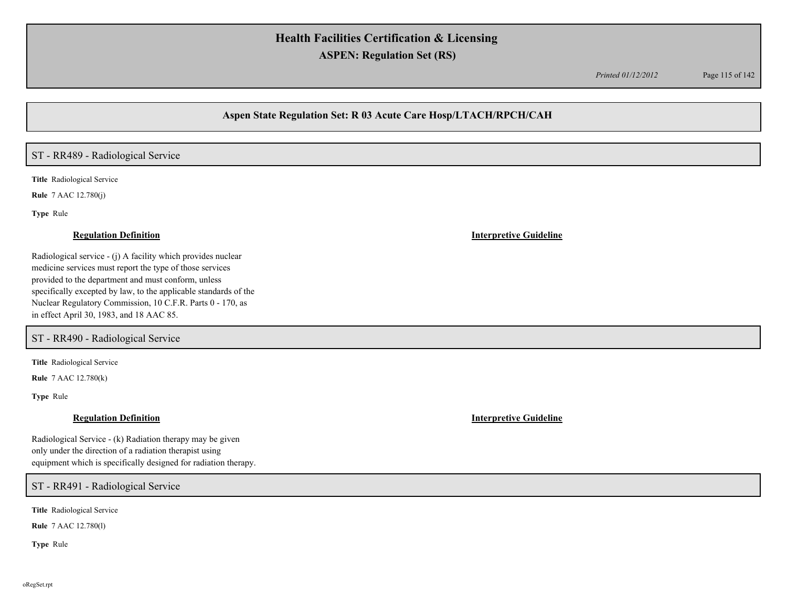*Printed 01/12/2012* Page 115 of 142

## **Aspen State Regulation Set: R 03 Acute Care Hosp/LTACH/RPCH/CAH**

## ST - RR489 - Radiological Service

**Title** Radiological Service

**Rule** 7 AAC 12.780(j)

**Type** Rule

#### **Regulation Definition Interpretive Guideline**

Radiological service - (j) A facility which provides nuclear medicine services must report the type of those services provided to the department and must conform, unless specifically excepted by law, to the applicable standards of the Nuclear Regulatory Commission, 10 C.F.R. Parts 0 - 170, as in effect April 30, 1983, and 18 AAC 85.

ST - RR490 - Radiological Service

**Title** Radiological Service

**Rule** 7 AAC 12.780(k)

**Type** Rule

Radiological Service - (k) Radiation therapy may be given only under the direction of a radiation therapist using equipment which is specifically designed for radiation therapy.

ST - RR491 - Radiological Service

**Title** Radiological Service

**Rule** 7 AAC 12.780(l)

**Type** Rule

**Regulation Definition Interpretive Guideline**

oRegSet.rpt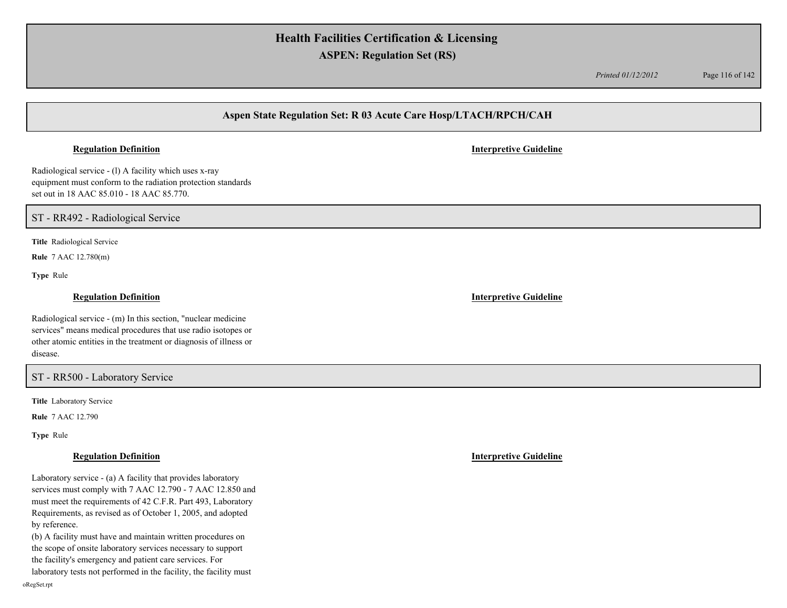*Printed 01/12/2012* Page 116 of 142

## **Aspen State Regulation Set: R 03 Acute Care Hosp/LTACH/RPCH/CAH**

#### **Regulation Definition Interpretive Guideline**

Radiological service - (l) A facility which uses x-ray equipment must conform to the radiation protection standards set out in 18 AAC 85.010 - 18 AAC 85.770.

ST - RR492 - Radiological Service

**Title** Radiological Service

**Rule** 7 AAC 12.780(m)

**Type** Rule

### **Regulation Definition Interpretive Guideline**

Radiological service - (m) In this section, "nuclear medicine services" means medical procedures that use radio isotopes or other atomic entities in the treatment or diagnosis of illness or disease.

ST - RR500 - Laboratory Service

**Title** Laboratory Service

**Rule** 7 AAC 12.790

**Type** Rule

Laboratory service - (a) A facility that provides laboratory services must comply with 7 AAC 12.790 - 7 AAC 12.850 and must meet the requirements of 42 C.F.R. Part 493, Laboratory Requirements, as revised as of October 1, 2005, and adopted by reference.

(b) A facility must have and maintain written procedures on the scope of onsite laboratory services necessary to support the facility's emergency and patient care services. For

laboratory tests not performed in the facility, the facility must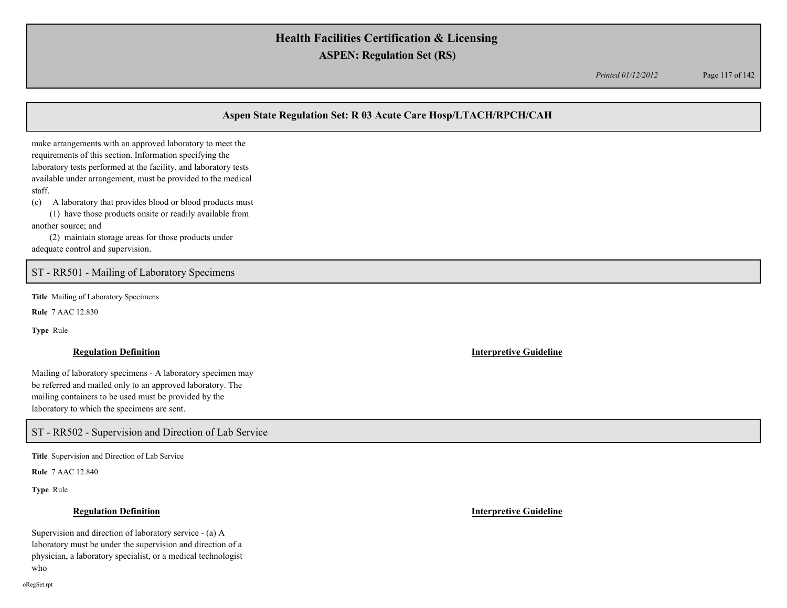*Printed 01/12/2012* Page 117 of 142

## **Aspen State Regulation Set: R 03 Acute Care Hosp/LTACH/RPCH/CAH**

make arrangements with an approved laboratory to meet the requirements of this section. Information specifying the laboratory tests performed at the facility, and laboratory tests available under arrangement, must be provided to the medical staff.

(c) A laboratory that provides blood or blood products must (1) have those products onsite or readily available from

another source; and

(2) maintain storage areas for those products under adequate control and supervision.

ST - RR501 - Mailing of Laboratory Specimens

**Title** Mailing of Laboratory Specimens

**Rule** 7 AAC 12.830

**Type** Rule

Mailing of laboratory specimens - A laboratory specimen may be referred and mailed only to an approved laboratory. The mailing containers to be used must be provided by the laboratory to which the specimens are sent.

ST - RR502 - Supervision and Direction of Lab Service

**Title** Supervision and Direction of Lab Service

**Rule** 7 AAC 12.840

**Type** Rule

Supervision and direction of laboratory service - (a) A laboratory must be under the supervision and direction of a physician, a laboratory specialist, or a medical technologist who

**Regulation Definition Interpretive Guideline**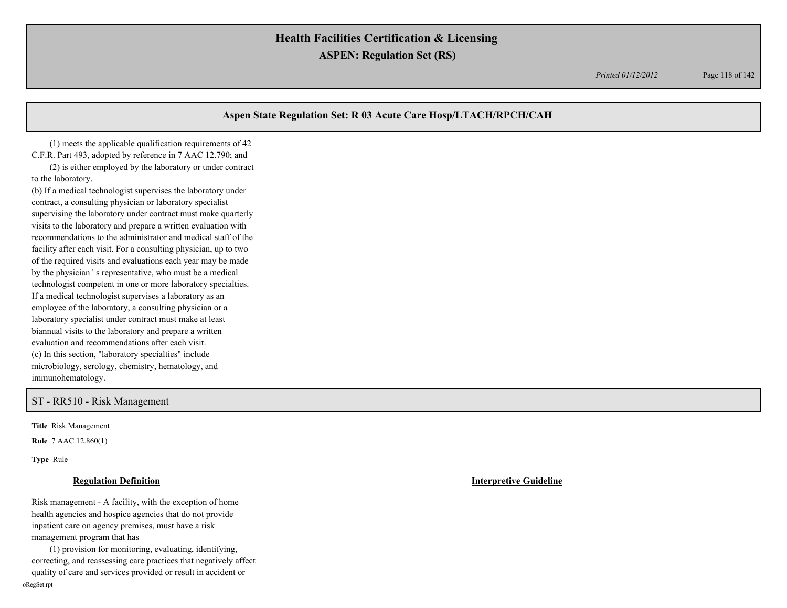*Printed 01/12/2012* Page 118 of 142

## **Aspen State Regulation Set: R 03 Acute Care Hosp/LTACH/RPCH/CAH** (1) meets the applicable qualification requirements of 42 C.F.R. Part 493, adopted by reference in 7 AAC 12.790; and (2) is either employed by the laboratory or under contract to the laboratory. (b) If a medical technologist supervises the laboratory under contract, a consulting physician or laboratory specialist supervising the laboratory under contract must make quarterly visits to the laboratory and prepare a written evaluation with recommendations to the administrator and medical staff of the facility after each visit. For a consulting physician, up to two of the required visits and evaluations each year may be made by the physician ' s representative, who must be a medical technologist competent in one or more laboratory specialties. If a medical technologist supervises a laboratory as an employee of the laboratory, a consulting physician or a laboratory specialist under contract must make at least biannual visits to the laboratory and prepare a written evaluation and recommendations after each visit. (c) In this section, "laboratory specialties" include microbiology, serology, chemistry, hematology, and immunohematology.

### ST - RR510 - Risk Management

**Title** Risk Management

**Rule** 7 AAC 12.860(1)

**Type** Rule

#### **Regulation Definition Interpretive Guideline**

Risk management - A facility, with the exception of home health agencies and hospice agencies that do not provide inpatient care on agency premises, must have a risk management program that has

(1) provision for monitoring, evaluating, identifying, correcting, and reassessing care practices that negatively affect quality of care and services provided or result in accident or oRegSet.rpt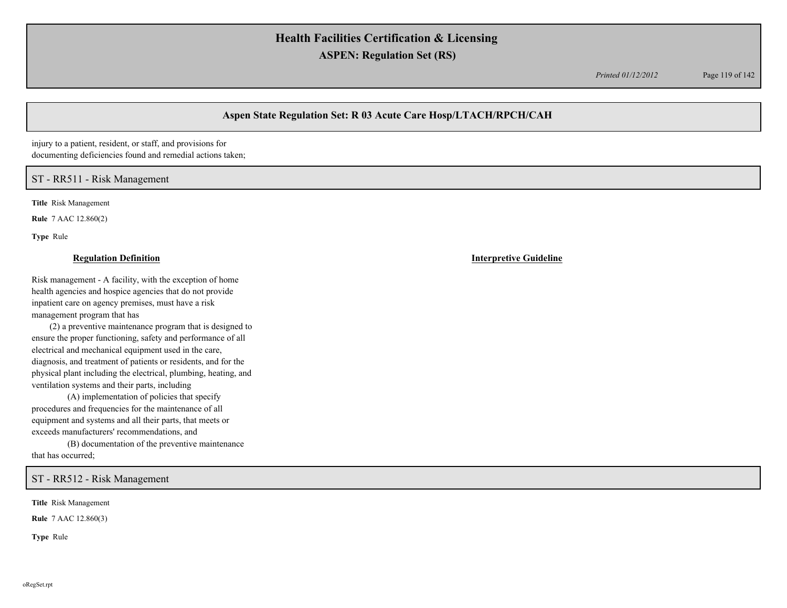*Printed 01/12/2012* Page 119 of 142

## **Aspen State Regulation Set: R 03 Acute Care Hosp/LTACH/RPCH/CAH**

injury to a patient, resident, or staff, and provisions for documenting deficiencies found and remedial actions taken;

### ST - RR511 - Risk Management

**Title** Risk Management

**Rule** 7 AAC 12.860(2)

**Type** Rule

Risk management - A facility, with the exception of home health agencies and hospice agencies that do not provide inpatient care on agency premises, must have a risk management program that has

(2) a preventive maintenance program that is designed to ensure the proper functioning, safety and performance of all electrical and mechanical equipment used in the care, diagnosis, and treatment of patients or residents, and for the physical plant including the electrical, plumbing, heating, and ventilation systems and their parts, including

(A) implementation of policies that specify procedures and frequencies for the maintenance of all equipment and systems and all their parts, that meets or exceeds manufacturers' recommendations, and

(B) documentation of the preventive maintenance that has occurred;

ST - RR512 - Risk Management

**Title** Risk Management

**Rule** 7 AAC 12.860(3)

**Type** Rule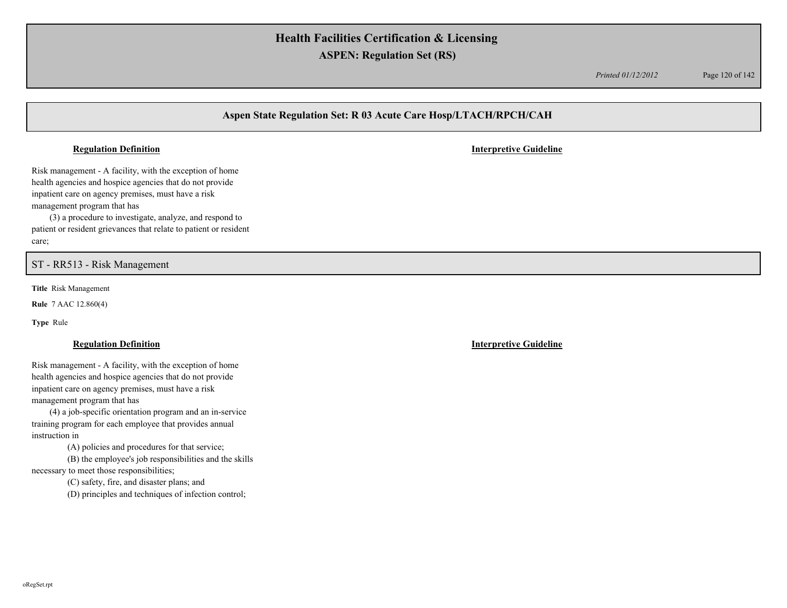*Printed 01/12/2012* Page 120 of 142

## **Aspen State Regulation Set: R 03 Acute Care Hosp/LTACH/RPCH/CAH**

#### **Regulation Definition Interpretive Guideline**

Risk management - A facility, with the exception of home health agencies and hospice agencies that do not provide inpatient care on agency premises, must have a risk management program that has

(3) a procedure to investigate, analyze, and respond to patient or resident grievances that relate to patient or resident care;

### ST - RR513 - Risk Management

**Title** Risk Management

**Rule** 7 AAC 12.860(4)

**Type** Rule

Risk management - A facility, with the exception of home health agencies and hospice agencies that do not provide inpatient care on agency premises, must have a risk management program that has

(4) a job-specific orientation program and an in-service training program for each employee that provides annual instruction in

(A) policies and procedures for that service;

(B) the employee's job responsibilities and the skills necessary to meet those responsibilities;

(C) safety, fire, and disaster plans; and

(D) principles and techniques of infection control;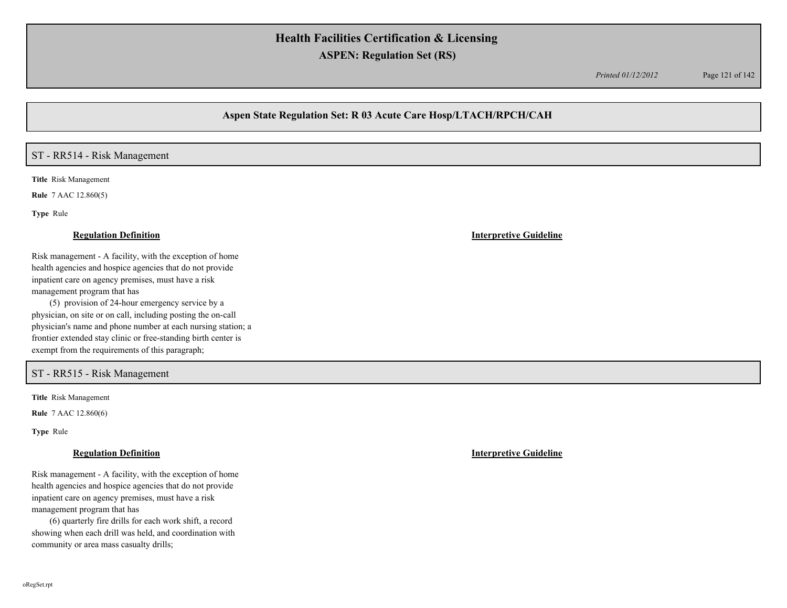*Printed 01/12/2012* Page 121 of 142

## **Aspen State Regulation Set: R 03 Acute Care Hosp/LTACH/RPCH/CAH**

### ST - RR514 - Risk Management

**Title** Risk Management

**Rule** 7 AAC 12.860(5)

**Type** Rule

#### **Regulation Definition Interpretive Guideline**

Risk management - A facility, with the exception of home health agencies and hospice agencies that do not provide inpatient care on agency premises, must have a risk management program that has

(5) provision of 24-hour emergency service by a physician, on site or on call, including posting the on-call physician's name and phone number at each nursing station; a frontier extended stay clinic or free-standing birth center is exempt from the requirements of this paragraph;

### ST - RR515 - Risk Management

**Title** Risk Management

**Rule** 7 AAC 12.860(6)

**Type** Rule

Risk management - A facility, with the exception of home health agencies and hospice agencies that do not provide inpatient care on agency premises, must have a risk management program that has

(6) quarterly fire drills for each work shift, a record showing when each drill was held, and coordination with community or area mass casualty drills;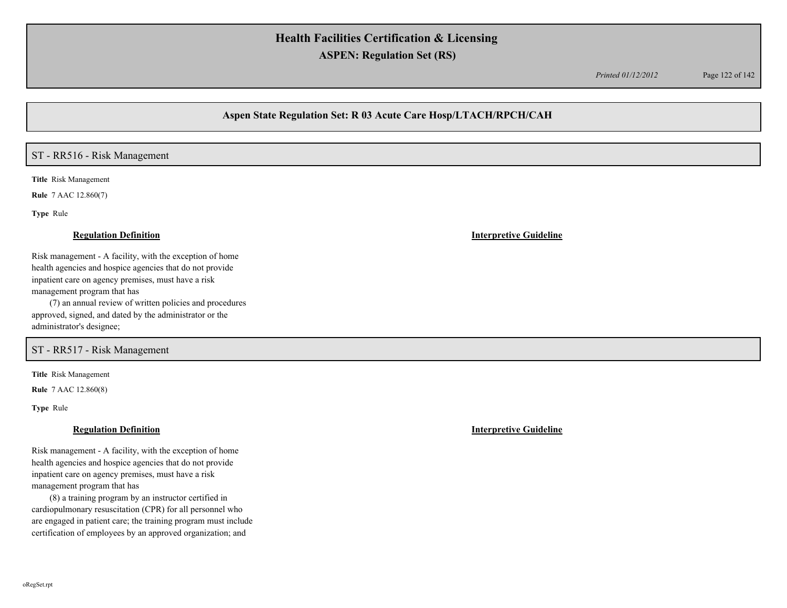*Printed 01/12/2012* Page 122 of 142

## **Aspen State Regulation Set: R 03 Acute Care Hosp/LTACH/RPCH/CAH**

### ST - RR516 - Risk Management

**Title** Risk Management

**Rule** 7 AAC 12.860(7)

**Type** Rule

#### **Regulation Definition Interpretive Guideline**

Risk management - A facility, with the exception of home health agencies and hospice agencies that do not provide inpatient care on agency premises, must have a risk management program that has

(7) an annual review of written policies and procedures approved, signed, and dated by the administrator or the administrator's designee;

### ST - RR517 - Risk Management

**Title** Risk Management

**Rule** 7 AAC 12.860(8)

**Type** Rule

#### **Regulation Definition Interpretive Guideline**

Risk management - A facility, with the exception of home health agencies and hospice agencies that do not provide inpatient care on agency premises, must have a risk management program that has

(8) a training program by an instructor certified in cardiopulmonary resuscitation (CPR) for all personnel who are engaged in patient care; the training program must include certification of employees by an approved organization; and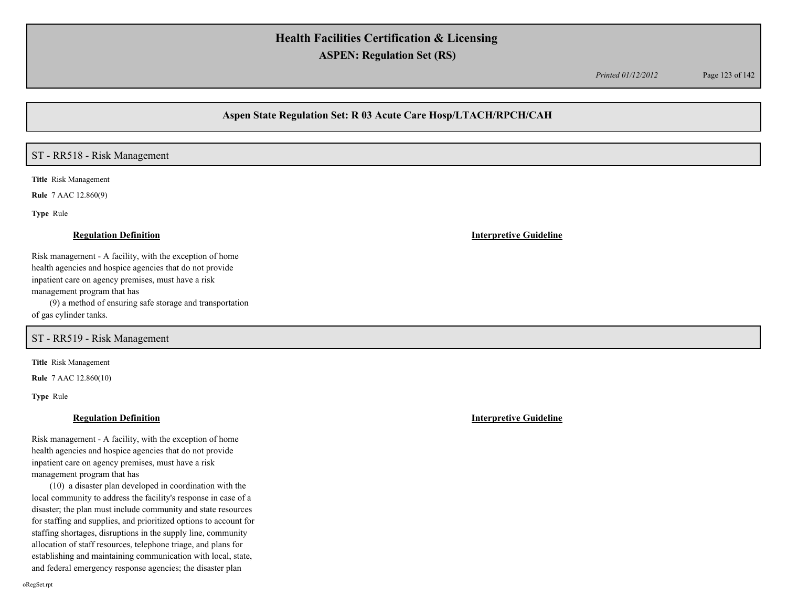*Printed 01/12/2012* Page 123 of 142

## **Aspen State Regulation Set: R 03 Acute Care Hosp/LTACH/RPCH/CAH**

### ST - RR518 - Risk Management

**Title** Risk Management

**Rule** 7 AAC 12.860(9)

**Type** Rule

Risk management - A facility, with the exception of home health agencies and hospice agencies that do not provide inpatient care on agency premises, must have a risk management program that has

(9) a method of ensuring safe storage and transportation of gas cylinder tanks.

### ST - RR519 - Risk Management

**Title** Risk Management

**Rule** 7 AAC 12.860(10)

**Type** Rule

Risk management - A facility, with the exception of home health agencies and hospice agencies that do not provide inpatient care on agency premises, must have a risk management program that has

(10) a disaster plan developed in coordination with the local community to address the facility's response in case of a disaster; the plan must include community and state resources for staffing and supplies, and prioritized options to account for staffing shortages, disruptions in the supply line, community allocation of staff resources, telephone triage, and plans for establishing and maintaining communication with local, state, and federal emergency response agencies; the disaster plan

#### **Regulation Definition Interpretive Guideline**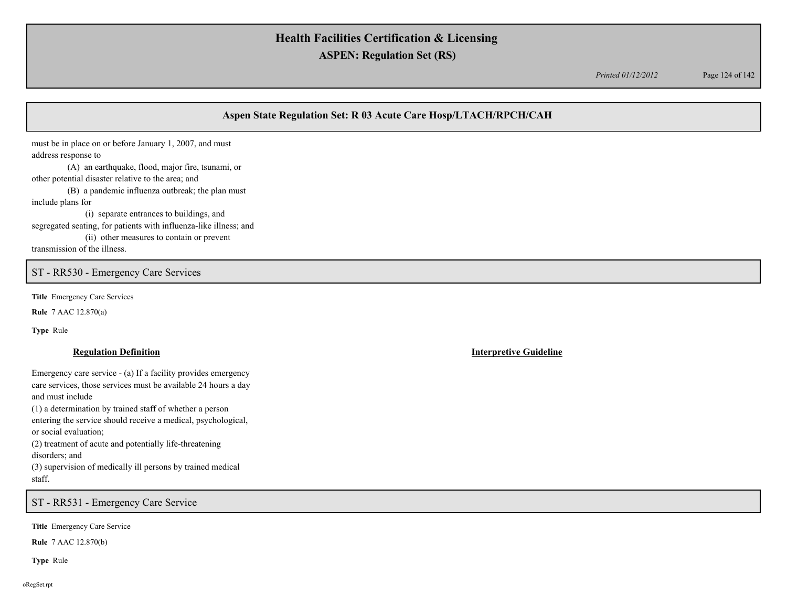*Printed 01/12/2012* Page 124 of 142

## **Aspen State Regulation Set: R 03 Acute Care Hosp/LTACH/RPCH/CAH**

must be in place on or before January 1, 2007, and must address response to (A) an earthquake, flood, major fire, tsunami, or other potential disaster relative to the area; and

(B) a pandemic influenza outbreak; the plan must include plans for

(i) separate entrances to buildings, and segregated seating, for patients with influenza-like illness; and (ii) other measures to contain or prevent transmission of the illness.

### ST - RR530 - Emergency Care Services

**Title** Emergency Care Services

**Rule** 7 AAC 12.870(a)

**Type** Rule

#### **Regulation Definition Interpretive Guideline**

| Emergency care service $-$ (a) If a facility provides emergency                                        |
|--------------------------------------------------------------------------------------------------------|
| care services, those services must be available 24 hours a day                                         |
| and must include                                                                                       |
| $(1)$ and absorption that the books of the $\alpha$ at $\alpha$ and $\alpha$ and $\alpha$ and $\alpha$ |

(1) a determination by trained staff of whether a person entering the service should receive a medical, psychological, or social evaluation; (2) treatment of acute and potentially life-threatening disorders; and

(3) supervision of medically ill persons by trained medical staff.

ST - RR531 - Emergency Care Service

**Title** Emergency Care Service

**Rule** 7 AAC 12.870(b)

**Type** Rule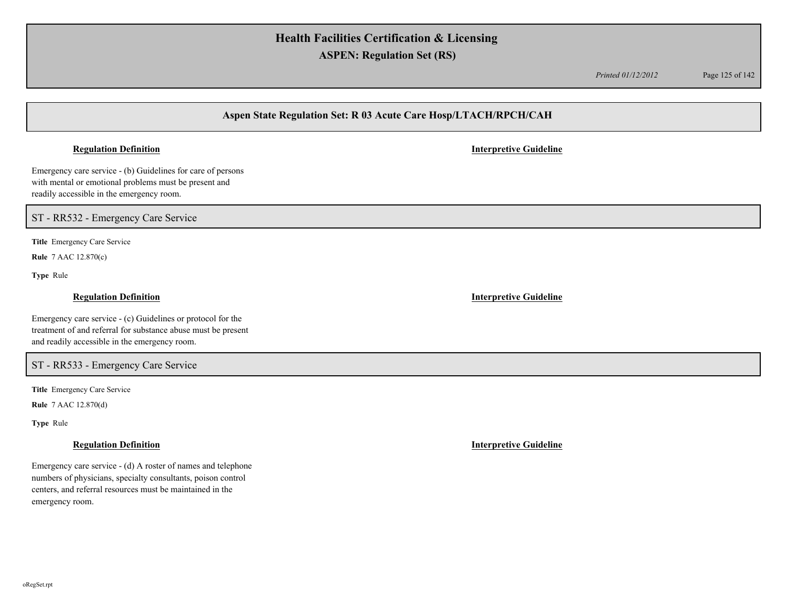*Printed 01/12/2012* Page 125 of 142

## **Aspen State Regulation Set: R 03 Acute Care Hosp/LTACH/RPCH/CAH**

### **Regulation Definition Interpretive Guideline**

Emergency care service - (b) Guidelines for care of persons with mental or emotional problems must be present and readily accessible in the emergency room.

ST - RR532 - Emergency Care Service

**Title** Emergency Care Service

**Rule** 7 AAC 12.870(c)

**Type** Rule

### **Regulation Definition Interpretive Guideline**

Emergency care service - (c) Guidelines or protocol for the treatment of and referral for substance abuse must be present and readily accessible in the emergency room.

ST - RR533 - Emergency Care Service

**Title** Emergency Care Service

**Rule** 7 AAC 12.870(d)

**Type** Rule

Emergency care service - (d) A roster of names and telephone numbers of physicians, specialty consultants, poison control centers, and referral resources must be maintained in the emergency room.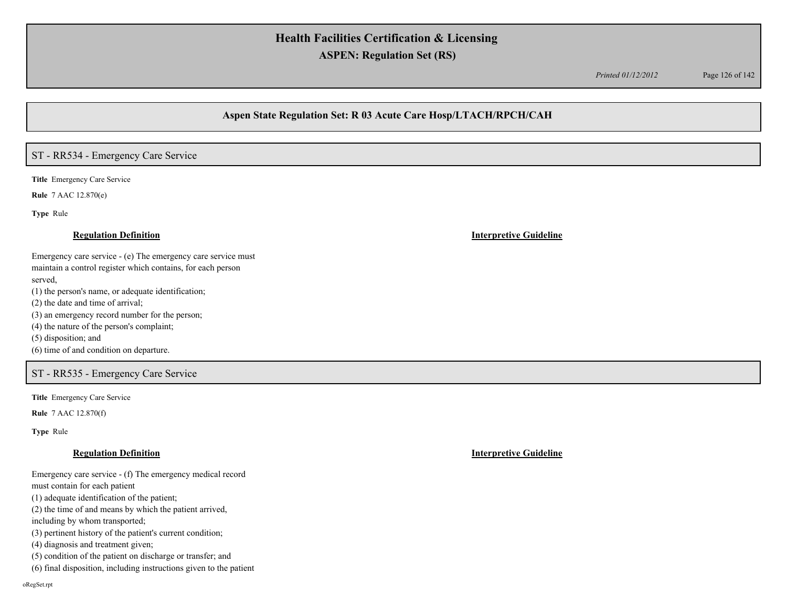*Printed 01/12/2012* Page 126 of 142

## **Aspen State Regulation Set: R 03 Acute Care Hosp/LTACH/RPCH/CAH**

## ST - RR534 - Emergency Care Service

**Title** Emergency Care Service

**Rule** 7 AAC 12.870(e)

**Type** Rule

#### **Regulation Definition Interpretive Guideline**

Emergency care service - (e) The emergency care service must maintain a control register which contains, for each person served, (1) the person's name, or adequate identification; (2) the date and time of arrival; (3) an emergency record number for the person; (4) the nature of the person's complaint;

(5) disposition; and

(6) time of and condition on departure.

## ST - RR535 - Emergency Care Service

**Title** Emergency Care Service

**Rule** 7 AAC 12.870(f)

**Type** Rule

Emergency care service - (f) The emergency medical record must contain for each patient (1) adequate identification of the patient;

(2) the time of and means by which the patient arrived,

including by whom transported;

(3) pertinent history of the patient's current condition;

(4) diagnosis and treatment given;

(5) condition of the patient on discharge or transfer; and

(6) final disposition, including instructions given to the patient

oRegSet.rpt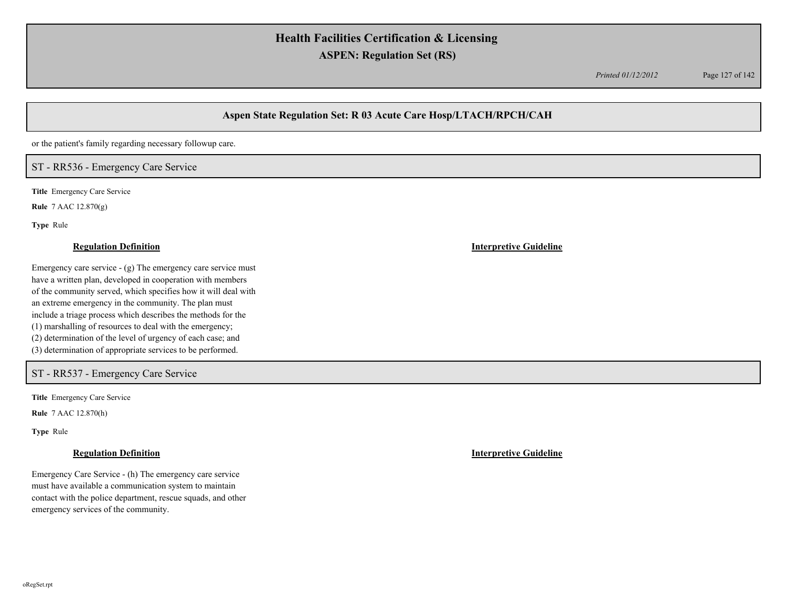*Printed 01/12/2012* Page 127 of 142

## **Aspen State Regulation Set: R 03 Acute Care Hosp/LTACH/RPCH/CAH**

or the patient's family regarding necessary followup care.

## ST - RR536 - Emergency Care Service

**Title** Emergency Care Service

**Rule** 7 AAC 12.870(g)

**Type** Rule

Emergency care service - (g) The emergency care service must have a written plan, developed in cooperation with members of the community served, which specifies how it will deal with an extreme emergency in the community. The plan must include a triage process which describes the methods for the (1) marshalling of resources to deal with the emergency; (2) determination of the level of urgency of each case; and (3) determination of appropriate services to be performed.

### ST - RR537 - Emergency Care Service

**Title** Emergency Care Service

**Rule** 7 AAC 12.870(h)

**Type** Rule

Emergency Care Service - (h) The emergency care service must have available a communication system to maintain contact with the police department, rescue squads, and other emergency services of the community.

**Regulation Definition Interpretive Guideline**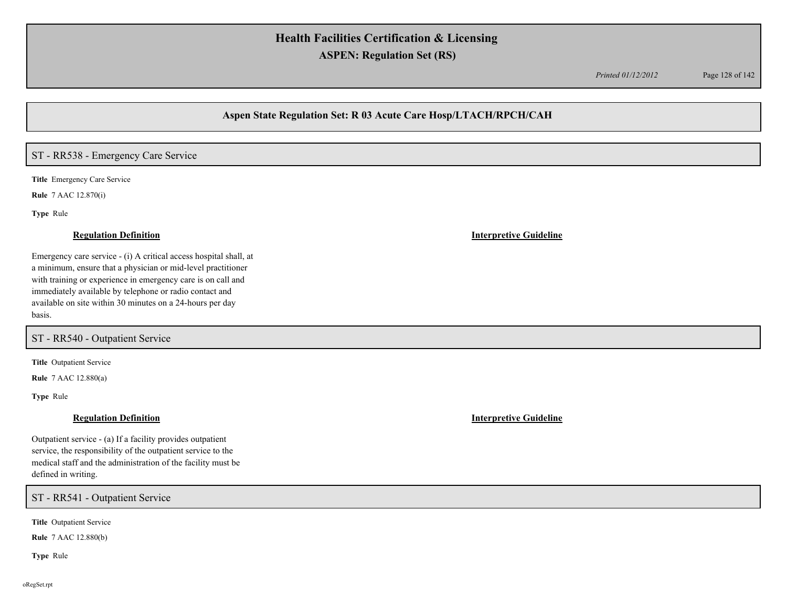*Printed 01/12/2012* Page 128 of 142

### **Aspen State Regulation Set: R 03 Acute Care Hosp/LTACH/RPCH/CAH**

## ST - RR538 - Emergency Care Service

**Title** Emergency Care Service

**Rule** 7 AAC 12.870(i)

**Type** Rule

Emergency care service - (i) A critical access hospital shall, at a minimum, ensure that a physician or mid-level practitioner with training or experience in emergency care is on call and immediately available by telephone or radio contact and available on site within 30 minutes on a 24-hours per day basis.

### ST - RR540 - Outpatient Service

**Title** Outpatient Service

**Rule** 7 AAC 12.880(a)

**Type** Rule

Outpatient service - (a) If a facility provides outpatient service, the responsibility of the outpatient service to the medical staff and the administration of the facility must be defined in writing.

ST - RR541 - Outpatient Service

**Title** Outpatient Service

**Rule** 7 AAC 12.880(b)

**Type** Rule

#### **Regulation Definition Interpretive Guideline**

**Regulation Definition Interpretive Guideline**

oRegSet.rpt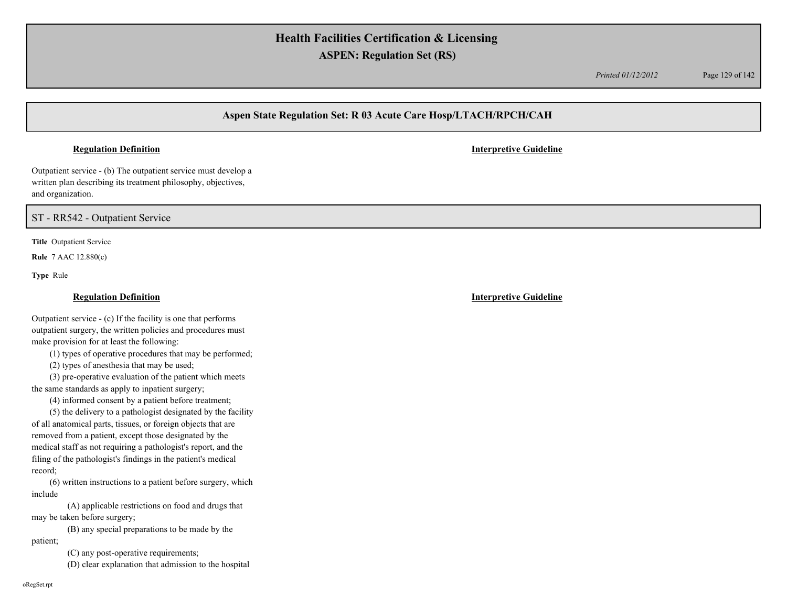*Printed 01/12/2012* Page 129 of 142

## **Aspen State Regulation Set: R 03 Acute Care Hosp/LTACH/RPCH/CAH**

#### **Regulation Definition Interpretive Guideline**

Outpatient service - (b) The outpatient service must develop a written plan describing its treatment philosophy, objectives, and organization.

ST - RR542 - Outpatient Service

**Title** Outpatient Service

**Rule** 7 AAC 12.880(c)

**Type** Rule

Outpatient service - (c) If the facility is one that performs outpatient surgery, the written policies and procedures must make provision for at least the following:

(1) types of operative procedures that may be performed;

(2) types of anesthesia that may be used;

(3) pre-operative evaluation of the patient which meets the same standards as apply to inpatient surgery;

(4) informed consent by a patient before treatment;

(5) the delivery to a pathologist designated by the facility of all anatomical parts, tissues, or foreign objects that are removed from a patient, except those designated by the medical staff as not requiring a pathologist's report, and the filing of the pathologist's findings in the patient's medical record;

(6) written instructions to a patient before surgery, which include

(A) applicable restrictions on food and drugs that may be taken before surgery;

(B) any special preparations to be made by the

patient;

(C) any post-operative requirements;

(D) clear explanation that admission to the hospital

**Regulation Definition Interpretive Guideline**

oRegSet.rpt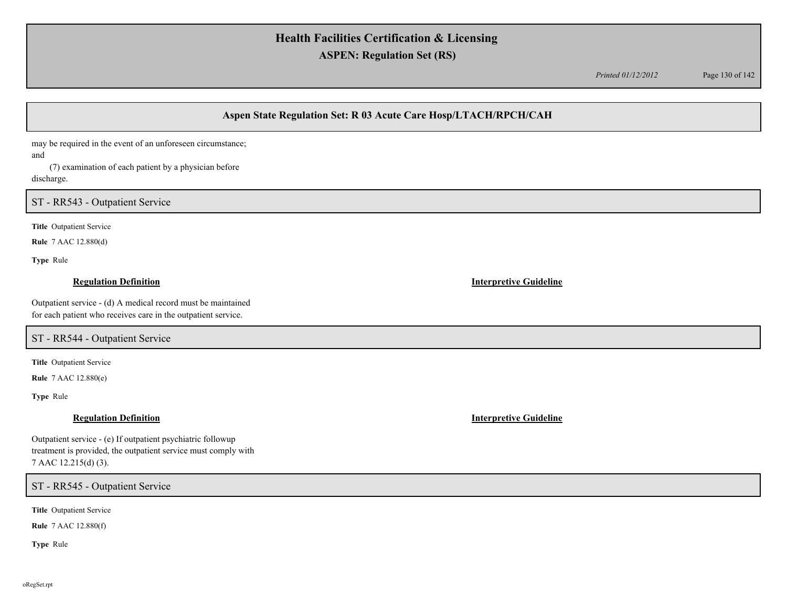*Printed 01/12/2012* Page 130 of 142

## **Aspen State Regulation Set: R 03 Acute Care Hosp/LTACH/RPCH/CAH**

may be required in the event of an unforeseen circumstance; and

(7) examination of each patient by a physician before

discharge.

ST - RR543 - Outpatient Service

**Title** Outpatient Service

**Rule** 7 AAC 12.880(d)

**Type** Rule

### **Regulation Definition Interpretive Guideline**

Outpatient service - (d) A medical record must be maintained for each patient who receives care in the outpatient service.

### ST - RR544 - Outpatient Service

**Title** Outpatient Service

**Rule** 7 AAC 12.880(e)

**Type** Rule

Outpatient service - (e) If outpatient psychiatric followup treatment is provided, the outpatient service must comply with 7 AAC 12.215(d) (3).

ST - RR545 - Outpatient Service

**Title** Outpatient Service

**Rule** 7 AAC 12.880(f)

**Type** Rule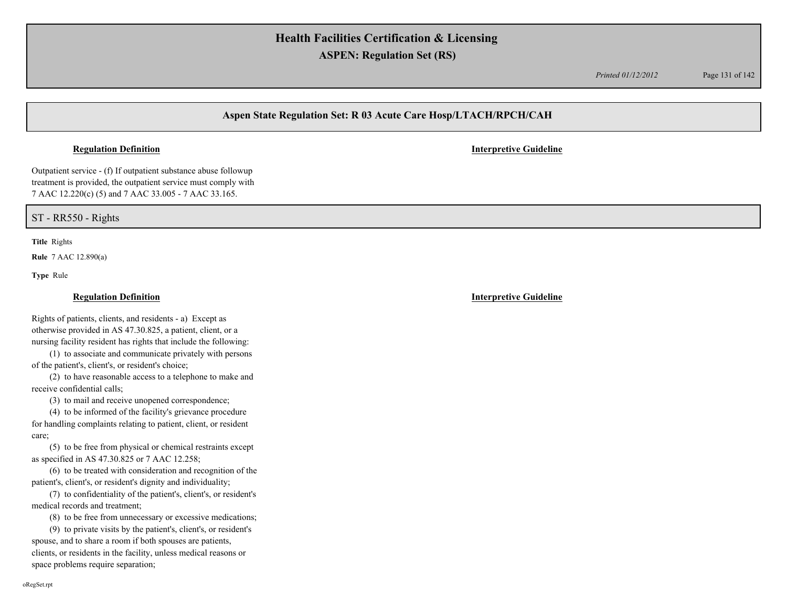*Printed 01/12/2012* Page 131 of 142

## **Aspen State Regulation Set: R 03 Acute Care Hosp/LTACH/RPCH/CAH**

#### **Regulation Definition Interpretive Guideline**

Outpatient service - (f) If outpatient substance abuse followup treatment is provided, the outpatient service must comply with 7 AAC 12.220(c) (5) and 7 AAC 33.005 - 7 AAC 33.165.

ST - RR550 - Rights

**Title** Rights

**Rule** 7 AAC 12.890(a)

**Type** Rule

### **Regulation Definition Interpretive Guideline**

Rights of patients, clients, and residents - a) Except as otherwise provided in AS 47.30.825, a patient, client, or a nursing facility resident has rights that include the following:

(1) to associate and communicate privately with persons of the patient's, client's, or resident's choice;

(2) to have reasonable access to a telephone to make and receive confidential calls;

(3) to mail and receive unopened correspondence;

(4) to be informed of the facility's grievance procedure for handling complaints relating to patient, client, or resident care;

(5) to be free from physical or chemical restraints except as specified in AS 47.30.825 or 7 AAC 12.258;

(6) to be treated with consideration and recognition of the patient's, client's, or resident's dignity and individuality;

(7) to confidentiality of the patient's, client's, or resident's medical records and treatment;

(8) to be free from unnecessary or excessive medications;

(9) to private visits by the patient's, client's, or resident's spouse, and to share a room if both spouses are patients, clients, or residents in the facility, unless medical reasons or space problems require separation;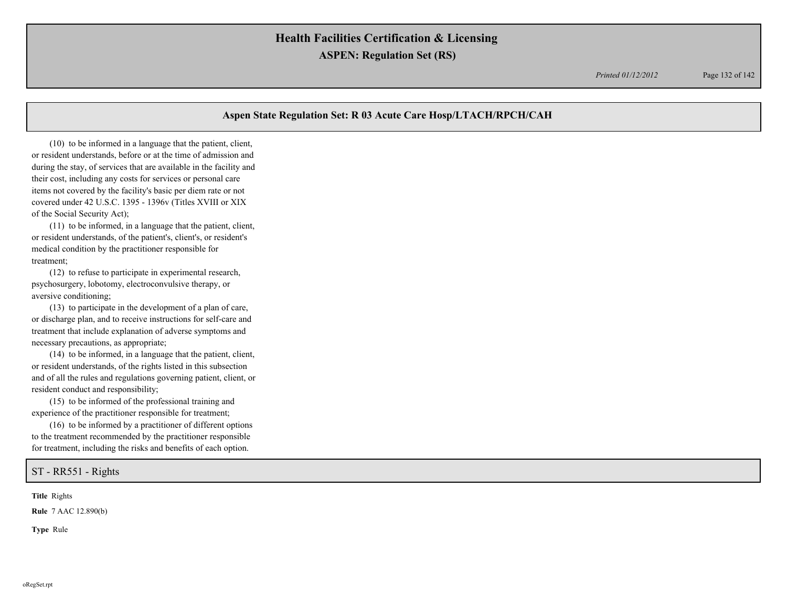*Printed 01/12/2012* Page 132 of 142

## **Aspen State Regulation Set: R 03 Acute Care Hosp/LTACH/RPCH/CAH**

(10) to be informed in a language that the patient, client, or resident understands, before or at the time of admission and during the stay, of services that are available in the facility and their cost, including any costs for services or personal care items not covered by the facility's basic per diem rate or not covered under 42 U.S.C. 1395 - 1396v (Titles XVIII or XIX of the Social Security Act);

(11) to be informed, in a language that the patient, client, or resident understands, of the patient's, client's, or resident's medical condition by the practitioner responsible for treatment;

(12) to refuse to participate in experimental research, psychosurgery, lobotomy, electroconvulsive therapy, or aversive conditioning;

(13) to participate in the development of a plan of care, or discharge plan, and to receive instructions for self-care and treatment that include explanation of adverse symptoms and necessary precautions, as appropriate;

(14) to be informed, in a language that the patient, client, or resident understands, of the rights listed in this subsection and of all the rules and regulations governing patient, client, or resident conduct and responsibility;

(15) to be informed of the professional training and experience of the practitioner responsible for treatment;

(16) to be informed by a practitioner of different options to the treatment recommended by the practitioner responsible for treatment, including the risks and benefits of each option.

ST - RR551 - Rights

**Title** Rights

**Rule** 7 AAC 12.890(b)

**Type** Rule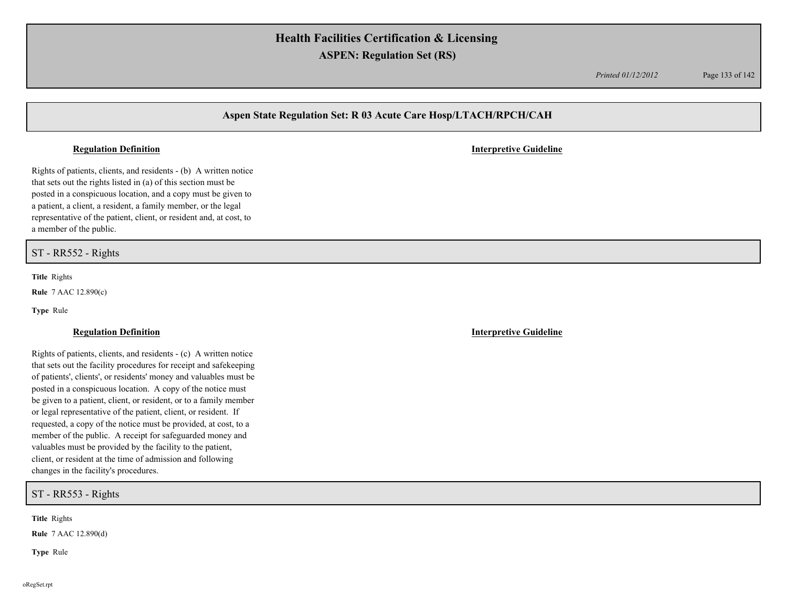*Printed 01/12/2012* Page 133 of 142

## **Aspen State Regulation Set: R 03 Acute Care Hosp/LTACH/RPCH/CAH**

#### **Regulation Definition Interpretive Guideline**

Rights of patients, clients, and residents - (b) A written notice that sets out the rights listed in (a) of this section must be posted in a conspicuous location, and a copy must be given to a patient, a client, a resident, a family member, or the legal representative of the patient, client, or resident and, at cost, to a member of the public.

ST - RR552 - Rights

**Title** Rights

**Rule** 7 AAC 12.890(c)

**Type** Rule

Rights of patients, clients, and residents - (c) A written notice that sets out the facility procedures for receipt and safekeeping of patients', clients', or residents' money and valuables must be posted in a conspicuous location. A copy of the notice must be given to a patient, client, or resident, or to a family member or legal representative of the patient, client, or resident. If requested, a copy of the notice must be provided, at cost, to a member of the public. A receipt for safeguarded money and valuables must be provided by the facility to the patient, client, or resident at the time of admission and following changes in the facility's procedures.

ST - RR553 - Rights

**Title** Rights

**Rule** 7 AAC 12.890(d)

**Type** Rule

**Regulation Definition Interpretive Guideline**

oRegSet.rpt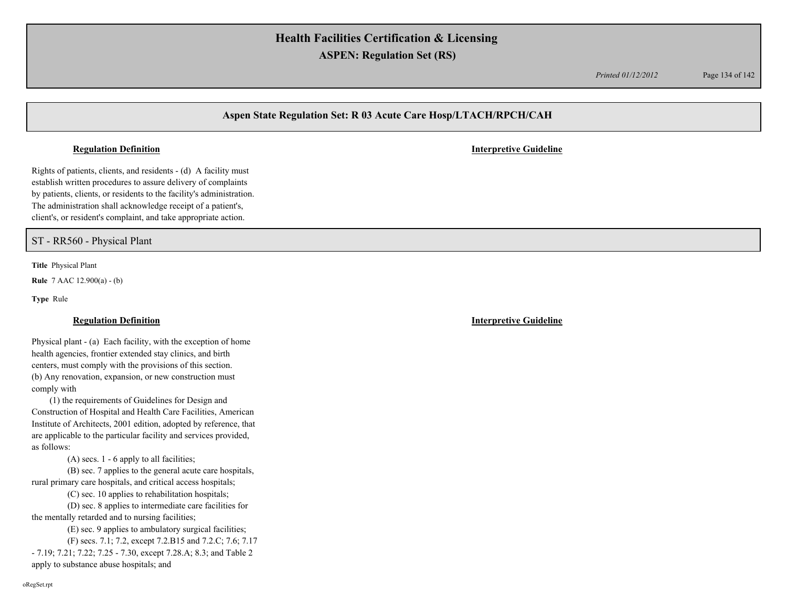*Printed 01/12/2012* Page 134 of 142

## **Aspen State Regulation Set: R 03 Acute Care Hosp/LTACH/RPCH/CAH**

#### **Regulation Definition Interpretive Guideline**

Rights of patients, clients, and residents - (d) A facility must establish written procedures to assure delivery of complaints by patients, clients, or residents to the facility's administration. The administration shall acknowledge receipt of a patient's, client's, or resident's complaint, and take appropriate action.

ST - RR560 - Physical Plant

**Title** Physical Plant

**Rule** 7 AAC 12.900(a) - (b)

**Type** Rule

Physical plant - (a) Each facility, with the exception of home health agencies, frontier extended stay clinics, and birth centers, must comply with the provisions of this section. (b) Any renovation, expansion, or new construction must comply with

(1) the requirements of Guidelines for Design and Construction of Hospital and Health Care Facilities, American Institute of Architects, 2001 edition, adopted by reference, that are applicable to the particular facility and services provided, as follows:

(A) secs. 1 - 6 apply to all facilities;

(B) sec. 7 applies to the general acute care hospitals, rural primary care hospitals, and critical access hospitals;

(C) sec. 10 applies to rehabilitation hospitals;

(D) sec. 8 applies to intermediate care facilities for the mentally retarded and to nursing facilities;

(E) sec. 9 applies to ambulatory surgical facilities; (F) secs. 7.1; 7.2, except 7.2.B15 and 7.2.C; 7.6; 7.17 - 7.19; 7.21; 7.22; 7.25 - 7.30, except 7.28.A; 8.3; and Table 2 apply to substance abuse hospitals; and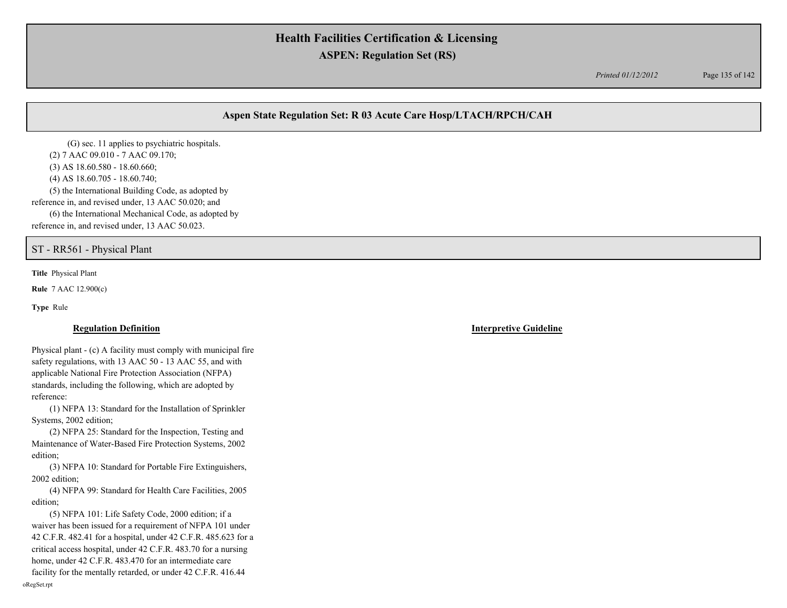*Printed 01/12/2012* Page 135 of 142

## **Aspen State Regulation Set: R 03 Acute Care Hosp/LTACH/RPCH/CAH**

(G) sec. 11 applies to psychiatric hospitals. (2) 7 AAC 09.010 - 7 AAC 09.170; (3) AS 18.60.580 - 18.60.660; (4) AS 18.60.705 - 18.60.740; (5) the International Building Code, as adopted by reference in, and revised under, 13 AAC 50.020; and (6) the International Mechanical Code, as adopted by reference in, and revised under, 13 AAC 50.023.

ST - RR561 - Physical Plant

**Title** Physical Plant

**Rule** 7 AAC 12.900(c)

**Type** Rule

Physical plant - (c) A facility must comply with municipal fire safety regulations, with 13 AAC 50 - 13 AAC 55, and with applicable National Fire Protection Association (NFPA) standards, including the following, which are adopted by reference:

(1) NFPA 13: Standard for the Installation of Sprinkler Systems, 2002 edition;

(2) NFPA 25: Standard for the Inspection, Testing and Maintenance of Water-Based Fire Protection Systems, 2002 edition;

(3) NFPA 10: Standard for Portable Fire Extinguishers, 2002 edition;

(4) NFPA 99: Standard for Health Care Facilities, 2005 edition;

(5) NFPA 101: Life Safety Code, 2000 edition; if a waiver has been issued for a requirement of NFPA 101 under 42 C.F.R. 482.41 for a hospital, under 42 C.F.R. 485.623 for a critical access hospital, under 42 C.F.R. 483.70 for a nursing home, under 42 C.F.R. 483.470 for an intermediate care facility for the mentally retarded, or under 42 C.F.R. 416.44 oRegSet.rpt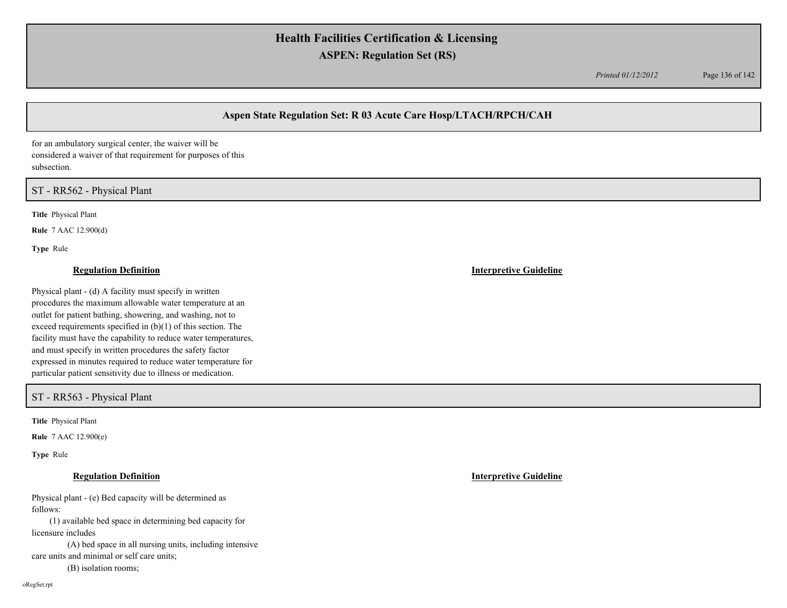*Printed 01/12/2012* Page 136 of 142

## **Aspen State Regulation Set: R 03 Acute Care Hosp/LTACH/RPCH/CAH**

for an ambulatory surgical center, the waiver will be considered a waiver of that requirement for purposes of this subsection.

### ST - RR562 - Physical Plant

**Title** Physical Plant

**Rule** 7 AAC 12.900(d)

**Type** Rule

#### **Regulation Definition Interpretive Guideline**

Physical plant - (d) A facility must specify in written procedures the maximum allowable water temperature at an outlet for patient bathing, showering, and washing, not to exceed requirements specified in (b)(1) of this section. The facility must have the capability to reduce water temperatures, and must specify in written procedures the safety factor expressed in minutes required to reduce water temperature for particular patient sensitivity due to illness or medication.

### ST - RR563 - Physical Plant

**Title** Physical Plant

**Rule** 7 AAC 12.900(e)

**Type** Rule

#### **Regulation Definition Interpretive Guideline**

Physical plant - (e) Bed capacity will be determined as follows:

(1) available bed space in determining bed capacity for licensure includes

(A) bed space in all nursing units, including intensive

care units and minimal or self care units;

(B) isolation rooms;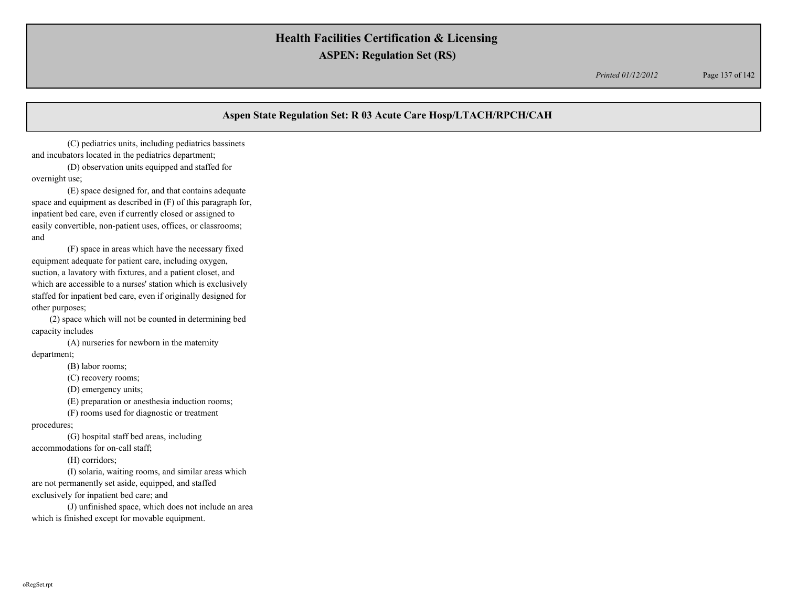*Printed 01/12/2012* Page 137 of 142

## **Aspen State Regulation Set: R 03 Acute Care Hosp/LTACH/RPCH/CAH**

(C) pediatrics units, including pediatrics bassinets and incubators located in the pediatrics department;

(D) observation units equipped and staffed for overnight use;

(E) space designed for, and that contains adequate space and equipment as described in (F) of this paragraph for, inpatient bed care, even if currently closed or assigned to easily convertible, non-patient uses, offices, or classrooms; and

(F) space in areas which have the necessary fixed equipment adequate for patient care, including oxygen, suction, a lavatory with fixtures, and a patient closet, and which are accessible to a nurses' station which is exclusively staffed for inpatient bed care, even if originally designed for other purposes;

(2) space which will not be counted in determining bed capacity includes

(A) nurseries for newborn in the maternity

department;

(B) labor rooms;

(C) recovery rooms;

(D) emergency units;

(E) preparation or anesthesia induction rooms;

(F) rooms used for diagnostic or treatment

procedures;

(G) hospital staff bed areas, including accommodations for on-call staff;

(H) corridors;

(I) solaria, waiting rooms, and similar areas which are not permanently set aside, equipped, and staffed

exclusively for inpatient bed care; and

(J) unfinished space, which does not include an area which is finished except for movable equipment.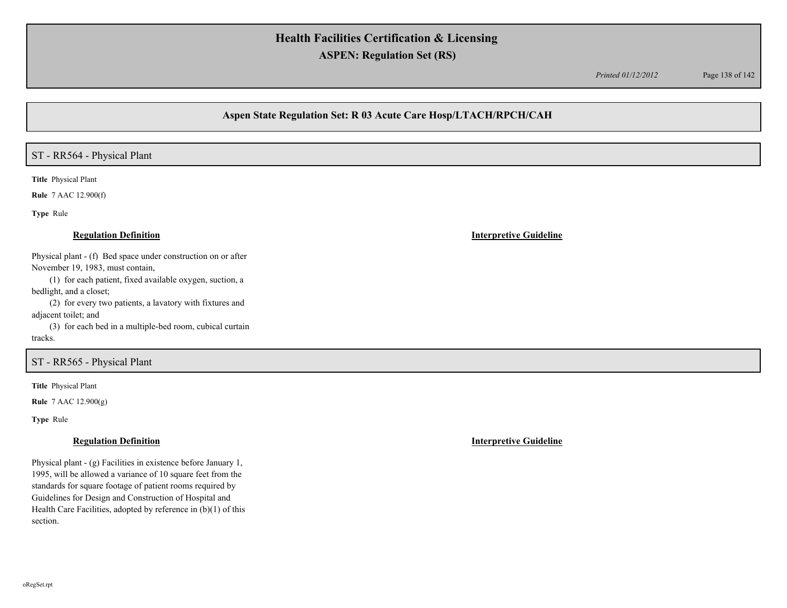*Printed 01/12/2012* Page 138 of 142

## **Aspen State Regulation Set: R 03 Acute Care Hosp/LTACH/RPCH/CAH**

## ST - RR564 - Physical Plant

**Title** Physical Plant

**Rule** 7 AAC 12.900(f)

**Type** Rule

### **Regulation Definition Interpretive Guideline**

Physical plant - (f) Bed space under construction on or after November 19, 1983, must contain,

(1) for each patient, fixed available oxygen, suction, a bedlight, and a closet;

(2) for every two patients, a lavatory with fixtures and adjacent toilet; and

(3) for each bed in a multiple-bed room, cubical curtain tracks.

### ST - RR565 - Physical Plant

**Title** Physical Plant

**Rule** 7 AAC 12.900(g)

**Type** Rule

Physical plant - (g) Facilities in existence before January 1, 1995, will be allowed a variance of 10 square feet from the standards for square footage of patient rooms required by Guidelines for Design and Construction of Hospital and Health Care Facilities, adopted by reference in (b)(1) of this section.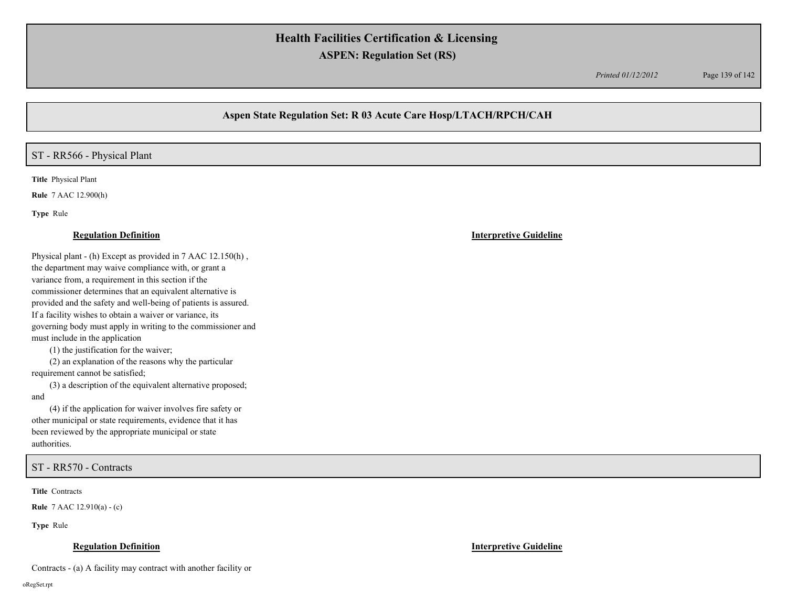*Printed 01/12/2012* Page 139 of 142

## **Aspen State Regulation Set: R 03 Acute Care Hosp/LTACH/RPCH/CAH**

### ST - RR566 - Physical Plant

**Title** Physical Plant

**Rule** 7 AAC 12.900(h)

**Type** Rule

#### **Regulation Definition Interpretive Guideline**

Physical plant - (h) Except as provided in 7 AAC 12.150(h) , the department may waive compliance with, or grant a variance from, a requirement in this section if the commissioner determines that an equivalent alternative is provided and the safety and well-being of patients is assured. If a facility wishes to obtain a waiver or variance, its governing body must apply in writing to the commissioner and must include in the application

(1) the justification for the waiver;

(2) an explanation of the reasons why the particular requirement cannot be satisfied;

(3) a description of the equivalent alternative proposed; and

(4) if the application for waiver involves fire safety or other municipal or state requirements, evidence that it has been reviewed by the appropriate municipal or state authorities.

ST - RR570 - Contracts

**Title** Contracts

**Rule** 7 AAC 12.910(a) - (c)

**Type** Rule

#### **Regulation Definition Interpretive Guideline**

Contracts - (a) A facility may contract with another facility or

oRegSet.rpt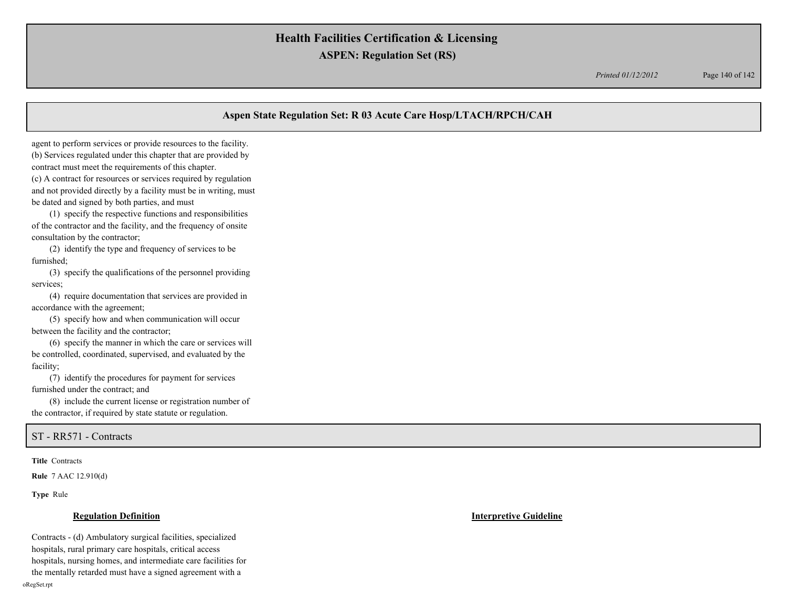*Printed 01/12/2012* Page 140 of 142

## **Aspen State Regulation Set: R 03 Acute Care Hosp/LTACH/RPCH/CAH**

agent to perform services or provide resources to the facility. (b) Services regulated under this chapter that are provided by contract must meet the requirements of this chapter.

(c) A contract for resources or services required by regulation and not provided directly by a facility must be in writing, must be dated and signed by both parties, and must

(1) specify the respective functions and responsibilities of the contractor and the facility, and the frequency of onsite consultation by the contractor;

(2) identify the type and frequency of services to be furnished;

(3) specify the qualifications of the personnel providing services;

(4) require documentation that services are provided in accordance with the agreement;

(5) specify how and when communication will occur between the facility and the contractor;

(6) specify the manner in which the care or services will be controlled, coordinated, supervised, and evaluated by the facility;

(7) identify the procedures for payment for services furnished under the contract; and

(8) include the current license or registration number of the contractor, if required by state statute or regulation.

### ST - RR571 - Contracts

**Title** Contracts

**Rule** 7 AAC 12.910(d)

**Type** Rule

## **Regulation Definition Interpretive Guideline**

Contracts - (d) Ambulatory surgical facilities, specialized hospitals, rural primary care hospitals, critical access hospitals, nursing homes, and intermediate care facilities for the mentally retarded must have a signed agreement with a oRegSet.rpt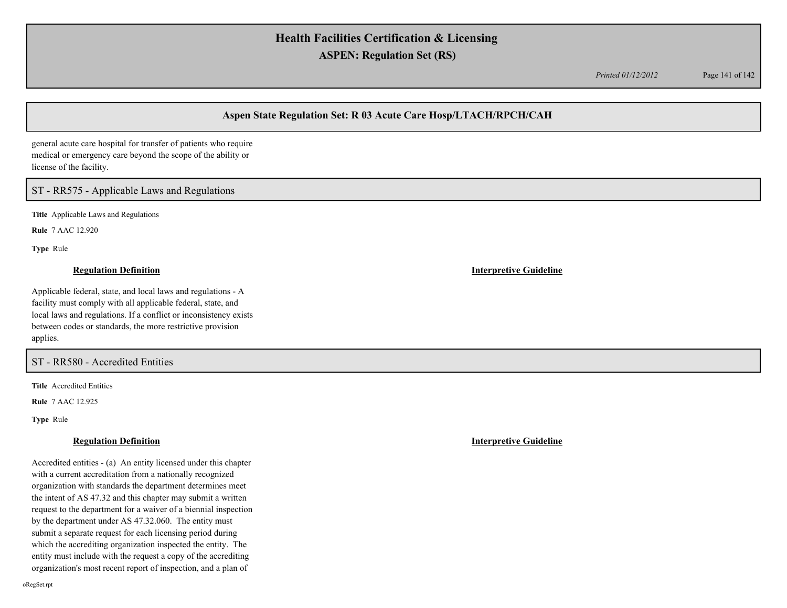*Printed 01/12/2012* Page 141 of 142

## **Aspen State Regulation Set: R 03 Acute Care Hosp/LTACH/RPCH/CAH**

general acute care hospital for transfer of patients who require medical or emergency care beyond the scope of the ability or license of the facility.

### ST - RR575 - Applicable Laws and Regulations

**Title** Applicable Laws and Regulations

**Rule** 7 AAC 12.920

**Type** Rule

#### **Regulation Definition Interpretive Guideline**

Applicable federal, state, and local laws and regulations - A facility must comply with all applicable federal, state, and local laws and regulations. If a conflict or inconsistency exists between codes or standards, the more restrictive provision applies.

### ST - RR580 - Accredited Entities

**Title** Accredited Entities

**Rule** 7 AAC 12.925

**Type** Rule

#### **Regulation Definition Interpretive Guideline**

Accredited entities - (a) An entity licensed under this chapter with a current accreditation from a nationally recognized organization with standards the department determines meet the intent of AS 47.32 and this chapter may submit a written request to the department for a waiver of a biennial inspection by the department under AS 47.32.060. The entity must submit a separate request for each licensing period during which the accrediting organization inspected the entity. The entity must include with the request a copy of the accrediting organization's most recent report of inspection, and a plan of